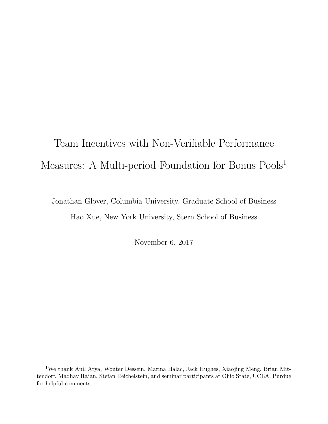# Team Incentives with Non-Verifiable Performance Measures: A Multi-period Foundation for Bonus Pools<sup>1</sup>

Jonathan Glover, Columbia University, Graduate School of Business Hao Xue, New York University, Stern School of Business

November 6, 2017

<sup>1</sup>We thank Anil Arya, Wouter Dessein, Marina Halac, Jack Hughes, Xiaojing Meng, Brian Mittendorf, Madhav Rajan, Stefan Reichelstein, and seminar participants at Ohio State, UCLA, Purdue for helpful comments.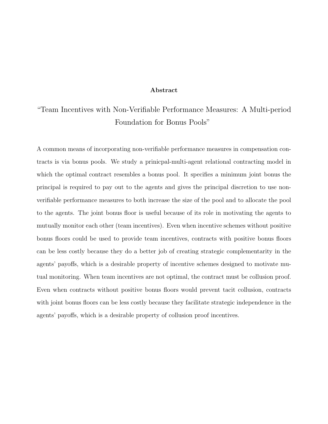#### Abstract

## "Team Incentives with Non-Verifiable Performance Measures: A Multi-period Foundation for Bonus Pools"

A common means of incorporating non-verifiable performance measures in compensation contracts is via bonus pools. We study a prinicpal-multi-agent relational contracting model in which the optimal contract resembles a bonus pool. It specifies a minimum joint bonus the principal is required to pay out to the agents and gives the principal discretion to use nonverifiable performance measures to both increase the size of the pool and to allocate the pool to the agents. The joint bonus floor is useful because of its role in motivating the agents to mutually monitor each other (team incentives). Even when incentive schemes without positive bonus floors could be used to provide team incentives, contracts with positive bonus floors can be less costly because they do a better job of creating strategic complementarity in the agents' payoffs, which is a desirable property of incentive schemes designed to motivate mutual monitoring. When team incentives are not optimal, the contract must be collusion proof. Even when contracts without positive bonus floors would prevent tacit collusion, contracts with joint bonus floors can be less costly because they facilitate strategic independence in the agents' payoffs, which is a desirable property of collusion proof incentives.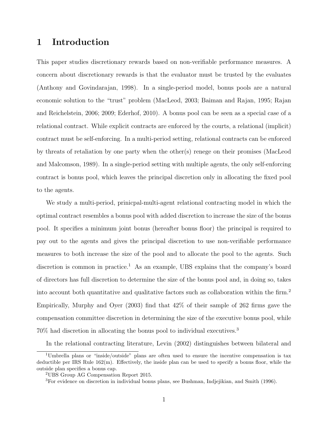## 1 Introduction

This paper studies discretionary rewards based on non-verifiable performance measures. A concern about discretionary rewards is that the evaluator must be trusted by the evaluates (Anthony and Govindarajan, 1998). In a single-period model, bonus pools are a natural economic solution to the "trust" problem (MacLeod, 2003; Baiman and Rajan, 1995; Rajan and Reichelstein, 2006; 2009; Ederhof, 2010). A bonus pool can be seen as a special case of a relational contract. While explicit contracts are enforced by the courts, a relational (implicit) contract must be self-enforcing. In a multi-period setting, relational contracts can be enforced by threats of retaliation by one party when the other(s) renege on their promises (MacLeod and Malcomson, 1989). In a single-period setting with multiple agents, the only self-enforcing contract is bonus pool, which leaves the principal discretion only in allocating the fixed pool to the agents.

We study a multi-period, prinicpal-multi-agent relational contracting model in which the optimal contract resembles a bonus pool with added discretion to increase the size of the bonus pool. It specifies a minimum joint bonus (hereafter bonus floor) the principal is required to pay out to the agents and gives the principal discretion to use non-verifiable performance measures to both increase the size of the pool and to allocate the pool to the agents. Such discretion is common in practice.<sup>1</sup> As an example, UBS explains that the company's board of directors has full discretion to determine the size of the bonus pool and, in doing so, takes into account both quantitative and qualitative factors such as collaboration within the firm.<sup>2</sup> Empirically, Murphy and Oyer (2003) find that 42% of their sample of 262 firms gave the compensation committee discretion in determining the size of the executive bonus pool, while 70% had discretion in allocating the bonus pool to individual executives.<sup>3</sup>

In the relational contracting literature, Levin (2002) distinguishes between bilateral and

<sup>1</sup>Umbrella plans or "inside/outside" plans are often used to ensure the incentive compensation is tax deductible per IRS Rule 162(m). Effectively, the inside plan can be used to specify a bonus floor, while the outside plan specifies a bonus cap.

<sup>2</sup>UBS Group AG Compensation Report 2015.

<sup>3</sup>For evidence on discretion in individual bonus plans, see Bushman, Indjejikian, and Smith (1996).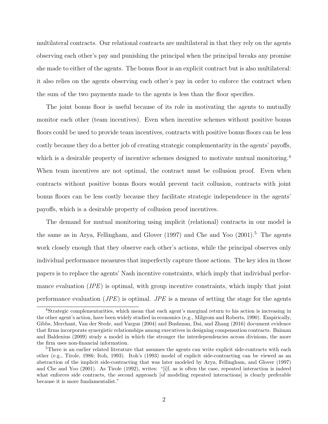multilateral contracts. Our relational contracts are multilateral in that they rely on the agents observing each other's pay and punishing the principal when the principal breaks any promise she made to either of the agents. The bonus floor is an explicit contract but is also multilateral: it also relies on the agents observing each other's pay in order to enforce the contract when the sum of the two payments made to the agents is less than the floor specifies.

The joint bonus floor is useful because of its role in motivating the agents to mutually monitor each other (team incentives). Even when incentive schemes without positive bonus floors could be used to provide team incentives, contracts with positive bonus floors can be less costly because they do a better job of creating strategic complementarity in the agents' payoffs, which is a desirable property of incentive schemes designed to motivate mutual monitoring.<sup>4</sup> When team incentives are not optimal, the contract must be collusion proof. Even when contracts without positive bonus floors would prevent tacit collusion, contracts with joint bonus floors can be less costly because they facilitate strategic independence in the agents' payoffs, which is a desirable property of collusion proof incentives.

The demand for mutual monitoring using implicit (relational) contracts in our model is the same as in Arya, Fellingham, and Glover  $(1997)$  and Che and Yoo  $(2001).<sup>5</sup>$  The agents work closely enough that they observe each other's actions, while the principal observes only individual performance measures that imperfectly capture those actions. The key idea in those papers is to replace the agents' Nash incentive constraints, which imply that individual performance evaluation  $(IPE)$  is optimal, with group incentive constraints, which imply that joint performance evaluation  $(JPE)$  is optimal.  $JPE$  is a means of setting the stage for the agents

<sup>4</sup>Strategic complementarities, which mean that each agent's marginal return to his action is increasing in the other agent's action, have been widely studied in economics (e.g., Milgrom and Roberts, 1990). Empirically, Gibbs, Merchant, Van der Stede, and Vargus (2004) and Bushman, Dai, and Zhang (2016) document evidence that firms incorporate synergistic relationships among executives in designing compensation contracts. Baiman and Baldenius (2009) study a model in which the stronger the interdependencies across divisions, the more the firm uses non-financial information.

<sup>&</sup>lt;sup>5</sup>There is an earlier related literature that assumes the agents can write explicit side-contracts with each other (e.g., Tirole, 1986; Itoh, 1993). Itoh's (1993) model of explicit side-contracting can be viewed as an abstraction of the implicit side-contracting that was later modeled by Arya, Fellingham, and Glover (1997) and Che and Yoo (2001). As Tirole (1992), writes: "[i]f, as is often the case, repeated interaction is indeed what enforces side contracts, the second approach [of modeling repeated interactions] is clearly preferable because it is more fundamentalist."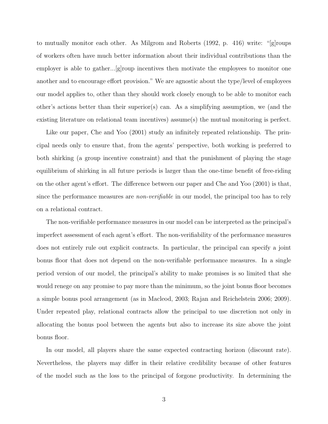to mutually monitor each other. As Milgrom and Roberts (1992, p. 416) write: "[g]roups of workers often have much better information about their individual contributions than the employer is able to gather...[g]roup incentives then motivate the employees to monitor one another and to encourage effort provision." We are agnostic about the type/level of employees our model applies to, other than they should work closely enough to be able to monitor each other's actions better than their superior(s) can. As a simplifying assumption, we (and the existing literature on relational team incentives) assume(s) the mutual monitoring is perfect.

Like our paper, Che and Yoo (2001) study an infinitely repeated relationship. The principal needs only to ensure that, from the agents' perspective, both working is preferred to both shirking (a group incentive constraint) and that the punishment of playing the stage equilibrium of shirking in all future periods is larger than the one-time benefit of free-riding on the other agent's effort. The difference between our paper and Che and Yoo (2001) is that, since the performance measures are *non-verifiable* in our model, the principal too has to rely on a relational contract.

The non-verifiable performance measures in our model can be interpreted as the principal's imperfect assessment of each agent's effort. The non-verifiability of the performance measures does not entirely rule out explicit contracts. In particular, the principal can specify a joint bonus floor that does not depend on the non-verifiable performance measures. In a single period version of our model, the principal's ability to make promises is so limited that she would renege on any promise to pay more than the minimum, so the joint bonus floor becomes a simple bonus pool arrangement (as in Macleod, 2003; Rajan and Reichelstein 2006; 2009). Under repeated play, relational contracts allow the principal to use discretion not only in allocating the bonus pool between the agents but also to increase its size above the joint bonus floor.

In our model, all players share the same expected contracting horizon (discount rate). Nevertheless, the players may differ in their relative credibility because of other features of the model such as the loss to the principal of forgone productivity. In determining the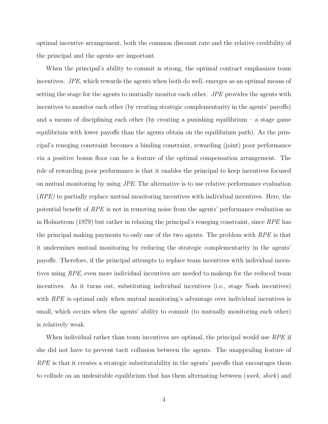optimal incentive arrangement, both the common discount rate and the relative credibility of the principal and the agents are important.

When the principal's ability to commit is strong, the optimal contract emphasizes team incentives. JPE, which rewards the agents when both do well, emerges as an optimal means of setting the stage for the agents to mutually monitor each other. JPE provides the agents with incentives to monitor each other (by creating strategic complementarity in the agents' payoffs) and a means of disciplining each other (by creating a punishing equilibrium – a stage game equilibrium with lower payoffs than the agents obtain on the equilibrium path). As the principal's reneging constraint becomes a binding constraint, rewarding (joint) poor performance via a positive bonus floor can be a feature of the optimal compensation arrangement. The role of rewarding poor performance is that it enables the principal to keep incentives focused on mutual monitoring by using JPE. The alternative is to use relative performance evaluation  $(RPE)$  to partially replace mutual monitoring incentives with individual incentives. Here, the potential benefit of RPE is not in removing noise from the agents' performance evaluation as in Holmstrom (1979) but rather in relaxing the principal's reneging constraint, since RPE has the principal making payments to only one of the two agents. The problem with  $RPE$  is that it undermines mutual monitoring by reducing the strategic complementarity in the agents' payoffs. Therefore, if the principal attempts to replace team incentives with individual incentives using RPE, even more individual incentives are needed to makeup for the reduced team incentives. As it turns out, substituting individual incentives (i.e., stage Nash incentives) with RPE is optimal only when mutual monitoring's advantage over individual incentives is small, which occurs when the agents' ability to commit (to mutually monitoring each other) is relatively weak.

When individual rather than team incentives are optimal, the principal would use RPE if she did not have to prevent tacit collusion between the agents. The unappealing feature of  $RPE$  is that it creates a strategic substitutability in the agents' payoffs that encourages them to collude on an undesirable equilibrium that has them alternating between (*work*, *shirk*) and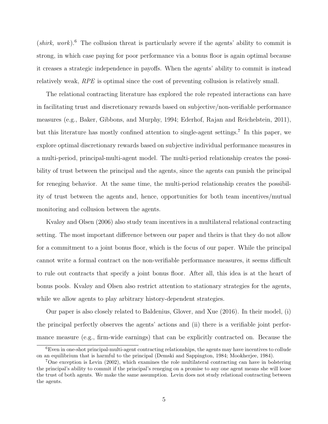$(shirk, work).$ <sup>6</sup> The collusion threat is particularly severe if the agents' ability to commit is strong, in which case paying for poor performance via a bonus floor is again optimal because it creases a strategic independence in payoffs. When the agents' ability to commit is instead relatively weak, RPE is optimal since the cost of preventing collusion is relatively small.

The relational contracting literature has explored the role repeated interactions can have in facilitating trust and discretionary rewards based on subjective/non-verifiable performance measures (e.g., Baker, Gibbons, and Murphy, 1994; Ederhof, Rajan and Reichelstein, 2011), but this literature has mostly confined attention to single-agent settings.<sup>7</sup> In this paper, we explore optimal discretionary rewards based on subjective individual performance measures in a multi-period, principal-multi-agent model. The multi-period relationship creates the possibility of trust between the principal and the agents, since the agents can punish the principal for reneging behavior. At the same time, the multi-period relationship creates the possibility of trust between the agents and, hence, opportunities for both team incentives/mutual monitoring and collusion between the agents.

Kvaløy and Olsen (2006) also study team incentives in a multilateral relational contracting setting. The most important difference between our paper and theirs is that they do not allow for a commitment to a joint bonus floor, which is the focus of our paper. While the principal cannot write a formal contract on the non-verifiable performance measures, it seems difficult to rule out contracts that specify a joint bonus floor. After all, this idea is at the heart of bonus pools. Kvaløy and Olsen also restrict attention to stationary strategies for the agents, while we allow agents to play arbitrary history-dependent strategies.

Our paper is also closely related to Baldenius, Glover, and Xue (2016). In their model, (i) the principal perfectly observes the agents' actions and (ii) there is a verifiable joint performance measure (e.g., firm-wide earnings) that can be explicitly contracted on. Because the

<sup>6</sup>Even in one-shot principal-multi-agent contracting relationships, the agents may have incentives to collude on an equilibrium that is harmful to the principal (Demski and Sappington, 1984; Mookherjee, 1984).

<sup>7</sup>One exception is Levin (2002), which examines the role multilateral contracting can have in bolstering the principal's ability to commit if the principal's reneging on a promise to any one agent means she will loose the trust of both agents. We make the same assumption. Levin does not study relational contracting between the agents.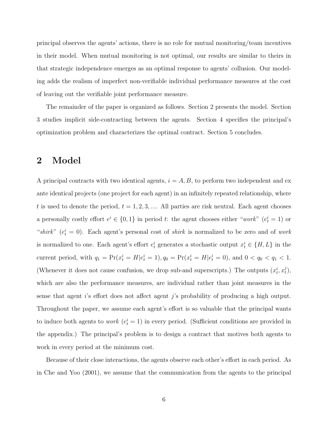principal observes the agents' actions, there is no role for mutual monitoring/team incentives in their model. When mutual monitoring is not optimal, our results are similar to theirs in that strategic independence emerges as an optimal response to agents' collusion. Our modeling adds the realism of imperfect non-verifiable individual performance measures at the cost of leaving out the verifiable joint performance measure.

The remainder of the paper is organized as follows. Section 2 presents the model. Section 3 studies implicit side-contracting between the agents. Section 4 specifies the principal's optimization problem and characterizes the optimal contract. Section 5 concludes.

## 2 Model

A principal contracts with two identical agents,  $i = A, B$ , to perform two independent and ex ante identical projects (one project for each agent) in an infinitely repeated relationship, where t is used to denote the period,  $t = 1, 2, 3, \dots$  All parties are risk neutral. Each agent chooses a personally costly effort  $e^i \in \{0,1\}$  in period t: the agent chooses either "work"  $(e^i_t = 1)$  or "shirk"  $(e_t^i = 0)$ . Each agent's personal cost of shirk is normalized to be zero and of work is normalized to one. Each agent's effort  $e_t^i$  generates a stochastic output  $x_t^i \in \{H, L\}$  in the current period, with  $q_1 = \Pr(x_t^i = H | e_t^i = 1), q_0 = \Pr(x_t^i = H | e_t^i = 0)$ , and  $0 < q_0 < q_1 < 1$ . (Whenever it does not cause confusion, we drop sub-and superscripts.) The outputs  $(x_t^i, x_t^j)$  $_{t}^{\jmath}),$ which are also the performance measures, are individual rather than joint measures in the sense that agent i's effort does not affect agent j's probability of producing a high output. Throughout the paper, we assume each agent's effort is so valuable that the principal wants to induce both agents to *work*  $(e_t^i = 1)$  in every period. (Sufficient conditions are provided in the appendix.) The principal's problem is to design a contract that motives both agents to work in every period at the minimum cost.

Because of their close interactions, the agents observe each other's effort in each period. As in Che and Yoo (2001), we assume that the communication from the agents to the principal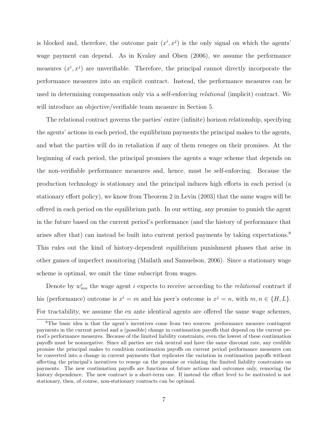is blocked and, therefore, the outcome pair  $(x^i, x^j)$  is the only signal on which the agents' wage payment can depend. As in Kvaløy and Olsen (2006), we assume the performance measures  $(x^i, x^j)$  are unverifiable. Therefore, the principal cannot directly incorporate the performance measures into an explicit contract. Instead, the performance measures can be used in determining compensation only via a self-enforcing relational (implicit) contract. We will introduce an objective/verifiable team measure in Section 5.

The relational contract governs the parties' entire (infinite) horizon relationship, specifying the agents' actions in each period, the equilibrium payments the principal makes to the agents, and what the parties will do in retaliation if any of them reneges on their promises. At the beginning of each period, the principal promises the agents a wage scheme that depends on the non-verifiable performance measures and, hence, must be self-enforcing. Because the production technology is stationary and the principal induces high efforts in each period (a stationary effort policy), we know from Theorem 2 in Levin (2003) that the same wages will be offered in each period on the equilibrium path. In our setting, any promise to punish the agent in the future based on the current period's performance (and the history of performance that arises after that) can instead be built into current period payments by taking expectations.<sup>8</sup> This rules out the kind of history-dependent equilibrium punishment phases that arise in other games of imperfect monitoring (Mailath and Samuelson, 2006). Since a stationary wage scheme is optimal, we omit the time subscript from wages.

Denote by  $w_{mn}^i$  the wage agent i expects to receive according to the *relational* contract if his (performance) outcome is  $x^i = m$  and his peer's outcome is  $x^j = n$ , with  $m, n \in \{H, L\}$ . For tractability, we assume the ex ante identical agents are offered the same wage schemes,

<sup>&</sup>lt;sup>8</sup>The basic idea is that the agent's incentives come from two sources: performance measure contingent payments in the current period and a (possible) change in continuation payoffs that depend on the current period's performance measures. Because of the limited liability constraints, even the lowest of these continuation payoffs must be nonnegative. Since all parties are risk neutral and have the same discount rate, any credible promise the principal makes to condition continuation payoffs on current period performance measures can be converted into a change in current payments that replicates the variation in continuation payoffs without affecting the principal's incentives to renege on the promise or violating the limited liability constraints on payments. The new continuation payoffs are functions of future actions and outcomes only, removing the history dependence. The new contract is a short-term one. If instead the effort level to be motivated is not stationary, then, of course, non-stationary contracts can be optimal.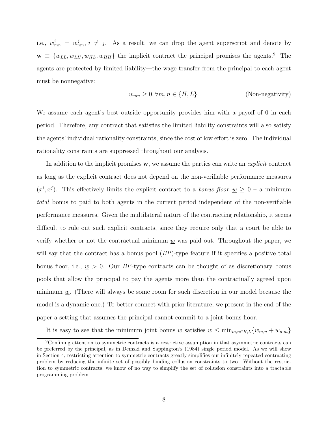i.e.,  $w_{mn}^i = w_{nm}^j$ ,  $i \neq j$ . As a result, we can drop the agent superscript and denote by  $\mathbf{w} \equiv \{w_{LL}, w_{LH}, w_{HL}, w_{HH}\}\$ the implicit contract the principal promises the agents.<sup>9</sup> The agents are protected by limited liability—the wage transfer from the principal to each agent must be nonnegative:

$$
w_{mn} \ge 0, \forall m, n \in \{H, L\}.
$$
 (Non-negativity)

We assume each agent's best outside opportunity provides him with a payoff of 0 in each period. Therefore, any contract that satisfies the limited liability constraints will also satisfy the agents' individual rationality constraints, since the cost of low effort is zero. The individual rationality constraints are suppressed throughout our analysis.

In addition to the implicit promises w, we assume the parties can write an *explicit* contract as long as the explicit contract does not depend on the non-verifiable performance measures  $(x^i, x^j)$ . This effectively limits the explicit contract to a *bonus floor*  $\underline{w} \geq 0$  – a minimum total bonus to paid to both agents in the current period independent of the non-verifiable performance measures. Given the multilateral nature of the contracting relationship, it seems difficult to rule out such explicit contracts, since they require only that a court be able to verify whether or not the contractual minimum  $\underline{w}$  was paid out. Throughout the paper, we will say that the contract has a bonus pool  $(BP)$ -type feature if it specifies a positive total bonus floor, i.e.,  $\underline{w} > 0$ . Our BP-type contracts can be thought of as discretionary bonus pools that allow the principal to pay the agents more than the contractually agreed upon minimum  $w$ . (There will always be some room for such discretion in our model because the model is a dynamic one.) To better connect with prior literature, we present in the end of the paper a setting that assumes the principal cannot commit to a joint bonus floor.

It is easy to see that the minimum joint bonus  $\underline{w}$  satisfies  $\underline{w} \leq \min_{m,n \in H,L} \{w_{m,n} + w_{n,m}\}\$ 

<sup>9</sup>Confining attention to symmetric contracts is a restrictive assumption in that asymmetric contracts can be preferred by the principal, as in Demski and Sappington's (1984) single period model. As we will show in Section 4, restricting attention to symmetric contracts greatly simplifies our infinitely repeated contracting problem by reducing the infinite set of possibly binding collusion constraints to two. Without the restriction to symmetric contracts, we know of no way to simplify the set of collusion constraints into a tractable programming problem.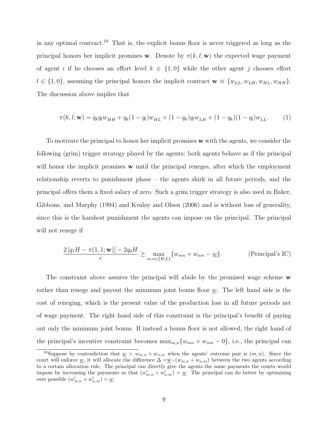in any optimal contract.<sup>10</sup> That is, the explicit bonus floor is never triggered as long as the principal honors her implicit promises w. Denote by  $\pi(k, l; w)$  the expected wage payment of agent i if he chooses an effort level  $k \in \{1,0\}$  while the other agent j chooses effort  $l \in \{1,0\}$ , assuming the principal honors the implicit contract  $\mathbf{w} \equiv \{w_{LL}, w_{LH}, w_{HL}, w_{HH}\}.$ The discussion above implies that

$$
\pi(k, l; \mathbf{w}) = q_k q_l w_{HH} + q_k (1 - q_l) w_{HL} + (1 - q_k) q_l w_{LH} + (1 - q_k)(1 - q_l) w_{LL}.
$$
 (1)

To motivate the principal to honor her implicit promises w with the agents, we consider the following (grim) trigger strategy played by the agents: both agents behave as if the principal will honor the implicit promises **w** until the principal reneges, after which the employment relationship reverts to punishment phase – the agents shirk in all future periods, and the principal offers them a fixed salary of zero. Such a grim trigger strategy is also used in Baker, Gibbons, and Murphy (1994) and Kvaløy and Olsen (2006) and is without loss of generality, since this is the harshest punishment the agents can impose on the principal. The principal will not renege if

$$
\frac{2\left[q_1H - \pi(1,1;\mathbf{w})\right] - 2q_0H}{r} \ge \max_{m,n \in \{H,L\}} \{w_{mn} + w_{nm} - \underline{w}\}.
$$
 (Principal's IC)

The constraint above assures the principal will abide by the promised wage scheme w rather than renege and payout the minimum joint bonus floor  $w$ . The left hand side is the cost of reneging, which is the present value of the production loss in all future periods net of wage payment. The right hand side of this constraint is the principal's benefit of paying out only the minimum joint bonus. If instead a bonus floor is not allowed, the right hand of the principal's incentive constraint becomes  $\max_{m,n} \{w_{mn} + w_{nm} - 0\}$ , i.e., the principal can

<sup>&</sup>lt;sup>10</sup>Suppose by contradiction that  $\underline{w} > w_{m,n} + w_{n,m}$  when the agents' outcome pair is  $(m, n)$ . Since the court will enforce <u>w</u>, it will allocate the difference  $\Delta = w - (w_{m,n} + w_{n,m})$  between the two agents according to a certain allocation rule. The principal can directly give the agents the same payments the courts would impose by increasing the payments so that  $(w'_{m,n} + w'_{n,m}) = \underline{w}$ . The principal can do better by optimizing over possible  $(w'_{m,n} + w'_{n,m}) = \underline{w}$ .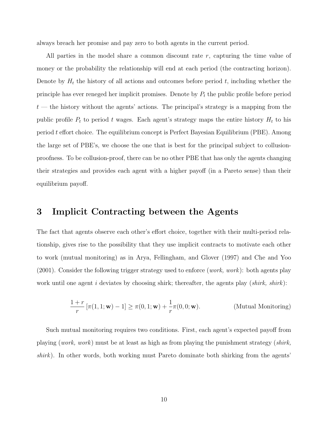always breach her promise and pay zero to both agents in the current period.

All parties in the model share a common discount rate r, capturing the time value of money or the probability the relationship will end at each period (the contracting horizon). Denote by  $H_t$  the history of all actions and outcomes before period t, including whether the principle has ever reneged her implicit promises. Denote by  $P_t$  the public profile before period  $t$  — the history without the agents' actions. The principal's strategy is a mapping from the public profile  $P_t$  to period t wages. Each agent's strategy maps the entire history  $H_t$  to his period t effort choice. The equilibrium concept is Perfect Bayesian Equilibrium (PBE). Among the large set of PBE's, we choose the one that is best for the principal subject to collusionproofness. To be collusion-proof, there can be no other PBE that has only the agents changing their strategies and provides each agent with a higher payoff (in a Pareto sense) than their equilibrium payoff.

### 3 Implicit Contracting between the Agents

The fact that agents observe each other's effort choice, together with their multi-period relationship, gives rise to the possibility that they use implicit contracts to motivate each other to work (mutual monitoring) as in Arya, Fellingham, and Glover (1997) and Che and Yoo (2001). Consider the following trigger strategy used to enforce (*work*, *work*): both agents play work until one agent i deviates by choosing shirk; thereafter, the agents play (shirk, shirk):

$$
\frac{1+r}{r} \left[ \pi(1,1; \mathbf{w}) - 1 \right] \ge \pi(0,1; \mathbf{w}) + \frac{1}{r} \pi(0,0; \mathbf{w}).
$$
 (Mutual Monitoring)

Such mutual monitoring requires two conditions. First, each agent's expected payoff from playing (work, work) must be at least as high as from playing the punishment strategy (shirk,  $\textit{shirk}$ . In other words, both working must Pareto dominate both shirking from the agents'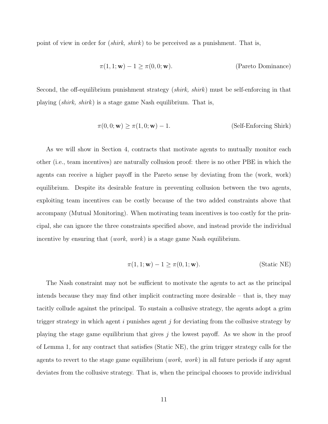point of view in order for *(shirk, shirk)* to be perceived as a punishment. That is,

$$
\pi(1, 1; \mathbf{w}) - 1 \ge \pi(0, 0; \mathbf{w}).
$$
 (Pareto Dominance)

Second, the off-equilibrium punishment strategy *(shirk, shirk)* must be self-enforcing in that playing (shirk, shirk) is a stage game Nash equilibrium. That is,

$$
\pi(0,0; \mathbf{w}) \ge \pi(1,0; \mathbf{w}) - 1.
$$
 (Self-Enforcing Shirk)

As we will show in Section 4, contracts that motivate agents to mutually monitor each other (i.e., team incentives) are naturally collusion proof: there is no other PBE in which the agents can receive a higher payoff in the Pareto sense by deviating from the (work, work) equilibrium. Despite its desirable feature in preventing collusion between the two agents, exploiting team incentives can be costly because of the two added constraints above that accompany (Mutual Monitoring). When motivating team incentives is too costly for the principal, she can ignore the three constraints specified above, and instead provide the individual incentive by ensuring that  $(work, work)$  is a stage game Nash equilibrium.

$$
\pi(1, 1; \mathbf{w}) - 1 \ge \pi(0, 1; \mathbf{w}).
$$
\n(Static NE)

The Nash constraint may not be sufficient to motivate the agents to act as the principal intends because they may find other implicit contracting more desirable – that is, they may tacitly collude against the principal. To sustain a collusive strategy, the agents adopt a grim trigger strategy in which agent  $i$  punishes agent  $j$  for deviating from the collusive strategy by playing the stage game equilibrium that gives  $j$  the lowest payoff. As we show in the proof of Lemma 1, for any contract that satisfies (Static NE), the grim trigger strategy calls for the agents to revert to the stage game equilibrium (*work*, *work*) in all future periods if any agent deviates from the collusive strategy. That is, when the principal chooses to provide individual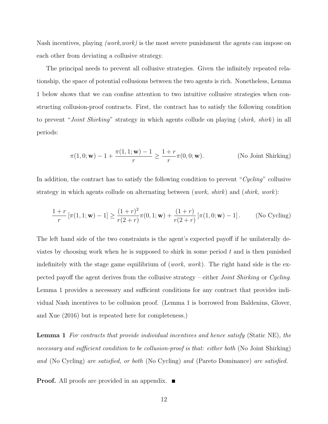Nash incentives, playing *(work,work)* is the most severe punishment the agents can impose on each other from deviating a collusive strategy.

The principal needs to prevent all collusive strategies. Given the infinitely repeated relationship, the space of potential collusions between the two agents is rich. Nonetheless, Lemma 1 below shows that we can confine attention to two intuitive collusive strategies when constructing collusion-proof contracts. First, the contract has to satisfy the following condition to prevent "Joint Shirking" strategy in which agents collude on playing (shirk, shirk) in all periods:

$$
\pi(1,0; \mathbf{w}) - 1 + \frac{\pi(1,1; \mathbf{w}) - 1}{r} \ge \frac{1+r}{r}\pi(0,0; \mathbf{w}).
$$
 (No Joint Shirking)

In addition, the contract has to satisfy the following condition to prevent "Cycling" collusive strategy in which agents collude on alternating between (*work, shirk*) and (*shirk, work*):

$$
\frac{1+r}{r} \left[ \pi(1,1; \mathbf{w}) - 1 \right] \ge \frac{(1+r)^2}{r(2+r)} \pi(0,1; \mathbf{w}) + \frac{(1+r)}{r(2+r)} \left[ \pi(1,0; \mathbf{w}) - 1 \right]. \tag{No Cycling}
$$

The left hand side of the two constraints is the agent's expected payoff if he unilaterally deviates by choosing work when he is supposed to shirk in some period  $t$  and is then punished indefinitely with the stage game equilibrium of (*work*, *work*). The right hand side is the expected payoff the agent derives from the collusive strategy – either Joint Shirking or Cycling. Lemma 1 provides a necessary and sufficient conditions for any contract that provides individual Nash incentives to be collusion proof. (Lemma 1 is borrowed from Baldenius, Glover, and Xue (2016) but is repeated here for completeness.)

Lemma 1 For contracts that provide individual incentives and hence satisfy (Static NE), the necessary and sufficient condition to be collusion-proof is that: either both (No Joint Shirking) and (No Cycling) are satisfied, or both (No Cycling) and (Pareto Dominance) are satisfied.

**Proof.** All proofs are provided in an appendix.  $\blacksquare$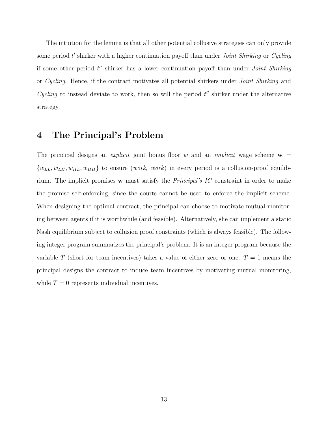The intuition for the lemma is that all other potential collusive strategies can only provide some period  $t'$  shirker with a higher continuation payoff than under *Joint Shirking* or Cycling if some other period  $t''$  shirker has a lower continuation payoff than under *Joint Shirking* or Cycling. Hence, if the contract motivates all potential shirkers under Joint Shirking and Cycling to instead deviate to work, then so will the period  $t''$  shirker under the alternative strategy.

## 4 The Principal's Problem

The principal designs an *explicit* joint bonus floor <u>w</u> and an *implicit* wage scheme  $\mathbf{w} =$  ${w_{LL}, w_{LH}, w_{HL}, w_{HH}}$  to ensure (*work*, *work*) in every period is a collusion-proof equilibrium. The implicit promises w must satisfy the Principal's IC constraint in order to make the promise self-enforcing, since the courts cannot be used to enforce the implicit scheme. When designing the optimal contract, the principal can choose to motivate mutual monitoring between agents if it is worthwhile (and feasible). Alternatively, she can implement a static Nash equilibrium subject to collusion proof constraints (which is always feasible). The following integer program summarizes the principal's problem. It is an integer program because the variable T (short for team incentives) takes a value of either zero or one:  $T = 1$  means the principal designs the contract to induce team incentives by motivating mutual monitoring, while  $T = 0$  represents individual incentives.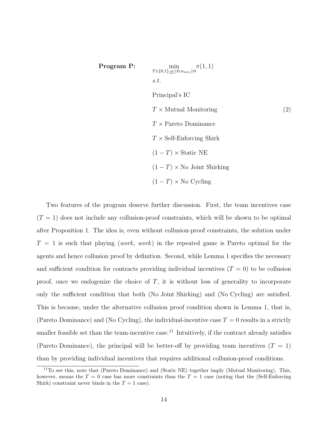**Program P:**

\n
$$
\min_{T \in \{0,1\}, \underline{w} \ge 0, w_{mn} \ge 0} \pi(1,1)
$$
\ns.t.

\nPrincipal's IC

\n
$$
T \times \text{Mutual Monitoring}
$$
\n
$$
T \times \text{Pareto Dominance}
$$
\n
$$
T \times \text{Self-Enforcing Shirk}
$$
\n
$$
(1-T) \times \text{Static NE}
$$
\n
$$
(1-T) \times \text{No Joint Shirking}
$$
\n
$$
(1-T) \times \text{No Cycling}
$$

Two features of the program deserve further discussion. First, the team incentives case  $(T = 1)$  does not include any collusion-proof constraints, which will be shown to be optimal after Proposition 1. The idea is, even without collusion-proof constraints, the solution under  $T = 1$  is such that playing (work, work) in the repeated game is Pareto optimal for the agents and hence collusion proof by definition. Second, while Lemma 1 specifies the necessary and sufficient condition for contracts providing individual incentives  $(T = 0)$  to be collusion proof, once we endogenize the choice of  $T$ , it is without loss of generality to incorporate only the sufficient condition that both (No Joint Shirking) and (No Cycling) are satisfied. This is because, under the alternative collusion proof condition shown in Lemma 1, that is, (Pareto Dominance) and (No Cycling), the individual-incentive case  $T = 0$  results in a strictly smaller feasible set than the team-incentive case.<sup>11</sup> Intuitively, if the contract already satisfies (Pareto Dominance), the principal will be better-off by providing team incentives  $(T = 1)$ than by providing individual incentives that requires additional collusion-proof conditions.

 $11$ To see this, note that (Pareto Dominance) and (Static NE) together imply (Mutual Monitoring). This, however, means the  $T = 0$  case has more constraints than the  $T = 1$  case (noting that the (Self-Enforcing Shirk) constraint never binds in the  $T = 1$  case).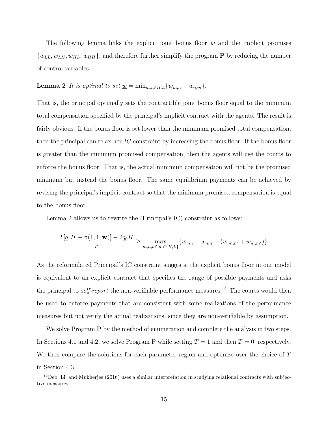The following lemma links the explicit joint bonus floor  $w$  and the implicit promises  $\{w_{LL}, w_{LH}, w_{HL}, w_{HH}\}$ , and therefore further simplify the program **P** by reducing the number of control variables.

## **Lemma 2** It is optimal to set  $\underline{w} = \min_{m,n \in H,L} \{w_{m,n} + w_{n,m}\}.$

That is, the principal optimally sets the contractible joint bonus floor equal to the minimum total compensation specified by the principal's implicit contract with the agents. The result is fairly obvious. If the bonus floor is set lower than the minimum promised total compensation, then the principal can relax her  $IC$  constraint by increasing the bonus floor. If the bonus floor is greater than the minimum promised compensation, then the agents will use the courts to enforce the bonus floor. That is, the actual minimum compensation will not be the promised minimum but instead the bonus floor. The same equilibrium payments can be achieved by revising the principal's implicit contract so that the minimum promised compensation is equal to the bonus floor.

Lemma 2 allows us to rewrite the (Principal's IC) constraint as follows:

$$
\frac{2[q_1H - \pi(1, 1; \mathbf{w})] - 2q_0H}{r} \ge \max_{m, n, m', n' \in \{H, L\}} \{w_{mn} + w_{nm} - (w_{m', n'} + w_{n', m'})\}.
$$

As the reformulated Principal's IC constraint suggests, the explicit bonus floor in our model is equivalent to an explicit contract that specifies the range of possible payments and asks the principal to *self-report* the non-verifiable performance measures.<sup>12</sup> The courts would then be used to enforce payments that are consistent with some realizations of the performance measures but not verify the actual realizations, since they are non-verifiable by assumption.

We solve Program  $P$  by the method of enumeration and complete the analysis in two steps. In Sections 4.1 and 4.2, we solve Program P while setting  $T = 1$  and then  $T = 0$ , respectively. We then compare the solutions for each parameter region and optimize over the choice of T in Section 4.3.

 $12$  Deb, Li, and Mukherjee (2016) uses a similar interpretation in studying relational contracts with subjective measures.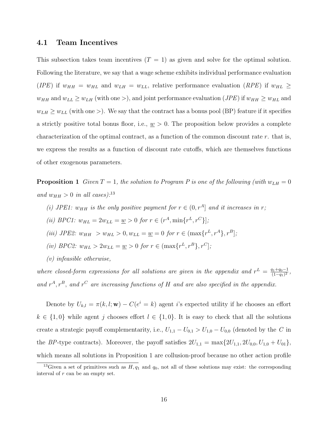### 4.1 Team Incentives

This subsection takes team incentives  $(T = 1)$  as given and solve for the optimal solution. Following the literature, we say that a wage scheme exhibits individual performance evaluation (IPE) if  $w_{HH} = w_{HL}$  and  $w_{LH} = w_{LL}$ , relative performance evaluation (RPE) if  $w_{HL} \ge$  $w_{HH}$  and  $w_{LL} \ge w_{LH}$  (with one >), and joint performance evaluation (*JPE*) if  $w_{HH} \ge w_{HL}$  and  $w_{LH} \geq w_{LL}$  (with one >). We say that the contract has a bonus pool (BP) feature if it specifies a strictly positive total bonus floor, i.e.,  $\underline{w} > 0$ . The proposition below provides a complete characterization of the optimal contract, as a function of the common discount rate  $r$ . that is, we express the results as a function of discount rate cutoffs, which are themselves functions of other exogenous parameters.

**Proposition 1** Given  $T = 1$ , the solution to Program P is one of the following (with  $w_{LH} = 0$ and  $w_{HH} > 0$  in all cases):<sup>13</sup>

- (i) JPE1:  $w_{HH}$  is the only positive payment for  $r \in (0, r^A]$  and it increases in r;
- (*ii*) *BPC1*:  $w_{HL} = 2w_{LL} = \underline{w} > 0$  for  $r \in (r^A, \min\{r^L, r^C\}]$ ;
- (iii) JPE2:  $w_{HH} > w_{HL} > 0, w_{LL} = \underline{w} = 0$  for  $r \in (\max\{r^L, r^A\}, r^B]$ ;
- (iv) BPC2:  $w_{HL} > 2w_{LL} = \underline{w} > 0$  for  $r \in (\max\{r^L, r^B\}, r^C]$ ;
- (v) infeasible otherwise,

where closed-form expressions for all solutions are given in the appendix and  $r^L = \frac{q_1+q_0-1}{(1-q_0)^2}$  $\frac{q_1+q_0-1}{(1-q_1)^2}$ and  $r^A$ ,  $r^B$ , and  $r^C$  are increasing functions of H and are also specified in the appendix.

Denote by  $U_{k,l} = \pi(k, l; \mathbf{w}) - C(e^i = k)$  agent i's expected utility if he chooses an effort  $k \in \{1,0\}$  while agent j chooses effort  $l \in \{1,0\}$ . It is easy to check that all the solutions create a strategic payoff complementarity, i.e.,  $U_{1,1} - U_{0,1} > U_{1,0} - U_{0,0}$  (denoted by the C in the BP-type contracts). Moreover, the payoff satisfies  $2U_{1,1} = \max\{2U_{1,1}, 2U_{0,0}, U_{1,0} + U_{01}\},\$ which means all solutions in Proposition 1 are collusion-proof because no other action profile

<sup>&</sup>lt;sup>13</sup>Given a set of primitives such as  $H$ ,  $q_1$  and  $q_0$ , not all of these solutions may exist: the corresponding interval of  $r$  can be an empty set.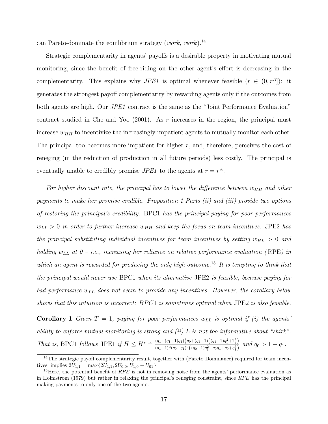can Pareto-dominate the equilibrium strategy (work, work).<sup>14</sup>

Strategic complementarity in agents' payoffs is a desirable property in motivating mutual monitoring, since the benefit of free-riding on the other agent's effort is decreasing in the complementarity. This explains why *JPE1* is optimal whenever feasible  $(r \in (0, r^A])$ : it generates the strongest payoff complementarity by rewarding agents only if the outcomes from both agents are high. Our *JPE1* contract is the same as the "Joint Performance Evaluation" contract studied in Che and Yoo  $(2001)$ . As r increases in the region, the principal must increase  $w_{HH}$  to incentivize the increasingly impatient agents to mutually monitor each other. The principal too becomes more impatient for higher  $r$ , and, therefore, perceives the cost of reneging (in the reduction of production in all future periods) less costly. The principal is eventually unable to credibly promise  $JPE1$  to the agents at  $r = r<sup>A</sup>$ .

For higher discount rate, the principal has to lower the difference between  $w_{HH}$  and other payments to make her promise credible. Proposition 1 Parts (ii) and (iii) provide two options of restoring the principal's credibility. BPC1 has the principal paying for poor performances  $w_{LL} > 0$  in order to further increase  $w_{HH}$  and keep the focus on team incentives. JPE2 has the principal substituting individual incentives for team incentives by setting  $w_{HL} > 0$  and holding  $w_{LL}$  at  $0 - i.e.,$  increasing her reliance on relative performance evaluation (RPE) in which an agent is rewarded for producing the only high outcome.<sup>15</sup> It is tempting to think that the principal would never use BPC1 when its alternative JPE2 is feasible, because paying for bad performance  $w_{LL}$  does not seem to provide any incentives. However, the corollary below shows that this intuition is incorrect:  $BPC1$  is sometimes optimal when JPE2 is also feasible.

**Corollary 1** Given  $T = 1$ , paying for poor performances  $w_{LL}$  is optimal if (i) the agents' ability to enforce mutual monitoring is strong and (ii)  $L$  is not too informative about "shirk". That is, BPC1 follows JPE1 if  $H \leq H^* \doteq \frac{(q_1+(q_1-1)q_1)(q_0+(q_1-1)(q_1-1)q_1^2+1)}{(q_1-1)q_1^2(q_1-1)q_1^2(q_1-1)q_1^2(q_1-1)q_1^2+1)}$  $\frac{(q_1+(q_1-1)q_1)(q_0+q_1-1)(q_1-1)q_1+1)}{(q_1-1)^2(q_0-q_1)^2((q_0-1)q_1^2-q_0q_1+q_0+q_1^3)}$  and  $q_0>1-q_1$ .

<sup>&</sup>lt;sup>14</sup>The strategic payoff complementarity result, together with (Pareto Dominance) required for team incentives, implies  $2U_{1,1} = \max\{2U_{1,1}, 2U_{0,0}, U_{1,0} + U_{01}\}.$ 

<sup>&</sup>lt;sup>15</sup>Here, the potential benefit of  $RPE$  is not in removing noise from the agents' performance evaluation as in Holmstrom (1979) but rather in relaxing the principal's reneging constraint, since RPE has the principal making payments to only one of the two agents.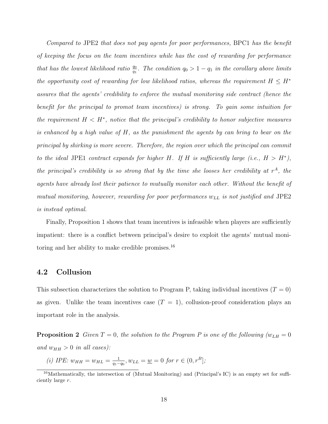Compared to JPE2 that does not pay agents for poor performances, BPC1 has the benefit of keeping the focus on the team incentives while has the cost of rewarding for performance that has the lowest likelihood ratio  $\frac{q_0}{q_1}$ . The condition  $q_0 > 1 - q_1$  in the corollary above limits the opportunity cost of rewarding for low likelihood ratios, whereas the requirement  $H \leq H^*$ assures that the agents' credibility to enforce the mutual monitoring side contract (hence the benefit for the principal to promot team incentives) is strong. To gain some intuition for the requirement  $H \leq H^*$ , notice that the principal's credibility to honor subjective measures is enhanced by a high value of H, as the punishment the agents by can bring to bear on the principal by shirking is more severe. Therefore, the region over which the principal can commit to the ideal JPE1 contract expands for higher H. If H is sufficiently large (i.e.,  $H > H^*$ ), the principal's credibility is so strong that by the time she looses her credibility at  $r^A$ , the agents have already lost their patience to mutually monitor each other. Without the benefit of mutual monitoring, however, rewarding for poor performances  $w_{LL}$  is not justified and JPE2 is instead optimal.

Finally, Proposition 1 shows that team incentives is infeasible when players are sufficiently impatient: there is a conflict between principal's desire to exploit the agents' mutual monitoring and her ability to make credible promises.<sup>16</sup>

### 4.2 Collusion

This subsection characterizes the solution to Program P, taking individual incentives  $(T = 0)$ as given. Unlike the team incentives case  $(T = 1)$ , collusion-proof consideration plays an important role in the analysis.

**Proposition 2** Given  $T = 0$ , the solution to the Program P is one of the following  $(w_{LH} = 0$ and  $w_{HH} > 0$  in all cases):

(i) *IPE*: 
$$
w_{HH} = w_{HL} = \frac{1}{q_1 - q_0}
$$
,  $w_{LL} = \underline{w} = 0$  for  $r \in (0, r^B]$ ;

<sup>&</sup>lt;sup>16</sup>Mathematically, the intersection of (Mutual Monitoring) and (Principal's IC) is an empty set for sufficiently large r.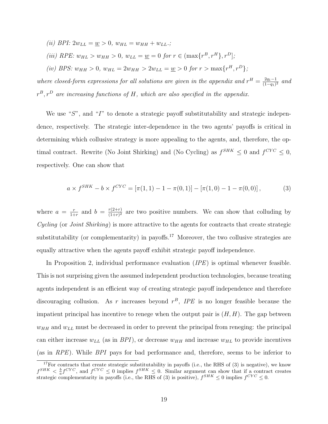(*ii*) *BPI*:  $2w_{LL} = \underline{w} > 0$ ,  $w_{HL} = w_{HH} + w_{LL}$ .;

(iii) RPE:  $w_{HL} > w_{HH} > 0$ ,  $w_{LL} = \underline{w} = 0$  for  $r \in (\max\{r^B, r^H\}, r^D]$ ;

(iv) BPS:  $w_{HH} > 0$ ,  $w_{HL} = 2w_{HH} > 2w_{LL} = \underline{w} > 0$  for  $r > \max\{r^H, r^D\}$ ;

where closed-form expressions for all solutions are given in the appendix and  $r^H = \frac{2q_1-1}{(1-q_1)^2}$  $\frac{2q_1-1}{(1-q_1)^2}$  and  $r^{B}, r^{D}$  are increasing functions of H, which are also specified in the appendix.

We use " $S$ ", and " $I$ " to denote a strategic payoff substitutability and strategic independence, respectively. The strategic inter-dependence in the two agents' payoffs is critical in determining which collusive strategy is more appealing to the agents, and, therefore, the optimal contract. Rewrite (No Joint Shirking) and (No Cycling) as  $f^{SHK} \leq 0$  and  $f^{CYC} \leq 0$ , respectively. One can show that

$$
a \times f^{SHK} - b \times f^{CYC} = [\pi(1, 1) - 1 - \pi(0, 1)] - [\pi(1, 0) - 1 - \pi(0, 0)],
$$
 (3)

where  $a = \frac{r}{1+r}$  $\frac{r}{1+r}$  and  $b = \frac{r(2+r)}{(1+r)^2}$  $\frac{r(2+r)}{(1+r)^2}$  are two positive numbers. We can show that colluding by  $Cycling$  (or *Joint Shirking*) is more attractive to the agents for contracts that create strategic substitutability (or complementarity) in payoffs.<sup>17</sup> Moreover, the two collusive strategies are equally attractive when the agents payoff exhibit strategic payoff independence.

In Proposition 2, individual performance evaluation (*IPE*) is optimal whenever feasible. This is not surprising given the assumed independent production technologies, because treating agents independent is an efficient way of creating strategic payoff independence and therefore discouraging collusion. As r increases beyond  $r^B$ , IPE is no longer feasible because the impatient principal has incentive to renege when the output pair is  $(H, H)$ . The gap between  $w_{HH}$  and  $w_{LL}$  must be decreased in order to prevent the principal from reneging: the principal can either increase  $w_{LL}$  (as in BPI), or decrease  $w_{HH}$  and increase  $w_{HL}$  to provide incentives (as in RPE). While BPI pays for bad performance and, therefore, seems to be inferior to

 $17$ For contracts that create strategic substitutability in payoffs (i.e., the RHS of  $(3)$  is negative), we know  $f^{SHK} < \frac{b}{a} f^{CYC}$ , and  $f^{CYC} \leq 0$  implies  $f^{SHK} \leq 0$ . Similar argument can show that if a contract creates strategic complementarity in payoffs (i.e., the RHS of (3) is positive),  $f^{SHK} \leq 0$  implies  $f^{CYC} \leq 0$ .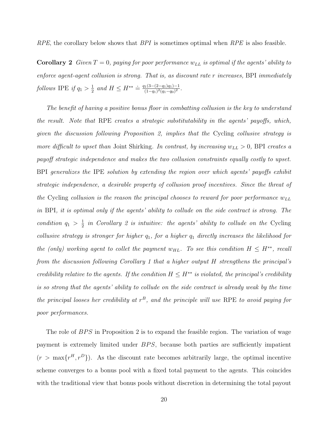RPE, the corollary below shows that  $BPI$  is sometimes optimal when  $RPE$  is also feasible.

**Corollary 2** Given  $T = 0$ , paying for poor performance  $w_{LL}$  is optimal if the agents' ability to enforce agent-agent collusion is strong. That is, as discount rate r increases, BPI immediately follows IPE if  $q_1 > \frac{1}{2}$  $\frac{1}{2}$  and  $H \leq H^{**} \doteq \frac{q_1(3-(2-q_1)q_1)-1}{(1-q_1)^2(q_1-q_0)^2}$  $\frac{(1(3-(2-q_1)q_1)-1)}{(1-q_1)^2(q_1-q_0)^2}.$ 

The benefit of having a positive bonus floor in combatting collusion is the key to understand the result. Note that RPE creates a strategic substitutability in the agents' payoffs, which, given the discussion following Proposition 2, implies that the Cycling collusive strategy is more difficult to upset than Joint Shirking. In contrast, by increasing  $w_{LL} > 0$ , BPI creates a payoff strategic independence and makes the two collusion constraints equally costly to upset. BPI generalizes the IPE solution by extending the region over which agents' payoffs exhibit strategic independence, a desirable property of collusion proof incentives. Since the threat of the Cycling collusion is the reason the principal chooses to reward for poor performance  $w_{LL}$ in BPI, it is optimal only if the agents' ability to collude on the side contract is strong. The condition  $q_1 > \frac{1}{2}$  $\frac{1}{2}$  in Corollary 2 is intuitive: the agents' ability to collude on the Cycling collusive strategy is stronger for higher  $q_1$ , for a higher  $q_1$  directly increases the likelihood for the (only) working agent to collet the payment  $w_{HL}$ . To see this condition  $H \leq H^{**}$ , recall from the discussion following Corollary 1 that a higher output H strengthens the principal's credibility relative to the agents. If the condition  $H \leq H^{**}$  is violated, the principal's credibility is so strong that the agents' ability to collude on the side contract is already weak by the time the principal looses her credibility at  $r^B$ , and the principle will use RPE to avoid paying for poor performances.

The role of  $BPS$  in Proposition 2 is to expand the feasible region. The variation of wage payment is extremely limited under BPS, because both parties are sufficiently impatient  $(r > \max\{r^H, r^D\})$ . As the discount rate becomes arbitrarily large, the optimal incentive scheme converges to a bonus pool with a fixed total payment to the agents. This coincides with the traditional view that bonus pools without discretion in determining the total payout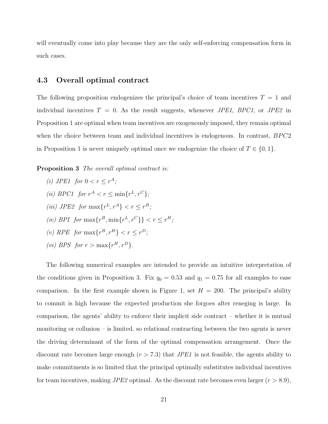will eventually come into play because they are the only self-enforcing compensation form in such cases.

### 4.3 Overall optimal contract

The following proposition endogenizes the principal's choice of team incentives  $T = 1$  and individual incentives  $T = 0$ . As the result suggests, whenever *JPE1*, *BPC1*, or *JPE2* in Proposition 1 are optimal when team incentives are exogenously imposed, they remain optimal when the choice between team and individual incentives is endogenous. In contrast,  $BPC2$ in Proposition 1 is never uniquely optimal once we endogenize the choice of  $T \in \{0, 1\}$ .

**Proposition 3** The overall optimal contract is:

(i) JPE1 for  $0 < r \leq r^A$ ; (ii) BPC1 for  $r^A < r \leq \min\{r^L, r^C\}$ ; (iii) JPE2 for  $\max\{r^L, r^A\} < r \leq r^B$ ; (iv) BPI for  $\max\{r^B, \min\{r^L, r^C\}\} < r \leq r^H$ ; (v) RPE for  $\max\{r^B, r^H\} < r \leq r^D$ ; (*vi*) BPS for  $r > \max\{r^H, r^D\}$ .

The following numerical examples are intended to provide an intuitive interpretation of the conditions given in Proposition 3. Fix  $q_0 = 0.53$  and  $q_1 = 0.75$  for all examples to ease comparison. In the first example shown in Figure 1, set  $H = 200$ . The principal's ability to commit is high because the expected production she forgoes after reneging is large. In comparison, the agents' ability to enforce their implicit side contract – whether it is mutual monitoring or collusion – is limited, so relational contracting between the two agents is never the driving determinant of the form of the optimal compensation arrangement. Once the discount rate becomes large enough  $(r > 7.3)$  that *JPE1* is not feasible, the agents ability to make commitments is so limited that the principal optimally substitutes individual incentives for team incentives, making  $JPE2$  optimal. As the discount rate becomes even larger  $(r > 8.9)$ ,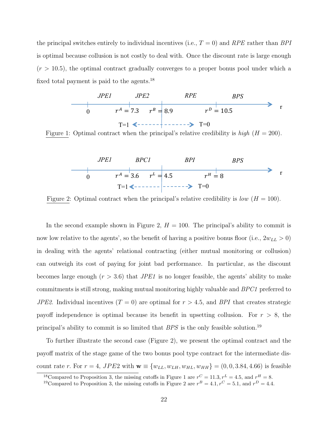the principal switches entirely to individual incentives (i.e.,  $T = 0$ ) and RPE rather than BPI is optimal because collusion is not costly to deal with. Once the discount rate is large enough  $(r > 10.5)$ , the optimal contract gradually converges to a proper bonus pool under which a fixed total payment is paid to the agents.  $^{18}$ 



Figure 1: Optimal contract when the principal's relative credibility is  $high$  ( $H = 200$ ).



Figure 2: Optimal contract when the principal's relative credibility is low  $(H = 100)$ .

In the second example shown in Figure 2,  $H = 100$ . The principal's ability to commit is now low relative to the agents', so the benefit of having a positive bonus floor (i.e.,  $2w_{LL} > 0$ ) in dealing with the agents' relational contracting (either mutual monitoring or collusion) can outweigh its cost of paying for joint bad performance. In particular, as the discount becomes large enough  $(r > 3.6)$  that *JPE1* is no longer feasible, the agents' ability to make commitments is still strong, making mutual monitoring highly valuable and BPC1 preferred to *JPE2*. Individual incentives  $(T = 0)$  are optimal for  $r > 4.5$ , and *BPI* that creates strategic payoff independence is optimal because its benefit in upsetting collusion. For  $r > 8$ , the principal's ability to commit is so limited that  $BPS$  is the only feasible solution.<sup>19</sup>

To further illustrate the second case (Figure 2), we present the optimal contract and the payoff matrix of the stage game of the two bonus pool type contract for the intermediate discount rate r. For  $r = 4$ , JPE2 with  $\mathbf{w} \equiv \{w_{LL}, w_{LH}, w_{HL}, w_{HH}\} = (0, 0, 3.84, 4.66)$  is feasible

<sup>&</sup>lt;sup>18</sup>Compared to Proposition 3, the missing cutoffs in Figure 1 are  $r^C = 11.3, r^L = 4.5$ , and  $r^H = 8$ .

<sup>&</sup>lt;sup>19</sup>Compared to Proposition 3, the missing cutoffs in Figure 2 are  $r^B = 4.1, r^C = 5.1$ , and  $r^D = 4.4$ .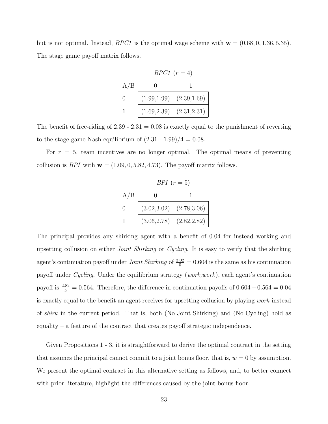but is not optimal. Instead,  $BPC1$  is the optimal wage scheme with  $\mathbf{w} = (0.68, 0, 1.36, 5.35)$ . The stage game payoff matrix follows.

$$
BPC1 (r = 4)
$$
  
\nA/B  
\n0  
\n1  
\n(1.99,1.99) (2.39,1.69)  
\n1 (1.69,2.39) (2.31,2.31)

The benefit of free-riding of 2.39 - 2.31 =  $0.08$  is exactly equal to the punishment of reverting to the stage game Nash equilibrium of  $(2.31 - 1.99)/4 = 0.08$ .

For  $r = 5$ , team incentives are no longer optimal. The optimal means of preventing collusion is *BPI* with  $\mathbf{w} = (1.09, 0, 5.82, 4.73)$ . The payoff matrix follows.

|          | BPI $(r=5)$                   |  |
|----------|-------------------------------|--|
| A/B      |                               |  |
| $\Omega$ | $(3.02, 3.02)$ $(2.78, 3.06)$ |  |
|          | $(3.06, 2.78)$ $(2.82, 2.82)$ |  |

The principal provides any shirking agent with a benefit of 0.04 for instead working and upsetting collusion on either *Joint Shirking* or *Cycling*. It is easy to verify that the shirking agent's continuation payoff under *Joint Shirking* of  $\frac{3.02}{5} = 0.604$  is the same as his continuation payoff under Cycling. Under the equilibrium strategy (work,work), each agent's continuation payoff is  $\frac{2.82}{5} = 0.564$ . Therefore, the difference in continuation payoffs of  $0.604 - 0.564 = 0.04$ is exactly equal to the benefit an agent receives for upsetting collusion by playing work instead of shirk in the current period. That is, both (No Joint Shirking) and (No Cycling) hold as equality – a feature of the contract that creates payoff strategic independence.

Given Propositions 1 - 3, it is straightforward to derive the optimal contract in the setting that assumes the principal cannot commit to a joint bonus floor, that is,  $\underline{w} = 0$  by assumption. We present the optimal contract in this alternative setting as follows, and, to better connect with prior literature, highlight the differences caused by the joint bonus floor.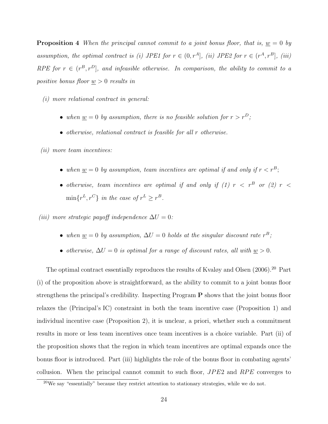**Proposition 4** When the principal cannot commit to a joint bonus floor, that is,  $\underline{w} = 0$  by assumption, the optimal contract is (i) JPE1 for  $r \in (0, r<sup>A</sup>]$ , (ii) JPE2 for  $r \in (r<sup>A</sup>, r<sup>B</sup>]$ , (iii) RPE for  $r \in (r^B, r^D]$ , and infeasible otherwise. In comparison, the ability to commit to a positive bonus floor  $\underline{w} > 0$  results in

- (i) more relational contract in general:
	- when  $\underline{w} = 0$  by assumption, there is no feasible solution for  $r > r^D$ ;
	- otherwise, relational contract is feasible for all r otherwise.

(ii) more team incentives:

- when  $\underline{w} = 0$  by assumption, team incentives are optimal if and only if  $r < r^B$ ;
- otherwise, team incentives are optimal if and only if (1)  $r \leq r^B$  or (2)  $r \leq$  $\min\{r^L, r^C\}$  in the case of  $r^L \geq r^B$ .

(iii) more strategic payoff independence  $\Delta U = 0$ :

- when  $\underline{w} = 0$  by assumption,  $\Delta U = 0$  holds at the singular discount rate  $r^B$ ;
- otherwise,  $\Delta U = 0$  is optimal for a range of discount rates, all with  $w > 0$ .

The optimal contract essentially reproduces the results of Kvaløy and Olsen  $(2006).^{20}$  Part (i) of the proposition above is straightforward, as the ability to commit to a joint bonus floor strengthens the principal's credibility. Inspecting Program P shows that the joint bonus floor relaxes the (Principal's IC) constraint in both the team incentive case (Proposition 1) and individual incentive case (Proposition 2), it is unclear, a priori, whether such a commitment results in more or less team incentives once team incentives is a choice variable. Part (ii) of the proposition shows that the region in which team incentives are optimal expands once the bonus floor is introduced. Part (iii) highlights the role of the bonus floor in combating agents' collusion. When the principal cannot commit to such floor,  $JPE2$  and  $RPE$  converges to

 $20$ We say "essentially" because they restrict attention to stationary strategies, while we do not.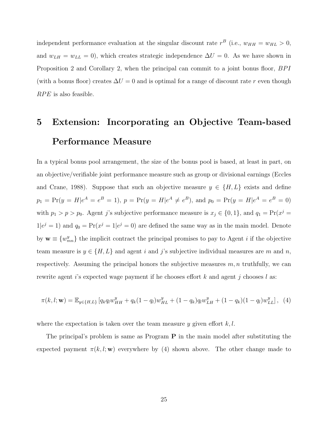independent performance evaluation at the singular discount rate  $r^B$  (i.e.,  $w_{HH} = w_{HL} > 0$ , and  $w_{LH} = w_{LL} = 0$ , which creates strategic independence  $\Delta U = 0$ . As we have shown in Proposition 2 and Corollary 2, when the principal can commit to a joint bonus floor, BPI (with a bonus floor) creates  $\Delta U = 0$  and is optimal for a range of discount rate r even though  $RPE$  is also feasible.

## 5 Extension: Incorporating an Objective Team-based Performance Measure

In a typical bonus pool arrangement, the size of the bonus pool is based, at least in part, on an objective/verifiable joint performance measure such as group or divisional earnings (Eccles and Crane, 1988). Suppose that such an objective measure  $y \in \{H, L\}$  exists and define  $p_1 = \Pr(y = H | e^A = e^B = 1), p = \Pr(y = H | e^A \neq e^B), \text{ and } p_0 = \Pr(y = H | e^A = e^B = 0)$ with  $p_1 > p > p_0$ . Agent j's subjective performance measure is  $x_j \in \{0, 1\}$ , and  $q_1 = \Pr(x^j = 1)$  $1|e^j = 1$  and  $q_0 = \Pr(x^j = 1|e^j = 0)$  are defined the same way as in the main model. Denote by  $\mathbf{w} \equiv \{w_{mn}^y\}$  the implicit contract the principal promises to pay to Agent *i* if the objective team measure is  $y \in \{H, L\}$  and agent i and j's subjective individual measures are m and n, respectively. Assuming the principal honors the subjective measures  $m, n$  truthfully, we can rewrite agent is expected wage payment if he chooses effort k and agent j chooses l as:

$$
\pi(k,l; \mathbf{w}) = \mathbb{E}_{y \in \{H,L\}} \left[ q_k q_l w_{HH}^y + q_k (1-q_l) w_{HL}^y + (1-q_k) q_l w_{LH}^y + (1-q_k)(1-q_l) w_{LL}^y \right], \tag{4}
$$

where the expectation is taken over the team measure  $y$  given effort  $k, l$ .

The principal's problem is same as Program  $P$  in the main model after substituting the expected payment  $\pi(k, l; \mathbf{w})$  everywhere by (4) shown above. The other change made to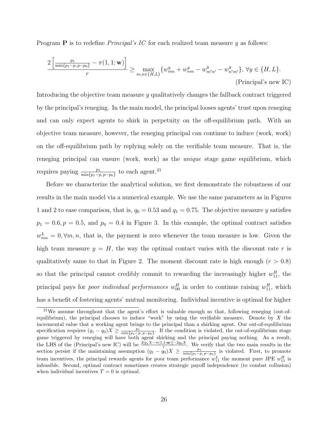Program **P** is to redefine *Principal's IC* for each realized team measure  $\eta$  as follows:

$$
\frac{2\left[\frac{p_1}{\min\{p_1 - p, p - p_0\}} - \pi(1, 1; \mathbf{w})\right]}{r} \ge \max_{m, n \in \{H, L\}} \{w_{mn}^y + w_{nm}^y - w_{m'n'}^y - w_{n'm'}^y\}, \forall y \in \{H, L\}. \tag{Principal's new IC}
$$

Introducing the objective team measure  $y$  qualitatively changes the fallback contract triggered by the principal's reneging. In the main model, the principal looses agents' trust upon reneging and can only expect agents to shirk in perpetuity on the off-equilibrium path. With an objective team measure, however, the reneging principal can continue to induce (work, work) on the off-equilibrium path by replying solely on the verifiable team measure. That is, the reneging principal can ensure (work, work) as the unique stage game equilibrium, which requires paying  $\frac{p_1}{\min\{p_1-p, p-p_0\}}$  to each agent.<sup>21</sup>

Before we characterize the analytical solution, we first demonstrate the robustness of our results in the main model via a numerical example. We use the same parameters as in Figures 1 and 2 to ease comparison, that is,  $q_0 = 0.53$  and  $q_1 = 0.75$ . The objective measure y satisfies  $p_1 = 0.6, p = 0.5,$  and  $p_0 = 0.4$  in Figure 3. In this example, the optimal contract satisfies  $w_{mn}^L = 0, \forall m, n$ , that is, the payment is zero whenever the team measure is low. Given the high team measure  $y = H$ , the way the optimal contact varies with the discount rate r is qualitatively same to that in Figure 2. The moment discount rate is high enough  $(r > 0.8)$ so that the principal cannot credibly commit to rewarding the increasingly higher  $w_{11}^H$ , the principal pays for *poor individual performances*  $w_{00}^H$  in order to continue raising  $w_{11}^H$ , which has a benefit of fostering agents' mutual monitoring. Individual incentive is optimal for higher

 $^{21}$ We assume throughout that the agent's effort is valuable enough so that, following reneging (out-ofequilibrium), the principal chooses to induce "work" by using the verifiable measure. Denote by  $X$  the incremental value that a working agent brings to the principal than a shirking agent. Our out-of-equilibrium specification requires  $(q_1 - q_0)X \ge \frac{p_1}{\min\{p_1 - p, p-p_0\}}$ . If the condition is violated, the out-of-equilibrium stage game triggered by reneging will have both agent shirking and the principal paying nothing. As a result, the LHS of the (Principal's new IC) will be  $\frac{2[q_1X-\pi(1,1;w)]-2q_0X}{r}$ . We verify that the two main results in the section persist if the maintaining assumption  $(q_1 - q_0)X \ge \frac{p_1}{\min\{p_1 - p, p-p_0\}}$  is violated. First, to promote team incentives, the principal rewards agents for poor team performance  $w_{11}^L$  the moment pure JPE  $w_{11}^H$  is infeasible. Second, optimal contract sometimes creates strategic payoff independence (to combat collusion) when individual incentives  $T = 0$  is optimal.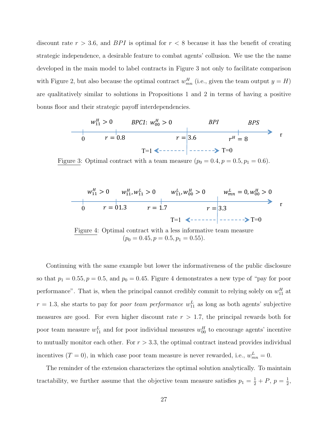discount rate  $r > 3.6$ , and BPI is optimal for  $r < 8$  because it has the benefit of creating strategic independence, a desirable feature to combat agents' collusion. We use the the name developed in the main model to label contracts in Figure 3 not only to facilitate comparison with Figure 2, but also because the optimal contract  $w_{mn}^H$  (i.e., given the team output  $y = H$ ) are qualitatively similar to solutions in Propositions 1 and 2 in terms of having a positive bonus floor and their strategic payoff interdependencies.

$$
w_{11}^H > 0
$$
 *BPC1*:  $w_{00}^H > 0$  *BPI BPS*  
\n0  $r = 0.8$   $r = 3.6$   $r^H = 8$ 

Figure 3: Optimal contract with a team measure  $(p_0 = 0.4, p = 0.5, p_1 = 0.6)$ .

$$
w_{11}^H > 0 \t w_{11}^H, w_{11}^L > 0 \t w_{11}^L, w_{00}^H > 0 \t w_{mn}^L = 0, w_{00}^H > 0
$$
  
\n
$$
0 \t r = 01.3 \t r = 1.7 \t r = 3.3 \t r = 0
$$

Figure 4: Optimal contract with a less informative team measure  $(p_0 = 0.45, p = 0.5, p_1 = 0.55).$ 

Continuing with the same example but lower the informativeness of the public disclosure so that  $p_1 = 0.55, p = 0.5$ , and  $p_0 = 0.45$ . Figure 4 demonstrates a new type of "pay for poor performance". That is, when the principal cannot credibly commit to relying solely on  $w_{11}^H$  at  $r = 1.3$ , she starts to pay for *poor team performance*  $w_{11}^L$  as long as both agents' subjective measures are good. For even higher discount rate  $r > 1.7$ , the principal rewards both for poor team measure  $w_{11}^L$  and for poor individual measures  $w_{00}^H$  to encourage agents' incentive to mutually monitor each other. For  $r > 3.3$ , the optimal contract instead provides individual incentives  $(T = 0)$ , in which case poor team measure is never rewarded, i.e.,  $w_{mn}^L = 0$ .

The reminder of the extension characterizes the optimal solution analytically. To maintain tractability, we further assume that the objective team measure satisfies  $p_1 = \frac{1}{2} + P$ ,  $p = \frac{1}{2}$  $\frac{1}{2}$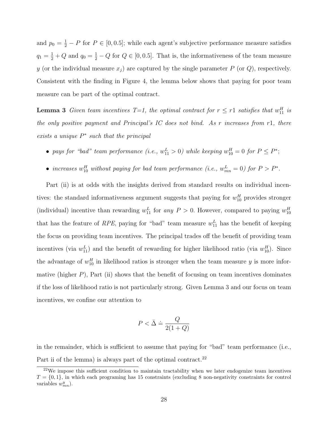and  $p_0 = \frac{1}{2} - P$  for  $P \in [0, 0.5]$ ; while each agent's subjective performance measure satisfies  $q_1 = \frac{1}{2} + Q$  and  $q_0 = \frac{1}{2} - Q$  for  $Q \in [0, 0.5]$ . That is, the informativeness of the team measure y (or the individual measure  $x_j$ ) are captured by the single parameter P (or Q), respectively. Consistent with the finding in Figure 4, the lemma below shows that paying for poor team measure can be part of the optimal contract.

**Lemma 3** Given team incentives  $T=1$ , the optimal contract for  $r \leq r1$  satisfies that  $w_{11}^H$  is the only positive payment and Principal's IC does not bind. As r increases from r1, there exists a unique  $P^*$  such that the principal

- pays for "bad" team performance (i.e.,  $w_{11}^L > 0$ ) while keeping  $w_{10}^H = 0$  for  $P \le P^*$ ;
- increases  $w_{10}^H$  without paying for bad team performance (i.e.,  $w_{mn}^L = 0$ ) for  $P > P^*$ .

Part (ii) is at odds with the insights derived from standard results on individual incentives: the standard informativeness argument suggests that paying for  $w_{10}^H$  provides stronger (individual) incentive than rewarding  $w_{11}^L$  for any  $P > 0$ . However, compared to paying  $w_{10}^H$ that has the feature of RPE, paying for "bad" team measure  $w_{11}^L$  has the benefit of keeping the focus on providing team incentives. The principal trades off the benefit of providing team incentives (via  $w_{11}^L$ ) and the benefit of rewarding for higher likelihood ratio (via  $w_{10}^H$ ). Since the advantage of  $w_{10}^H$  in likelihood ratios is stronger when the team measure y is more informative (higher  $P$ ), Part (ii) shows that the benefit of focusing on team incentives dominates if the loss of likelihood ratio is not particularly strong. Given Lemma 3 and our focus on team incentives, we confine our attention to

$$
P < \bar{\Delta} \doteq \frac{Q}{2(1+Q)}
$$

in the remainder, which is sufficient to assume that paying for "bad" team performance (i.e., Part ii of the lemma) is always part of the optimal contract.<sup>22</sup>

<sup>22</sup>We impose this sufficient condition to maintain tractability when we later endogenize team incentives  $T = \{0, 1\}$ , in which each programing has 15 constraints (excluding 8 non-negativity constraints for control variables  $w_{mn}^y$ ).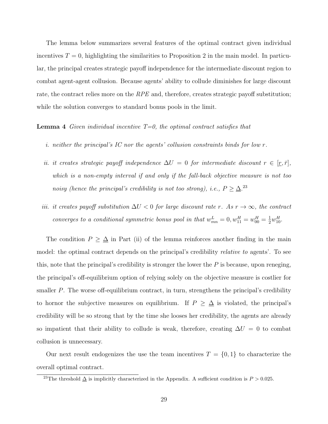The lemma below summarizes several features of the optimal contract given individual incentives  $T = 0$ , highlighting the similarities to Proposition 2 in the main model. In particular, the principal creates strategic payoff independence for the intermediate discount region to combat agent-agent collusion. Because agents' ability to collude diminishes for large discount rate, the contract relies more on the RPE and, therefore, creates strategic payoff substitution; while the solution converges to standard bonus pools in the limit.

**Lemma 4** Given individual incentive  $T=0$ , the optimal contract satisfies that

- i. neither the principal's IC nor the agents' collusion constraints binds for low r.
- ii. it creates strategic payoff independence  $\Delta U = 0$  for intermediate discount  $r \in [r, \bar{r}],$ which is a non-empty interval if and only if the fall-back objective measure is not too noisy (hence the principal's credibility is not too strong), i.e.,  $P \geq \Delta^{23}$
- iii. it creates payoff substitution  $\Delta U < 0$  for large discount rate r. As  $r \to \infty$ , the contract converges to a conditional symmetric bonus pool in that  $w_{mn}^L = 0$ ,  $w_{11}^H = w_{00}^H = \frac{1}{2}w_{10}^H$ .

The condition  $P \geq \Delta$  in Part (ii) of the lemma reinforces another finding in the main model: the optimal contract depends on the principal's credibility *relative to* agents'. To see this, note that the principal's credibility is stronger the lower the  $P$  is because, upon reneging, the principal's off-equilibrium option of relying solely on the objective measure is costlier for smaller  $P$ . The worse off-equilibrium contract, in turn, strengthens the principal's credibility to hornor the subjective measures on equilibrium. If  $P \geq \Delta$  is violated, the principal's credibility will be so strong that by the time she looses her credibility, the agents are already so impatient that their ability to collude is weak, therefore, creating  $\Delta U = 0$  to combat collusion is unnecessary.

Our next result endogenizes the use the team incentives  $T = \{0, 1\}$  to characterize the overall optimal contract.

<sup>&</sup>lt;sup>23</sup>The threshold  $\Delta$  is implicitly characterized in the Appendix. A sufficient condition is  $P > 0.025$ .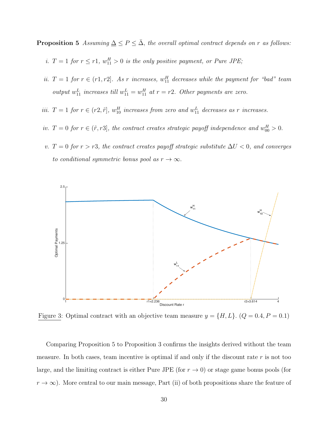**Proposition 5** Assuming  $\Delta \leq P \leq \overline{\Delta}$ , the overall optimal contract depends on r as follows:

- i.  $T = 1$  for  $r \leq r1$ ,  $w_{11}^H > 0$  is the only positive payment, or Pure JPE;
- ii.  $T = 1$  for  $r \in (r1, r2]$ . As r increases,  $w_{11}^H$  decreases while the payment for "bad" team output  $w_{11}^L$  increases till  $w_{11}^L = w_{11}^H$  at  $r = r2$ . Other payments are zero.
- iii.  $T = 1$  for  $r \in (r2, \tilde{r}]$ ,  $w_{10}^H$  increases from zero and  $w_{11}^L$  decreases as r increases.
- iv.  $T = 0$  for  $r \in (\tilde{r}, r3]$ , the contract creates strategic payoff independence and  $w_{00}^H > 0$ .
- v. T = 0 for  $r > r3$ , the contract creates payoff strategic substitute  $\Delta U < 0$ , and converges to conditional symmetric bonus pool as  $r \to \infty$ .



Figure 3: Optimal contract with an objective team measure  $y = \{H, L\}$ .  $(Q = 0.4, P = 0.1)$ 

Comparing Proposition 5 to Proposition 3 confirms the insights derived without the team measure. In both cases, team incentive is optimal if and only if the discount rate  $r$  is not too large, and the limiting contract is either Pure JPE (for  $r \to 0$ ) or stage game bonus pools (for  $r \to \infty$ ). More central to our main message, Part (ii) of both propositions share the feature of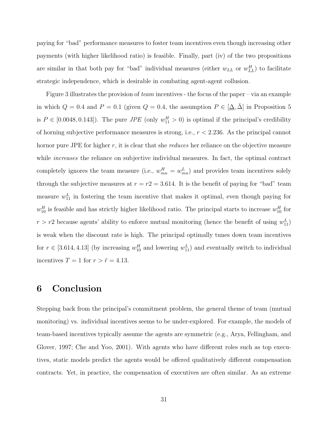paying for "bad" performance measures to foster team incentives even though increasing other payments (with higher likelihood ratio) is feasible. Finally, part (iv) of the two propositions are similar in that both pay for "bad" individual measures (either  $w_{LL}$  or  $w_{LL}^H$ ) to facilitate strategic independence, which is desirable in combating agent-agent collusion.

Figure 3 illustrates the provision of team incentives - the focus of the paper – via an example in which  $Q = 0.4$  and  $P = 0.1$  (given  $Q = 0.4$ , the assumption  $P \in [\underline{\Delta}, \overline{\Delta}]$  in Proposition 5 is  $P \in [0.0048, 0.143]$ . The pure *JPE* (only  $w_{11}^H > 0$ ) is optimal if the principal's credibility of horning subjective performance measures is strong, i.e.,  $r < 2.236$ . As the principal cannot hornor pure JPE for higher r, it is clear that she reduces her reliance on the objective measure while *increases* the reliance on subjective individual measures. In fact, the optimal contract completely ignores the team measure (i.e.,  $w_{mn}^H = w_{mn}^L$ ) and provides team incentives solely through the subjective measures at  $r = r2 = 3.614$ . It is the benefit of paying for "bad" team measure  $w_{11}^L$  in fostering the team incentive that makes it optimal, even though paying for  $w_{10}^H$  is feasible and has strictly higher likelihood ratio. The principal starts to increase  $w_{10}^H$  for  $r > r$ 2 because agents' ability to enforce mutual monitoring (hence the benefit of using  $w_{11}^L$ ) is weak when the discount rate is high. The principal optimally tunes down team incentives for  $r \in [3.614, 4.13]$  (by increasing  $w_{10}^H$  and lowering  $w_{11}^L$ ) and eventually switch to individual incentives  $T = 1$  for  $r > \tilde{r} = 4.13$ .

### 6 Conclusion

Stepping back from the principal's commitment problem, the general theme of team (mutual monitoring) vs. individual incentives seems to be under-explored. For example, the models of team-based incentives typically assume the agents are symmetric (e.g., Arya, Fellingham, and Glover, 1997; Che and Yoo, 2001). With agents who have different roles such as top executives, static models predict the agents would be offered qualitatively different compensation contracts. Yet, in practice, the compensation of executives are often similar. As an extreme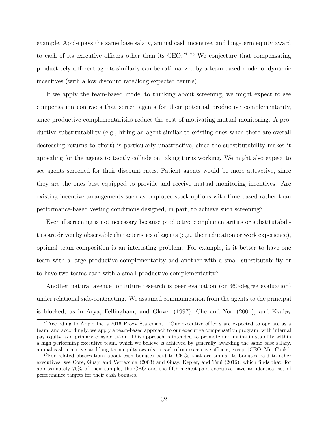example, Apple pays the same base salary, annual cash incentive, and long-term equity award to each of its executive officers other than its CEO.<sup>24 25</sup> We conjecture that compensating productively different agents similarly can be rationalized by a team-based model of dynamic incentives (with a low discount rate/long expected tenure).

If we apply the team-based model to thinking about screening, we might expect to see compensation contracts that screen agents for their potential productive complementarity, since productive complementarities reduce the cost of motivating mutual monitoring. A productive substitutability (e.g., hiring an agent similar to existing ones when there are overall decreasing returns to effort) is particularly unattractive, since the substitutability makes it appealing for the agents to tacitly collude on taking turns working. We might also expect to see agents screened for their discount rates. Patient agents would be more attractive, since they are the ones best equipped to provide and receive mutual monitoring incentives. Are existing incentive arrangements such as employee stock options with time-based rather than performance-based vesting conditions designed, in part, to achieve such screening?

Even if screening is not necessary because productive complementarities or substitutabilities are driven by observable characteristics of agents (e.g., their education or work experience), optimal team composition is an interesting problem. For example, is it better to have one team with a large productive complementarity and another with a small substitutability or to have two teams each with a small productive complementarity?

Another natural avenue for future research is peer evaluation (or 360-degree evaluation) under relational side-contracting. We assumed communication from the agents to the principal is blocked, as in Arya, Fellingham, and Glover (1997), Che and Yoo (2001), and Kvaløy

<sup>&</sup>lt;sup>24</sup> According to Apple Inc.'s 2016 Proxy Statement: "Our executive officers are expected to operate as a team, and accordingly, we apply a team-based approach to our executive compensation program, with internal pay equity as a primary consideration. This approach is intended to promote and maintain stability within a high performing executive team, which we believe is achieved by generally awarding the same base salary, annual cash incentive, and long-term equity awards to each of our executive officers, except [CEO] Mr. Cook."

<sup>&</sup>lt;sup>25</sup>For related observations about cash bonuses paid to CEOs that are similar to bonuses paid to other executives, see Core, Guay, and Verrecchia (2003) and Guay, Kepler, and Tsui (2016), which finds that, for approximately 75% of their sample, the CEO and the fifth-highest-paid executive have an identical set of performance targets for their cash bonuses.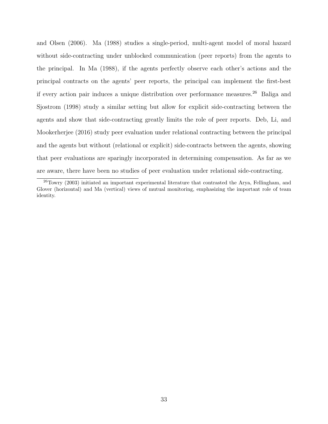and Olsen (2006). Ma (1988) studies a single-period, multi-agent model of moral hazard without side-contracting under unblocked communication (peer reports) from the agents to the principal. In Ma (1988), if the agents perfectly observe each other's actions and the principal contracts on the agents' peer reports, the principal can implement the first-best if every action pair induces a unique distribution over performance measures.<sup>26</sup> Baliga and Sjostrom (1998) study a similar setting but allow for explicit side-contracting between the agents and show that side-contracting greatly limits the role of peer reports. Deb, Li, and Mookerherjee (2016) study peer evaluation under relational contracting between the principal and the agents but without (relational or explicit) side-contracts between the agents, showing that peer evaluations are sparingly incorporated in determining compensation. As far as we are aware, there have been no studies of peer evaluation under relational side-contracting.

<sup>26</sup>Towry (2003) initiated an important experimental literature that contrasted the Arya, Fellingham, and Glover (horizontal) and Ma (vertical) views of mutual monitoring, emphasizing the important role of team identity.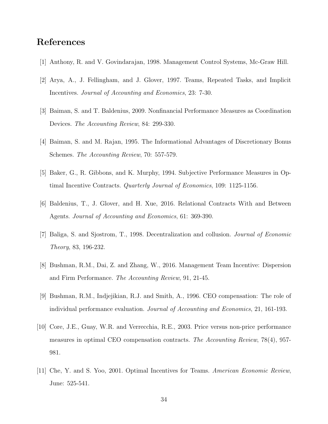## References

- [1] Anthony, R. and V. Govindarajan, 1998. Management Control Systems, Mc-Graw Hill.
- [2] Arya, A., J. Fellingham, and J. Glover, 1997. Teams, Repeated Tasks, and Implicit Incentives. Journal of Accounting and Economics, 23: 7-30.
- [3] Baiman, S. and T. Baldenius, 2009. Nonfinancial Performance Measures as Coordination Devices. The Accounting Review, 84: 299-330.
- [4] Baiman, S. and M. Rajan, 1995. The Informational Advantages of Discretionary Bonus Schemes. The Accounting Review, 70: 557-579.
- [5] Baker, G., R. Gibbons, and K. Murphy, 1994. Subjective Performance Measures in Optimal Incentive Contracts. Quarterly Journal of Economics, 109: 1125-1156.
- [6] Baldenius, T., J. Glover, and H. Xue, 2016. Relational Contracts With and Between Agents. Journal of Accounting and Economics, 61: 369-390.
- [7] Baliga, S. and Sjostrom, T., 1998. Decentralization and collusion. Journal of Economic Theory, 83, 196-232.
- [8] Bushman, R.M., Dai, Z. and Zhang, W., 2016. Management Team Incentive: Dispersion and Firm Performance. The Accounting Review, 91, 21-45.
- [9] Bushman, R.M., Indjejikian, R.J. and Smith, A., 1996. CEO compensation: The role of individual performance evaluation. Journal of Accounting and Economics, 21, 161-193.
- [10] Core, J.E., Guay, W.R. and Verrecchia, R.E., 2003. Price versus non-price performance measures in optimal CEO compensation contracts. The Accounting Review, 78(4), 957- 981.
- [11] Che, Y. and S. Yoo, 2001. Optimal Incentives for Teams. American Economic Review, June: 525-541.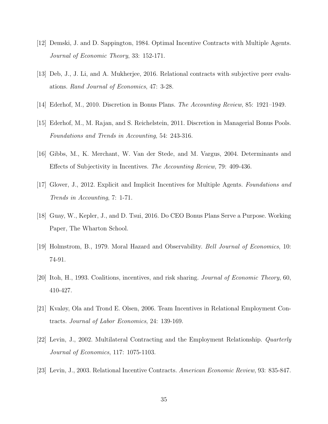- [12] Demski, J. and D. Sappington, 1984. Optimal Incentive Contracts with Multiple Agents. Journal of Economic Theory, 33: 152-171.
- [13] Deb, J., J. Li, and A. Mukherjee, 2016. Relational contracts with subjective peer evaluations. Rand Journal of Economics, 47: 3-28.
- [14] Ederhof, M., 2010. Discretion in Bonus Plans. The Accounting Review, 85: 1921–1949.
- [15] Ederhof, M., M. Rajan, and S. Reichelstein, 2011. Discretion in Managerial Bonus Pools. Foundations and Trends in Accounting, 54: 243-316.
- [16] Gibbs, M., K. Merchant, W. Van der Stede, and M. Vargus, 2004. Determinants and Effects of Subjectivity in Incentives. The Accounting Review, 79: 409-436.
- [17] Glover, J., 2012. Explicit and Implicit Incentives for Multiple Agents. Foundations and Trends in Accounting, 7: 1-71.
- [18] Guay, W., Kepler, J., and D. Tsui, 2016. Do CEO Bonus Plans Serve a Purpose. Working Paper, The Wharton School.
- [19] Holmstrom, B., 1979. Moral Hazard and Observability. Bell Journal of Economics, 10: 74-91.
- [20] Itoh, H., 1993. Coalitions, incentives, and risk sharing. Journal of Economic Theory, 60, 410-427.
- [21] Kvaløy, Ola and Trond E. Olsen, 2006. Team Incentives in Relational Employment Contracts. Journal of Labor Economics, 24: 139-169.
- [22] Levin, J., 2002. Multilateral Contracting and the Employment Relationship. Quarterly Journal of Economics, 117: 1075-1103.
- [23] Levin, J., 2003. Relational Incentive Contracts. American Economic Review, 93: 835-847.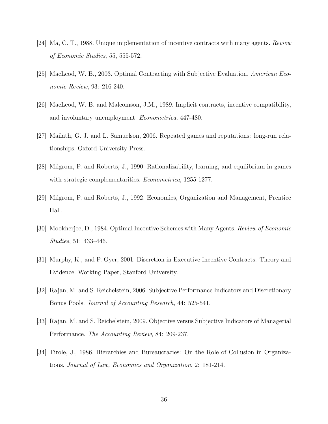- [24] Ma, C. T., 1988. Unique implementation of incentive contracts with many agents. Review of Economic Studies, 55, 555-572.
- [25] MacLeod, W. B., 2003. Optimal Contracting with Subjective Evaluation. American Economic Review, 93: 216-240.
- [26] MacLeod, W. B. and Malcomson, J.M., 1989. Implicit contracts, incentive compatibility, and involuntary unemployment. Econometrica, 447-480.
- [27] Mailath, G. J. and L. Samuelson, 2006. Repeated games and reputations: long-run relationships. Oxford University Press.
- [28] Milgrom, P. and Roberts, J., 1990. Rationalizability, learning, and equilibrium in games with strategic complementarities. *Econometrica*, 1255-1277.
- [29] Milgrom, P. and Roberts, J., 1992. Economics, Organization and Management, Prentice Hall.
- [30] Mookherjee, D., 1984. Optimal Incentive Schemes with Many Agents. Review of Economic Studies, 51: 433–446.
- [31] Murphy, K., and P. Oyer, 2001. Discretion in Executive Incentive Contracts: Theory and Evidence. Working Paper, Stanford University.
- [32] Rajan, M. and S. Reichelstein, 2006. Subjective Performance Indicators and Discretionary Bonus Pools. Journal of Accounting Research, 44: 525-541.
- [33] Rajan, M. and S. Reichelstein, 2009. Objective versus Subjective Indicators of Managerial Performance. The Accounting Review, 84: 209-237.
- [34] Tirole, J., 1986. Hierarchies and Bureaucracies: On the Role of Collusion in Organizations. Journal of Law, Economics and Organization, 2: 181-214.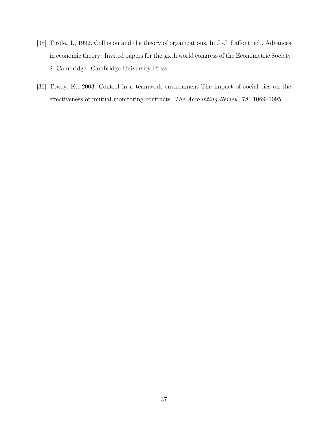- [35] Tirole, J., 1992. Collusion and the theory of organizations. In J.-J. Laffont, ed., Advances in economic theory: Invited papers for the sixth world congress of the Econometric Society 2. Cambridge: Cambridge University Press.
- [36] Towry, K., 2003. Control in a teamwork environment-The impact of social ties on the effectiveness of mutual monitoring contracts. The Accounting Review, 78: 1069–1095.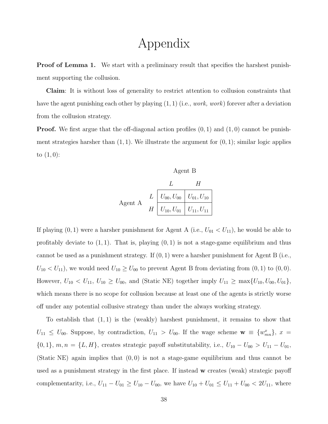## Appendix

**Proof of Lemma 1.** We start with a preliminary result that specifies the harshest punishment supporting the collusion.

Claim: It is without loss of generality to restrict attention to collusion constraints that have the agent punishing each other by playing  $(1, 1)$  (i.e., *work, work*) forever after a deviation from the collusion strategy.

**Proof.** We first argue that the off-diagonal action profiles  $(0, 1)$  and  $(1, 0)$  cannot be punishment strategies harsher than  $(1, 1)$ . We illustrate the argument for  $(0, 1)$ ; similar logic applies to  $(1, 0)$ :

Agent B  
\n
$$
L H
$$
\nAgent A  
\n
$$
L \underbrace{L \quad U_{00}, U_{00} \quad U_{01}, U_{10}}_{U_{10}, U_{01} \quad U_{11}, U_{11}}
$$

If playing  $(0, 1)$  were a harsher punishment for Agent A (i.e.,  $U_{01} < U_{11}$ ), he would be able to profitably deviate to  $(1, 1)$ . That is, playing  $(0, 1)$  is not a stage-game equilibrium and thus cannot be used as a punishment strategy. If  $(0, 1)$  were a harsher punishment for Agent B (i.e.,  $U_{10} < U_{11}$ , we would need  $U_{10} \ge U_{00}$  to prevent Agent B from deviating from  $(0, 1)$  to  $(0, 0)$ . However,  $U_{10} < U_{11}$ ,  $U_{10} \ge U_{00}$ , and (Static NE) together imply  $U_{11} \ge \max\{U_{10}, U_{00}, U_{01}\}$ , which means there is no scope for collusion because at least one of the agents is strictly worse off under any potential collusive strategy than under the always working strategy.

To establish that (1, 1) is the (weakly) harshest punishment, it remains to show that  $U_{11} \leq U_{00}$ . Suppose, by contradiction,  $U_{11} > U_{00}$ . If the wage scheme  $\mathbf{w} \equiv \{w_{mn}^x\}, x =$  ${0, 1}, m, n = {L, H},$  creates strategic payoff substitutability, i.e.,  $U_{10} - U_{00} > U_{11} - U_{01}$ , (Static NE) again implies that  $(0, 0)$  is not a stage-game equilibrium and thus cannot be used as a punishment strategy in the first place. If instead w creates (weak) strategic payoff complementarity, i.e.,  $U_{11} - U_{01} \ge U_{10} - U_{00}$ , we have  $U_{10} + U_{01} \le U_{11} + U_{00} < 2U_{11}$ , where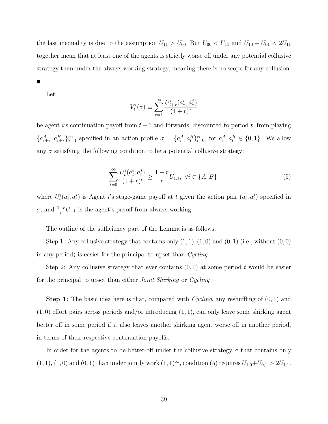the last inequality is due to the assumption  $U_{11} > U_{00}$ . But  $U_{00} < U_{11}$  and  $U_{10} + U_{01} < 2U_{11}$ together mean that at least one of the agents is strictly worse off under any potential collusive strategy than under the always working strategy, meaning there is no scope for any collusion.

Let

$$
V_t^i(\sigma) \equiv \sum_{\tau=1}^{\infty} \frac{U_{t+\tau}^i(a_{\tau}^i, a_{\tau}^j)}{(1+r)^{\tau}}
$$

be agent is continuation payoff from  $t + 1$  and forwards, discounted to period t, from playing  ${a_{t+\tau}^A, a_{t+\tau}^B}_{\tau=1}^{\infty}$  specified in an action profile  $\sigma = {a_t^A, a_t^B}_{\tau=0}^{\infty}$ , for  $a_t^A, a_t^B \in \{0, 1\}$ . We allow any  $\sigma$  satisfying the following condition to be a potential collusive strategy:

$$
\sum_{t=0}^{\infty} \frac{U_t^i(a_t^i, a_t^j)}{(1+r)^t} \ge \frac{1+r}{r} U_{1,1}, \ \forall i \in \{A, B\},\tag{5}
$$

where  $U_t^i(a_t^i, a_t^j)$  $(t_t^j)$  is Agent *i*'s stage-game payoff at *t* given the action pair  $(a_t^i, a_t^j)$  $t$ <sup> $j$ </sup>) specified in  $\sigma$ , and  $\frac{1+r}{r}U_{1,1}$  is the agent's payoff from always working.

The outline of the sufficiency part of the Lemma is as follows:

Step 1: Any collusive strategy that contains only  $(1, 1), (1, 0)$  and  $(0, 1)$  (i.e., without  $(0, 0)$ ) in any period) is easier for the principal to upset than Cycling.

Step 2: Any collusive strategy that ever contains  $(0,0)$  at some period t would be easier for the principal to upset than either Joint Shirking or Cycling.

**Step 1:** The basic idea here is that, compared with *Cycling*, any reshuffling of  $(0, 1)$  and  $(1,0)$  effort pairs across periods and/or introducing  $(1,1)$ , can only leave some shirking agent better off in some period if it also leaves another shirking agent worse off in another period, in terms of their respective continuation payoffs.

In order for the agents to be better-off under the collusive strategy  $\sigma$  that contains only (1, 1), (1, 0) and (0, 1) than under jointly work  $(1, 1)^\infty$ , condition (5) requires  $U_{1,0}+U_{0,1} > 2U_{1,1}$ .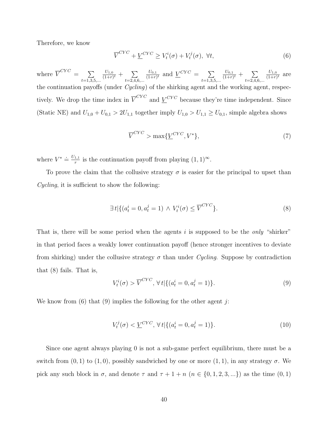Therefore, we know

$$
\overline{V}^{CYC} + \underline{V}^{CYC} \ge V_t^i(\sigma) + V_t^j(\sigma), \ \forall t,
$$
\n
$$
(6)
$$

where  $\overline{V}^{CYC} = \sum$  $t=1,3,5,...$  $U_{1,0}$  $\frac{U_{1,0}}{(1+r)^t} + \sum_{\alpha \in \mathcal{A}}$  $t=2,4,6,...$  $U_{0,1}$  $\frac{U_{0,1}}{(1+r)^t}$  and  $\underline{V}^{CYC} = \sum_{\lambda \in \Lambda}$  $t=1,3,5,...$  $U_{0,1}$  $\frac{U_{0,1}}{(1+r)^t} + \sum_{\alpha \in \mathcal{A}}$  $t=2,4,6,...$  $U_{1,0}$  $\frac{U_{1,0}}{(1+r)^t}$  are the continuation payoffs (under *Cycling*) of the shirking agent and the working agent, respectively. We drop the time index in  $\overline{V}^{CYC}$  and  $\underline{V}^{CYC}$  because they're time independent. Since (Static NE) and  $U_{1,0} + U_{0,1} > 2U_{1,1}$  together imply  $U_{1,0} > U_{1,1} \ge U_{0,1}$ , simple algebra shows

$$
\overline{V}^{CYC} > \max{\{\underline{V}^{CYC}, V^*\}},\tag{7}
$$

where  $V^* \doteq \frac{U_{1,1}}{r}$  $\frac{1}{r}$  is the continuation payoff from playing  $(1, 1)$ <sup>∞</sup>.

To prove the claim that the collusive strategy  $\sigma$  is easier for the principal to upset than Cycling, it is sufficient to show the following:

$$
\exists t \left| \left\{ (a_t^i = 0, a_t^j = 1) \wedge V_t^i(\sigma) \le \overline{V}^{CYC} \right\} \right|.
$$
\n
$$
(8)
$$

That is, there will be some period when the agents i is supposed to be the *only* "shirker" in that period faces a weakly lower continuation payoff (hence stronger incentives to deviate from shirking) under the collusive strategy  $\sigma$  than under Cycling. Suppose by contradiction that (8) fails. That is,

$$
V_t^i(\sigma) > \overline{V}^{CYC}, \,\forall t \,|\{(a_t^i = 0, a_t^j = 1)\}.
$$
\n
$$
(9)
$$

We know from  $(6)$  that  $(9)$  implies the following for the other agent j:

$$
V_t^j(\sigma) < \underline{V}^{CYC}, \,\forall \, t \, | \{ (a_t^i = 0, a_t^j = 1) \}. \tag{10}
$$

Since one agent always playing 0 is not a sub-game perfect equilibrium, there must be a switch from  $(0, 1)$  to  $(1, 0)$ , possibly sandwiched by one or more  $(1, 1)$ , in any strategy  $\sigma$ . We pick any such block in  $\sigma$ , and denote  $\tau$  and  $\tau + 1 + n$   $(n \in \{0, 1, 2, 3, ...\})$  as the time  $(0, 1)$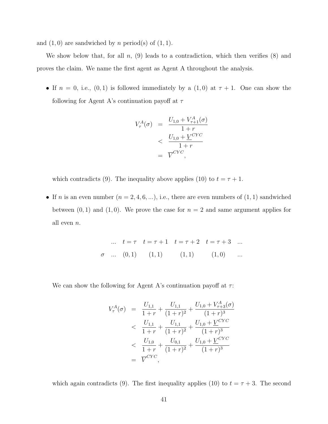and  $(1, 0)$  are sandwiched by n period(s) of  $(1, 1)$ .

We show below that, for all  $n$ , (9) leads to a contradiction, which then verifies (8) and proves the claim. We name the first agent as Agent A throughout the analysis.

• If  $n = 0$ , i.e.,  $(0, 1)$  is followed immediately by a  $(1, 0)$  at  $\tau + 1$ . One can show the following for Agent A's continuation payoff at  $\tau$ 

$$
V_{\tau}^{A}(\sigma) = \frac{U_{1,0} + V_{\tau+1}^{A}(\sigma)}{1+r}
$$
  

$$
< \frac{U_{1,0} + \underline{V}^{CYC}}{1+r}
$$
  

$$
= \overline{V}^{CYC},
$$

which contradicts (9). The inequality above applies (10) to  $t = \tau + 1$ .

• If *n* is an even number  $(n = 2, 4, 6, \ldots)$ , i.e., there are even numbers of  $(1, 1)$  sandwiched between  $(0, 1)$  and  $(1, 0)$ . We prove the case for  $n = 2$  and same argument applies for all even n.

$$
\dots \t t = \tau \t t = \tau + 1 \t t = \tau + 2 \t t = \tau + 3 \dots
$$
  
\n
$$
\sigma \quad \dots \quad (0,1) \qquad (1,1) \qquad (1,1) \qquad (1,0) \qquad \dots
$$

We can show the following for Agent A's continuation payoff at  $\tau$ :

$$
V_{\tau}^{A}(\sigma) = \frac{U_{1,1}}{1+r} + \frac{U_{1,1}}{(1+r)^{2}} + \frac{U_{1,0} + V_{\tau+3}^{A}(\sigma)}{(1+r)^{3}}
$$
  

$$
< \frac{U_{1,1}}{1+r} + \frac{U_{1,1}}{(1+r)^{2}} + \frac{U_{1,0} + \underline{V}^{CYC}}{(1+r)^{3}}
$$
  

$$
< \frac{U_{1,0}}{1+r} + \frac{U_{0,1}}{(1+r)^{2}} + \frac{U_{1,0} + \underline{V}^{CYC}}{(1+r)^{3}}
$$
  

$$
= \overline{V}^{CYC},
$$

which again contradicts (9). The first inequality applies (10) to  $t = \tau + 3$ . The second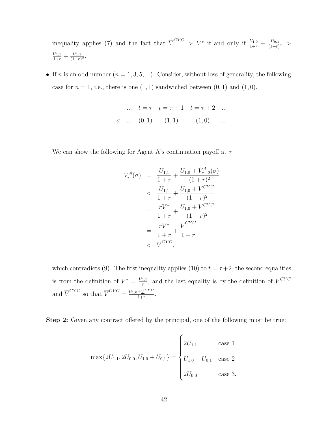inequality applies (7) and the fact that  $\overline{V}^{CYC} > V^*$  if and only if  $\frac{U_{1,0}}{1+r} + \frac{U_{0,1}}{(1+r)}$  $\frac{U_{0,1}}{(1+r)^2}$  >  $\frac{U_{1,1}}{1+r}+\frac{U_{1,1}}{(1+r)}$  $\frac{U_{1,1}}{(1+r)^2}$ .

• If *n* is an odd number  $(n = 1, 3, 5, ...)$ . Consider, without loss of generality, the following case for  $n = 1$ , i.e., there is one  $(1, 1)$  sandwiched between  $(0, 1)$  and  $(1, 0)$ .

$$
\therefore \quad t = \tau \quad t = \tau + 1 \quad t = \tau + 2 \quad \dots
$$
  

$$
\sigma \quad \dots \quad (0,1) \qquad (1,1) \qquad (1,0) \qquad \dots
$$

We can show the following for Agent A's continuation payoff at  $\tau$ 

$$
V_{\tau}^{A}(\sigma) = \frac{U_{1,1}}{1+r} + \frac{U_{1,0} + V_{\tau+2}^{A}(\sigma)}{(1+r)^{2}}
$$
  

$$
< \frac{U_{1,1}}{1+r} + \frac{U_{1,0} + \underline{V}^{CYC}}{(1+r)^{2}}
$$
  

$$
= \frac{rV^{*}}{1+r} + \frac{U_{1,0} + \underline{V}^{CYC}}{(1+r)^{2}}
$$
  

$$
= \frac{rV^{*}}{1+r} + \frac{\overline{V}^{CYC}}{1+r}
$$
  

$$
< \overline{V}^{CYC},
$$

which contradicts (9). The first inequality applies (10) to  $t = \tau + 2$ , the second equalities is from the definition of  $V^* = \frac{U_{1,1}}{r}$  $\frac{1}{r}$ , and the last equality is by the definition of  $\underline{V}^{CYC}$ and  $\overline{V}^{CYC}$  so that  $\overline{V}^{CYC} = \frac{U_{1,0} + \underline{V}^{CYC}}{1+r}$  $\frac{1+\nu}{1+r}$ .

Step 2: Given any contract offered by the principal, one of the following must be true:

$$
\max\{2U_{1,1}, 2U_{0,0}, U_{1,0} + U_{0,1}\} = \begin{cases} 2U_{1,1} & \text{case 1} \\ 0 & \text{case 2} \\ 2U_{0,0} & \text{case 3.} \end{cases}
$$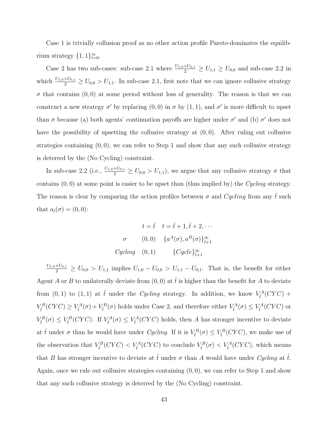Case 1 is trivially collusion proof as no other action profile Pareto-dominates the equilibrium strategy  $\{1, 1\}_{t=0}^{\infty}$ .

Case 2 has two sub-cases: sub-case 2.1 where  $\frac{U_{1,0}+U_{0,1}}{2} \ge U_{1,1} \ge U_{0,0}$  and sub-case 2.2 in which  $\frac{U_{1,0}+U_{0,1}}{2} \ge U_{0,0} > U_{1,1}$ . In sub-case 2.1, first note that we can ignore collusive strategy  $\sigma$  that contains  $(0,0)$  at some period without loss of generality. The reason is that we can construct a new strategy  $\sigma'$  by replacing  $(0,0)$  in  $\sigma$  by  $(1,1)$ , and  $\sigma'$  is more difficult to upset than  $\sigma$  because (a) both agents' continuation payoffs are higher under  $\sigma'$  and (b)  $\sigma'$  does not have the possibility of upsetting the collusive strategy at  $(0, 0)$ . After ruling out collusive strategies containing  $(0, 0)$ , we can refer to Step 1 and show that any such collusive strategy is deterred by the (No Cycling) constraint.

In sub-case 2.2 (i.e.,  $\frac{U_{1,0}+U_{0,1}}{2} \ge U_{0,0} > U_{1,1}$ ), we argue that any collusive strategy  $\sigma$  that contains  $(0, 0)$  at some point is easier to be upset than (thus implied by) the Cycling strategy. The reason is clear by comparing the action profiles between  $\sigma$  and Cycling from any t such that  $a_{\tilde{t}}(\sigma) = (0,0)$ :

$$
t = \tilde{t} \quad t = \tilde{t} + 1, \tilde{t} + 2, \cdots
$$
  
\n
$$
\sigma \qquad (0,0) \quad \{a^{A}(\sigma), a^{B}(\sigma)\}_{\tilde{t}+1}^{\infty}
$$
  
\n
$$
Cycling \quad (0,1) \qquad \{Cycle\}_{\tilde{t}+1}^{\infty}
$$

 $\frac{U_{1,0}+U_{0,1}}{2} \ge U_{0,0} > U_{1,1}$  implies  $U_{1,0} - U_{0,0} > U_{1,1} - U_{0,1}$ . That is, the benefit for either Agent A or B to unilaterally deviate from  $(0,0)$  at  $\tilde{t}$  is higher than the benefit for A to deviate from  $(0, 1)$  to  $(1, 1)$  at  $\tilde{t}$  under the *Cycling* strategy. In addition, we know  $V_{\tilde{t}}^A(CYC)$  +  $V_i^B(CYC) \geq V_i^A(\sigma) + V_i^B(\sigma)$  holds under Case 2, and therefore either  $V_i^A(\sigma) \leq V_i^A(CYC)$  or  $V_{\tilde{t}}^B(\sigma) \leq V_{\tilde{t}}^B(CYC)$ . If  $V_{\tilde{t}}^A(\sigma) \leq V_{\tilde{t}}^A(CYC)$  holds, then A has stronger incentive to deviate at  $\tilde{t}$  under  $\sigma$  than he would have under Cycling. If it is  $V_{\tilde{t}}^B(\sigma) \leq V_{\tilde{t}}^B(CYC)$ , we make use of the observation that  $V_{\tilde{t}}^B(CYC) < V_{\tilde{t}}^A(CYC)$  to conclude  $V_{\tilde{t}}^B(\sigma) < V_{\tilde{t}}^A(CYC)$ , which means that B has stronger incentive to deviate at  $\tilde{t}$  under  $\sigma$  than A would have under Cycling at  $\tilde{t}$ . Again, once we rule out collusive strategies containing  $(0, 0)$ , we can refer to Step 1 and show that any such collusive strategy is deterred by the (No Cycling) constraint.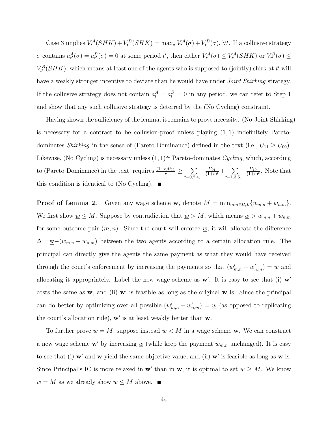Case 3 implies  $V_t^A(SHK) + V_t^B(SHK) = \max_{\sigma} V_t^A(\sigma) + V_t^B(\sigma)$ ,  $\forall t$ . If a collusive strategy  $\sigma$  contains  $a_{t'}^A(\sigma) = a_{t'}^B(\sigma) = 0$  at some period t', then either  $V_{t'}^A(\sigma) \leq V_{t'}^A(SHK)$  or  $V_{t'}^B(\sigma) \leq$  $V_t^B(SHK)$ , which means at least one of the agents who is supposed to (jointly) shirk at t' will have a weakly stronger incentive to deviate than he would have under *Joint Shirking* strategy. If the collusive strategy does not contain  $a_t^A = a_t^B = 0$  in any period, we can refer to Step 1 and show that any such collusive strategy is deterred by the (No Cycling) constraint.

Having shown the sufficiency of the lemma, it remains to prove necessity. (No Joint Shirking) is necessary for a contract to be collusion-proof unless playing  $(1, 1)$  indefinitely Paretodominates Shirking in the sense of (Pareto Dominance) defined in the text (i.e.,  $U_{11} \ge U_{00}$ ). Likewise, (No Cycling) is necessary unless  $(1,1)^\infty$  Pareto-dominates Cycling, which, according to (Pareto Dominance) in the text, requires  $\frac{(1+r)U_{11}}{r} \ge \sum_{n=1}^{n}$  $t=0,2,4,...$  $U_{01}$  $\frac{U_{01}}{(1+r)^t} + \sum_{r,s}$  $t=1,3,5,...$  $U_{10}$  $\frac{U_{10}}{(1+r)^t}$ . Note that this condition is identical to (No Cycling).  $\blacksquare$ 

**Proof of Lemma 2.** Given any wage scheme w, denote  $M = \min_{m,n \in H,L} \{w_{m,n} + w_{n,m}\}.$ We first show  $\underline{w} \leq M$ . Suppose by contradiction that  $\underline{w} > M$ , which means  $\underline{w} > w_{m,n} + w_{n,m}$ for some outcome pair  $(m, n)$ . Since the court will enforce  $\underline{w}$ , it will allocate the difference  $\Delta = w-(w_{m,n} + w_{n,m})$  between the two agents according to a certain allocation rule. The principal can directly give the agents the same payment as what they would have received through the court's enforcement by increasing the payments so that  $(w'_{m,n} + w'_{n,m}) = \underline{w}$  and allocating it appropriately. Label the new wage scheme as  $w'$ . It is easy to see that (i)  $w'$ costs the same as  $w$ , and (ii)  $w'$  is feasible as long as the original  $w$  is. Since the principal can do better by optimizing over all possible  $(w'_{m,n} + w'_{n,m}) = w$  (as opposed to replicating the court's allocation rule),  $w'$  is at least weakly better than  $w$ .

To further prove  $\underline{w} = M$ , suppose instead  $\underline{w} < M$  in a wage scheme w. We can construct a new wage scheme w' by increasing  $\underline{w}$  (while keep the payment  $w_{m,n}$  unchanged). It is easy to see that (i)  $\mathbf{w}'$  and  $\mathbf{w}$  yield the same objective value, and (ii)  $\mathbf{w}'$  is feasible as long as  $\mathbf{w}$  is. Since Principal's IC is more relaxed in  $w'$  than in  $w$ , it is optimal to set  $w \geq M$ . We know  $\underline{w} = M$  as we already show  $\underline{w} \leq M$  above.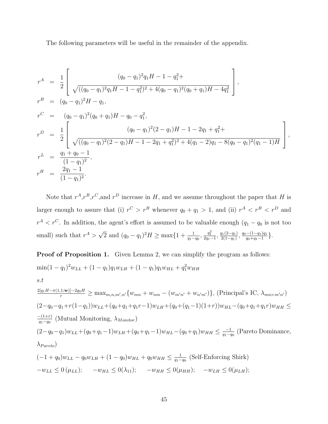The following parameters will be useful in the remainder of the appendix.

$$
r^{A} = \frac{1}{2} \left[ \frac{(q_{0} - q_{1})^{2} q_{1} H - 1 - q_{1}^{2} + 2}{\sqrt{((q_{0} - q_{1})^{2} q_{1} H - 1 - q_{1})^{2} + 4(q_{0} - q_{1})^{2} (q_{0} + q_{1}) H - 4q_{1}^{2}}} \right],
$$
  
\n
$$
r^{B} = (q_{0} - q_{1})^{2} H - q_{1},
$$
  
\n
$$
r^{C} = (q_{0} - q_{1})^{2} (q_{0} + q_{1}) H - q_{0} - q_{1}^{2},
$$
  
\n
$$
r^{D} = \frac{1}{2} \left[ \frac{(q_{0} - q_{1})^{2} (2 - q_{1}) H - 1 - 2q_{1} + q_{1}^{2} + 2q_{1} + 2q_{1}^{2} + 4(q_{1} - 2)q_{1} - 8(q_{0} - q_{1})^{2} (q_{1} - 1) H}{\sqrt{((q_{0} - q_{1})^{2} (2 - q_{1}) H - 1 - 2q_{1} + q_{1}^{2})^{2} + 4(q_{1} - 2)q_{1} - 8(q_{0} - q_{1})^{2} (q_{1} - 1) H}} \right],
$$
  
\n
$$
r^{L} = \frac{q_{1} + q_{0} - 1}{(1 - q_{1})^{2}},
$$
  
\n
$$
r^{H} = \frac{2q_{1} - 1}{(1 - q_{1})^{2}}.
$$

Note that  $r^A, r^B, r^C$ , and  $r^D$  increase in H, and we assume throughout the paper that H is larger enough to assure that (i)  $r^C > r^B$  whenever  $q_0 + q_1 > 1$ , and (ii)  $r^A < r^B < r^D$  and  $r^A < r^C$ . In addition, the agent's effort is assumed to be valuable enough  $(q_1 - q_0)$  is not too small) such that  $r^A$ √  $\overline{2}$  and  $(q_0 - q_1)^2 H \ge \max\{1 + \frac{1}{q_1 - q_0}, \frac{q_1^2}{2q_1 - 1}, \frac{q_1(2 - q_1)}{2(1 - q_1)}\}$  $\frac{q_1(2-q_1)}{2(1-q_1)}, \frac{q_0-(1-q_1)q_1}{q_0+q_1-1}$  $\frac{-\left(1-q_1\right)q_1}{q_0+q_1-1}\}.$ 

**Proof of Proposition 1.** Given Lemma 2, we can simplify the program as follows:  $\min(1 - q_1)^2 w_{LL} + (1 - q_1) q_1 w_{LH} + (1 - q_1) q_1 w_{HL} + q_1^2 w_{HH}$ s.t  $\frac{2[q_1H-\pi(1,1;{\bf w})]-2q_0H}{r} \geq \max_{m,n,m',n'} \{w_{mn}+w_{nm}-(w_{m'n'}+w_{n'm'})\},$  (Principal's IC,  $\lambda_{mn \succ m'n'}$ )  $(2-q_0-q_1+r(1-q_1))w_{LL}+(q_0+q_1+q_1r-1)w_{LH}+(q_0+(q_1-1)(1+r))w_{HL}-(q_0+q_1+q_1r)w_{HH}\leq$  $-(1+r)$  $\frac{-(1+r)}{q_1-q_0}$  (Mutual Monitoring,  $\lambda_{Monitor}$ )  $(2-q_0-q_1)w_{LL}+(q_0+q_1-1)w_{LH}+(q_0+q_1-1)w_{HL}-(q_0+q_1)w_{HH} \leq \frac{-1}{q_1-q_1}$  $\frac{-1}{q_1-q_0}$  (Pareto Dominance,  $\lambda_{Pareto})$  $(-1+q_0)w_{LL} - q_0w_{LH} + (1-q_0)w_{HL} + q_0w_{HH} \leq \frac{1}{q_1-1}$  $\frac{1}{q_1-q_0}$  (Self-Enforcing Shirk)  $-w_{LL} \leq 0 \, (\mu_{LL}); \quad -w_{HL} \leq 0 \, (\lambda_{11}); \quad -w_{HH} \leq 0 \, (\mu_{HH}); \quad -w_{LH} \leq 0 \, (\mu_{LH});$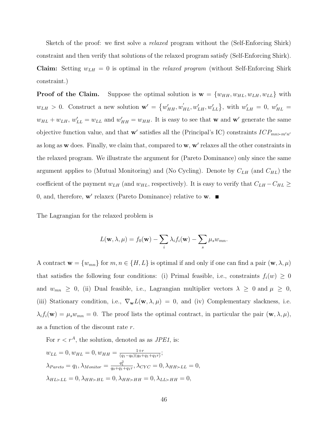Sketch of the proof: we first solve a *relaxed* program without the (Self-Enforcing Shirk) constraint and then verify that solutions of the relaxed program satisfy (Self-Enforcing Shirk). **Claim:** Setting  $w_{LH} = 0$  is optimal in the *relaxed program* (without Self-Enforcing Shirk constraint.)

**Proof of the Claim.** Suppose the optimal solution is  $\mathbf{w} = \{w_{HH}, w_{HL}, w_{LL}, w_{LL}\}\$  with  $w_{LH} > 0$ . Construct a new solution  $\mathbf{w}' = \{w'_{HH}, w'_{HL}, w'_{LH}, w'_{LL}\}\$ , with  $w'_{LH} = 0$ ,  $w'_{HL} = 0$  $w_{HL} + w_{LH}$ ,  $w'_{LL} = w_{LL}$  and  $w'_{HH} = w_{HH}$ . It is easy to see that **w** and **w**' generate the same objective function value, and that w' satisfies all the (Principal's IC) constraints  $ICP_{mn \succ m'n'}$ as long as  $w$  does. Finally, we claim that, compared to  $w, w'$  relaxes all the other constraints in the relaxed program. We illustrate the argument for (Pareto Dominance) only since the same argument applies to (Mutual Monitoring) and (No Cycling). Denote by  $C_{LH}$  (and  $C_{HL}$ ) the coefficient of the payment  $w_{LH}$  (and  $w_{HL}$ , respectively). It is easy to verify that  $C_{LH} - C_{HL} \ge$ 0, and, therefore,  $\mathbf{w}'$  relaxex (Pareto Dominance) relative to  $\mathbf{w}$ .

The Lagrangian for the relaxed problem is

$$
L(\mathbf{w}, \lambda, \mu) = f_0(\mathbf{w}) - \sum_i \lambda_i f_i(\mathbf{w}) - \sum_s \mu_s w_{mn}.
$$

A contract  $\mathbf{w} = \{w_{mn}\}\$ for  $m, n \in \{H, L\}$  is optimal if and only if one can find a pair  $(\mathbf{w}, \lambda, \mu)$ that satisfies the following four conditions: (i) Primal feasible, i.e., constraints  $f_i(w) \geq 0$ and  $w_{mn} \geq 0$ , (ii) Dual feasible, i.e., Lagrangian multiplier vectors  $\lambda \geq 0$  and  $\mu \geq 0$ , (iii) Stationary condition, i.e.,  $\nabla_{\mathbf{w}}L(\mathbf{w},\lambda,\mu) = 0$ , and (iv) Complementary slackness, i.e.  $\lambda_i f_i(\mathbf{w}) = \mu_s w_{mn} = 0$ . The proof lists the optimal contract, in particular the pair  $(\mathbf{w}, \lambda, \mu)$ , as a function of the discount rate r.

For  $r < r^A$ , the solution, denoted as as *JPE1*, is:

$$
w_{LL} = 0, w_{HL} = 0, w_{HH} = \frac{1+r}{(q_1 - q_0)(q_0 + q_1 + q_1 r)};
$$
  
\n
$$
\lambda_{Pareto} = q_1, \lambda_{Monitor} = \frac{q_1^2}{q_0 + q_1 + q_1 r}, \lambda_{CYC} = 0, \lambda_{HH \succ LL} = 0,
$$
  
\n
$$
\lambda_{HL \succ LL} = 0, \lambda_{HH \succ HL} = 0, \lambda_{HH \succ HH} = 0, \lambda_{LL \succ HH} = 0,
$$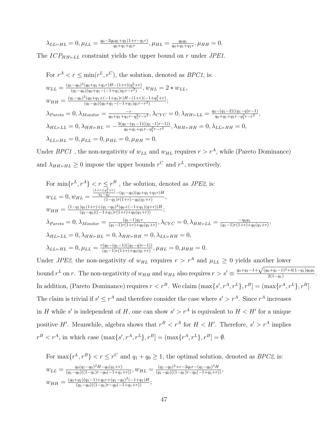$$
\lambda_{LL \succ HL} = 0, \mu_{LL} = \frac{q_0 - 2q_0 q_1 + q_1 (1 + r - q_1 r)}{q_0 + q_1 + q_1 r}, \mu_{HL} = \frac{q_0 q_1}{q_0 + q_1 + q_1 r}, \mu_{HH} = 0.
$$

The  $ICP_{HH \succ LL}$  constraint yields the upper bound on r under JPE1.

For 
$$
r^A < r \leq \min(r^L, r^C)
$$
, the solution, denoted as *BPC1*, is:  
\n
$$
w_{LL} = \frac{(q_1 - q_0)^2 (q_0 + q_1 + q_1 r)H - (1 + r)(q_1^2 + r)}{(q_1 - q_0)(q_0 + q_1 - (-1 + q_1)q_1 r - r^2)}, w_{HL} = 2 * w_{LL},
$$
\n
$$
w_{HH} = \frac{(q_1 - q_0)^2 (q_0 + q_1 + (-1 + q_1) r)H - (1 + r)(-1 + q_1^2 + r)}{(q_1 - q_0)(q_0 + q_1 - (-1 + q_1)q_1 r - r^2)},
$$
\n
$$
\lambda_{Pareto} = 0, \lambda_{Monitor} = \frac{-r}{q_0 + q_1 + q_1 r - q_1^2 r - r^2}, \lambda_{CYC} = 0, \lambda_{HH \succ LL} = \frac{q_0 - (q_1 - 2)((q_1 - q)r - 1)}{q_0 + q_1 + q_1 r - q_1^2 r - r^2},
$$
\n
$$
\lambda_{HL \succ LL} = 0, \lambda_{HH \succ HL} = -\frac{2(q_0 - (q_1 - 1)((q_1 - 1)r - 1))}{q_0 + q_1 + q_1 r - q_1^2 r - r^2}, \lambda_{HH \succ HH} = 0, \lambda_{LL \succ HH} = 0,
$$
\n
$$
\lambda_{LL \succ HL} = 0, \mu_{LL} = 0, \mu_{HL} = 0, \mu_{HH} = 0.
$$

Under BPC1, the non-negativity of  $w_{LL}$  and  $w_{HL}$  requires  $r > r^A$ , while (Pareto Dominance) and  $\lambda_{HH \succ HL} \ge 0$  impose the upper bounds  $r^C$  and  $r^L$ , respectively.

For 
$$
\min\{r^L, r^A\} < r \leq r^B
$$
, the solution, denoted as *JPE2*, is:  
\n
$$
w_{LL} = 0, w_{HL} = \frac{\frac{(1+r)(q_1^2+r)}{q_1-q_0} - (q_1-q_0)(q_0+q_1+q_1r)H}{(1-q_1)r(1+r) - q_0(q_1+r)},
$$
\n
$$
w_{HH} = \frac{(1-q_1)q_1(1+r) + (q_1-q_0)^2(q_0+(-1+q_1)(q+r))H}{(q_1-q_0)((-1+q_1)r(1+r) + q_0(q_1+r))};
$$
\n
$$
\lambda_{Pareto} = 0, \lambda_{Monitor} = \frac{(q_1-1)q_1r}{(q_1-1)r(1+r) + q_0(q_1+r)}, \lambda_{CYC} = 0, \lambda_{HH \succ LL} = \frac{-q_0q_1}{(q_1-1)r(1+r) + q_0(q_1+r)},
$$
\n
$$
\lambda_{HL \succ LL} = 0, \lambda_{HH \succ HL} = 0, \lambda_{HH \succ HH} = 0, \lambda_{LL \succ HH} = 0,
$$
\n
$$
\lambda_{LL \succ HL} = 0, \mu_{LL} = \frac{r(q_0-(q_1-1)((q_1-q)r-1))}{(q_1-1)r(1+r) + q_0(q_1+r)}, \mu_{HL} = 0, \mu_{HH} = 0.
$$

Under JPE2, the non-negativity of  $w_{HL}$  requires  $r > r^A$  and  $\mu_{LL} \geq 0$  yields another lower bound  $r^L$  on r. The non-negativity of  $w_{HH}$  and  $w_{HL}$  also requires  $r > s' \equiv$  $q_0+q_1-1+\sqrt{(q_0+q_1-1)^2+4(1-q_1)q_0q_1}$  $\frac{2(1-q_1)+4(1-q_1)q_0q_1}{2(1-q_1)}$ . In addition, (Pareto Dominance) requires  $r < r^B$ . We claim  $(\max\{s', r^A, r^L\}, r^B] = (\max\{r^A, r^L\}, r^B]$ . The claim is trivial if  $s' \leq r^A$  and therefore consider the case where  $s' > r^A$ . Since  $r^A$  increases in H while s' is independent of H, one can show  $s' > r^A$  is equivalent to  $H < H'$  for a unique positive H'. Meanwhile, algebra shows that  $r^B < r^A$  for  $H < H'$ . Therefore,  $s' > r^A$  implies  $r^{B} < r^{A}$ , in which case  $(\max\{s', r^{A}, r^{L}\}, r^{B}] = (\max\{r^{A}, r^{L}\}, r^{B}] = \emptyset$ .

For  $\max\{r^L, r^B\} < r \leq r^C$  and  $q_1 + q_0 \geq 1$ , the optimal solution, denoted as *BPC2*, is:  $w_{LL} = \frac{q_0(q_1 - q_0)^2 H - q_0(q_1 + r)}{(q_1 - q_0)((1 - q_1)r - q_0(-1 + q_1 + r))}$ ,  $w_{HL} = \frac{(q_1 - q_0)^2 + r - 2q_0r - (q_1 - q_0)^3 H}{(q_1 - q_0)((1 - q_1)r - q_0(-1 + q_1 + r))}$  $w_{HH} = \frac{(q_0+q_1)(q_1-1)+q_0r+(q_1-q_0)^2(-1+q_1)H}{(q_1-q_0)((1-q_1)r-q_0(-1+q_1+r))};$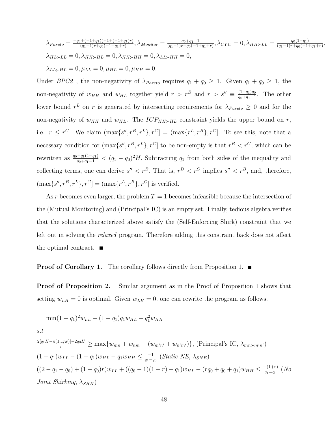$$
\lambda_{Pareto} = \frac{-q_0 + (-1 + q_1)(-1 + (-1 + q_1)r)}{(q_1 - 1)r + q_0(-1 + q_1 + r)}, \lambda_{Monitor} = \frac{q_0 + q_1 - 1}{(q_1 - 1)r + q_0(-1 + q_1 + r)}, \lambda_{CYC} = 0, \lambda_{HH \succ LL} = \frac{q_0(1 - q_1)}{(q_1 - 1)r + q_0(-1 + q_1 + r)},
$$
  
\n
$$
\lambda_{HL \succ LL} = 0, \lambda_{HH \succ HL} = 0, \lambda_{HH \succ HH} = 0, \lambda_{LL \succ HH} = 0,
$$
  
\n
$$
\lambda_{LL \succ HL} = 0, \mu_{LL} = 0, \mu_{HL} = 0, \mu_{HH} = 0.
$$

Under BPC2, the non-negativity of  $\lambda_{Pareto}$  requires  $q_1 + q_0 \geq 1$ . Given  $q_1 + q_0 \geq 1$ , the non-negativity of  $w_{HH}$  and  $w_{HL}$  together yield  $r > r^B$  and  $r > s'' \equiv \frac{(1-q_1)q_0}{q_0+q_1-1}$  $\frac{(1-q_1)q_0}{q_0+q_1-1}$ . The other lower bound  $r^L$  on r is generated by intersecting requirements for  $\lambda_{Pareto} \geq 0$  and for the non-negativity of  $w_{HH}$  and  $w_{HL}$ . The  $ICP_{HH \succ HL}$  constraint yields the upper bound on r, i.e.  $r \leq r^C$ . We claim  $(\max\{s'', r^B, r^L\}, r^C] = (\max\{r^L, r^B\}, r^C]$ . To see this, note that a necessary condition for  $(\max\{s'', r^B, r^L\}, r^C]$  to be non-empty is that  $r^B < r^C$ , which can be rewritten as  $\frac{q_0-q_1(1-q_1)}{q_0+q_1-1} < (q_1-q_0)^2 H$ . Subtracting  $q_1$  from both sides of the inequality and collecting terms, one can derive  $s'' < r^B$ . That is,  $r^B < r^C$  implies  $s'' < r^B$ , and, therefore,  $(\max\{s'', r^B, r^L\}, r^C] = (\max\{r^L, r^B\}, r^C]$  is verified.

As r becomes even larger, the problem  $T = 1$  becomes infeasible because the intersection of the (Mutual Monitoring) and (Principal's IC) is an empty set. Finally, tedious algebra verifies that the solutions characterized above satisfy the (Self-Enforcing Shirk) constraint that we left out in solving the relaxed program. Therefore adding this constraint back does not affect the optimal contract.  $\blacksquare$ 

#### **Proof of Corollary 1.** The corollary follows directly from Proposition 1.  $\blacksquare$

**Proof of Proposition 2.** Similar argument as in the Proof of Proposition 1 shows that setting  $w_{LH} = 0$  is optimal. Given  $w_{LH} = 0$ , one can rewrite the program as follows.

$$
\min(1 - q_1)^2 w_{LL} + (1 - q_1) q_1 w_{HL} + q_1^2 w_{HH}
$$

s.t

$$
\frac{2[q_1H - \pi(1,1;w)] - 2q_0H}{r} \ge \max\{w_{mn} + w_{nm} - (w_{m'n'} + w_{n'm'})\}, \text{ (Principal's IC, } \lambda_{mn>m'n'})
$$
\n
$$
(1 - q_1)w_{LL} - (1 - q_1)w_{HL} - q_1w_{HH} \le \frac{-1}{q_1 - q_0} \text{ (Static NE, } \lambda_{SNE})
$$
\n
$$
((2 - q_1 - q_0) + (1 - q_0)r)w_{LL} + ((q_0 - 1)(1 + r) + q_1)w_{HL} - (rq_0 + q_0 + q_1)w_{HH} \le \frac{-(1+r)}{q_1 - q_0} \text{ (No}
$$
\n*Joint Shirking,* \n
$$
\lambda_{SHK}
$$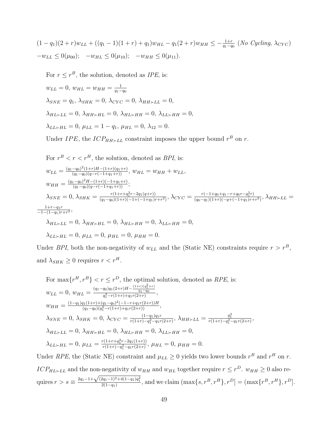$$
(1 - q_1)(2 + r)w_{LL} + ((q_1 - 1)(1 + r) + q_1)w_{HL} - q_1(2 + r)w_{HH} \le -\frac{1+r}{q_1 - q_0} (No\ Cycling, \lambda_{CYC})
$$
  

$$
-w_{LL} \le 0(\mu_{00}); \quad -w_{HL} \le 0(\mu_{10}); \quad -w_{HH} \le 0(\mu_{11}).
$$

For  $r \leq r^B$ , the solution, denoted as *IPE*, is:  $w_{LL} = 0, w_{HL} = w_{HH} = \frac{1}{q_1 - q_2}$  $q_1 - q_0$  $\lambda_{SNE} = q_1, \, \lambda_{SHK} = 0, \, \lambda_{CYC} = 0, \, \lambda_{HH \succ LL} = 0,$  $\lambda_{HL \succ LL} = 0$ ,  $\lambda_{HH \succ HL} = 0$ ,  $\lambda_{HL \succ HH} = 0$ ,  $\lambda_{LL \succ HH} = 0$ ,  $\lambda_{LL \succ HL} = 0, \, \mu_{LL} = 1 - q_1, \, \mu_{HL} = 0, \, \lambda_{12} = 0.$ 

Under IPE, the ICP<sub>HH $>E$ LL</sub> constraint imposes the upper bound  $r^B$  on r.

For 
$$
r^B < r < r^H
$$
, the solution, denoted as *BPI*, is:  
\n
$$
w_{LL} = \frac{(q_1 - q_0)^2 (1+r)H - (1+r)(q_1+r)}{(q_1 - q_0)(q - r(-1 + q_1 + r))}, \quad w_{HL} = w_{HH} + w_{LL},
$$
\n
$$
w_{HH} = \frac{(q_1 - q_0)^2 H - (1+r)(-1 + q_1 + r)}{(q_1 - q_0)(q - r(-1 + q_1 + r))};
$$
\n
$$
\lambda_{SNE} = 0, \quad \lambda_{SHK} = \frac{r(1 + r + q_1^2 r - 2q_1(q+r))}{(q_1 - q_0)(1+r)(-1 + (-1 + q_1)r + r^2)}, \quad \lambda_{CYC} = \frac{r(-1 + q_0 + q_1 - r + q_0r - q_1^2 r)}{(q_0 - q_1)(1+r)(-q + (-1 + q_1)r + r^2)}, \quad \lambda_{HH} \succ LL = \frac{1 + r - q_1r}{-1 - (1 - q_1)r + r^2},
$$
\n
$$
\lambda_{HL} \succ LL = 0, \quad \lambda_{HH} \succ HL = 0, \quad \lambda_{HL} \succ HH = 0, \quad \lambda_{LL} \succ HH = 0,
$$
\n
$$
\lambda_{LL} \succ HL = 0, \quad \mu_{LL} = 0, \quad \mu_{HL} = 0, \quad \mu_{HH} = 0.
$$

Under BPI, both the non-negativity of  $w_{LL}$  and the (Static NE) constraints require  $r > r^B$ , and  $\lambda_{SHK} \geq 0$  requires  $r < r^H$ .

For 
$$
\max\{r^H, r^B\} < r \le r^D
$$
, the optimal solution, denoted as *RPE*, is:  
\n
$$
w_{LL} = 0, w_{HL} = \frac{(q_1 - q_0)q_1(2+r)H - \frac{(1+r)(q_1^2+r)}{q_1-q_0}}{q_1^2 - r(1+r) + q_1r(2+r)},
$$
\n
$$
w_{HH} = \frac{(1-q_1)q_1(1+r) + (q_1 - q_0)^2(-1-r+q_1r(2+r))H}{(q_1 - q_0)(q_1^2 - r(1+r) + q_1r(2+r))},
$$
\n
$$
\lambda_{SNE} = 0, \ \lambda_{SHK} = 0, \ \lambda_{CYC} = \frac{(1-q_1)q_1r}{r(1+r) - q_1^2 - q_1r(2+r)}, \ \lambda_{HH \succ LL} = \frac{q_1^2}{r(1+r) - q_1^2 - q_1r(2+r)},
$$
\n
$$
\lambda_{HL \succ LL} = 0, \ \lambda_{HH \succ HL} = 0, \ \lambda_{HL \succ HH} = 0, \ \lambda_{LL \succ HH} = 0,
$$
\n
$$
\lambda_{LL \succ HL} = 0, \ \mu_{LL} = \frac{r(1+r+q_1^2r-2q_1(1+r))}{r(1+r) - q_1^2 - q_1r(2+r)}, \ \mu_{HL} = 0, \ \mu_{HH} = 0.
$$

Under RPE, the (Static NE) constraint and  $\mu_{LL} \geq 0$  yields two lower bounds  $r^B$  and  $r^H$  on r.  $ICP_{HL \succ LL}$  and the non-negativity of  $w_{HH}$  and  $w_{HL}$  together require  $r \leq r^D$ .  $w_{HH} \geq 0$  also requires  $r > s \equiv \frac{2q_1 - 1 + \sqrt{(2q_1 - 1)^2 + 4(1 - q_1)q_1^2}}{2(1 - q_1)}$ , and we claim  $(\max\{s, r^B, r^H\}, r^D] = (\max\{r^B, r^H\}, r^D)$ .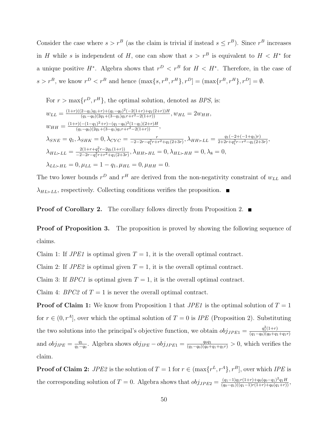Consider the case where  $s > r^B$  (as the claim is trivial if instead  $s \leq r^B$ ). Since  $r^B$  increases in H while s is independent of H, one can show that  $s > r<sup>B</sup>$  is equivalent to  $H < H^*$  for a unique positive  $H^*$ . Algebra shows that  $r^D < r^B$  for  $H < H^*$ . Therefore, in the case of  $s > r^B$ , we know  $r^D < r^B$  and hence  $(\max\{s, r^B, r^H\}, r^D] = (\max\{r^B, r^H\}, r^D] = \emptyset$ .

For 
$$
r > \max\{r^D, r^H\}
$$
, the optimal solution, denoted as *BPS*, is:  
\n
$$
w_{LL} = \frac{(1+r)((2-q_1)q_1+r) + (q_1-q_0)^2(-2(1+r)+q_1(2+r))H}{(q_1-q_0)(2q_1+(3-q_1)q_1r+r^2-2(1+r))}, w_{HL} = 2w_{HH},
$$
\n
$$
w_{HH} = \frac{(1+r)(-(1-q_1)^2+r) - (q_1-q_0)^2(1-q_1)(2+r)H}{(q_1-q_0)(2q_1+(3-q_1)q_1r+r^2-2(1+r))},
$$
\n
$$
\lambda_{SNE} = q_1, \lambda_{SHK} = 0, \lambda_{CYC} = \frac{r}{-2-2r-q_1^2r+r^2+q_1(2+3r)}, \lambda_{HH \succ LL} = \frac{q_1(-2+(-1+q_1)r)}{2+2r+q_1^2r-r^2-q_1(2+3r)},
$$
\n
$$
\lambda_{HL \succ LL} = \frac{2(1+r+q_1^2r-2q_1(1+r))}{-2-2r-q_1^2r+r^2+q_1(2+3r)}, \lambda_{HH \succ HL} = 0, \lambda_{HL \succ HH} = 0, \lambda_8 = 0,
$$
\n
$$
\lambda_{LL \succ HL} = 0, \mu_{LL} = 1 - q_1, \mu_{HL} = 0, \mu_{HH} = 0.
$$

The two lower bounds  $r^D$  and  $r^H$  are derived from the non-negativity constraint of  $w_{LL}$  and  $\lambda_{HL \succ LL}$ , respectively. Collecting conditions verifies the proposition.

**Proof of Corollary 2.** The corollary follows directly from Proposition 2.  $\blacksquare$ 

**Proof of Proposition 3.** The proposition is proved by showing the following sequence of claims.

Claim 1: If  $JPE1$  is optimal given  $T = 1$ , it is the overall optimal contract.

Claim 2: If  $JPE2$  is optimal given  $T = 1$ , it is the overall optimal contract.

Claim 3: If *BPC1* is optimal given  $T = 1$ , it is the overall optimal contract.

Claim 4: BPC2 of  $T = 1$  is never the overall optimal contract.

**Proof of Claim 1:** We know from Proposition 1 that  $JPE1$  is the optimal solution of  $T = 1$ for  $r \in (0, r^A]$ , over which the optimal solution of  $T = 0$  is *IPE* (Proposition 2). Substituting the two solutions into the principal's objective function, we obtain  $obj_{JPE1} = \frac{q_1^2(1+r)}{(q_1-q_0)(q_0+q_1)}$  $(q_1-q_0)(q_0+q_1+q_1r)$ and  $obj_{IPE} = \frac{q_1}{q_1 - q_2}$  $\frac{q_1}{q_1-q_0}$ . Algebra shows  $obj_{IPE} - obj_{JPE1} = \frac{q_0q_1}{(q_1-q_0)(q_0+q_1+q_1r)} > 0$ , which verifies the claim.

**Proof of Claim 2:** JPE2 is the solution of  $T = 1$  for  $r \in (\max\{r^L, r^A\}, r^B]$ , over which IPE is the corresponding solution of  $T = 0$ . Algebra shows that  $obj_{JPE2} = \frac{(q_1-1)q_1r(1+r)+q_0(q_0-q_1)^2q_1H}{(q_0-q_1)((q_1-1)r(1+r)+q_0(q_1+r))}$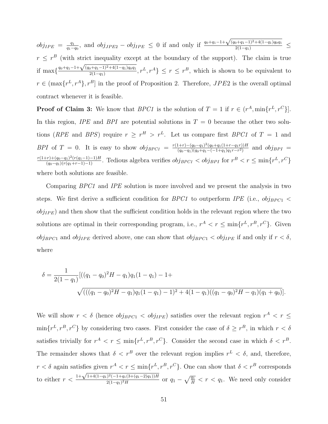$obj_{IPE} = \frac{q_1}{q_1 - q_2}$  $\frac{q_1}{q_1-q_0}$ , and  $obj_{JPE2} - obj_{IPE} \leq 0$  if and only if  $\frac{q_0+q_1-1+\sqrt{p_0-q_1}}{q_0+q_1-1+\sqrt{p_0-q_1}}$  $\frac{(q_0+q_1-1)^2+4(1-q_1)q_0q_1}{2(1-q_1)} \leq$  $r \leq r^B$  (with strict inequality except at the boundary of the support). The claim is true if max $\frac{q_0+q_1-1+\sqrt{(q_0+q_1-1)^2+4(1-q_1)q_0q_1}}{2(1-q_1)}$  $\frac{2(1-q_1)^{2+4(1-q_1)q_0q_1}}{2(1-q_1)}, r^L, r^A\} \leq r \leq r^B$ , which is shown to be equivalent to  $r \in (\max\{r^L, r^A\}, r^B]$  in the proof of Proposition 2. Therefore,  $JPE2$  is the overall optimal contract whenever it is feasible.

**Proof of Claim 3:** We know that *BPC1* is the solution of  $T = 1$  if  $r \in (r^A, \min\{r^L, r^C\}]$ . In this region, IPE and BPI are potential solutions in  $T = 0$  because the other two solutions (RPE and BPS) require  $r \geq r^H > r^L$ . Let us compare first BPC1 of  $T = 1$  and BPI of T = 0. It is easy to show  $obj_{BPC1} = \frac{r(1+r)-(q_0-q_1)^2(q_0+q_1(1+r-q_1r))H}{(q_0-q_1)(q_0+q_1-(-1+q_1)q_1r-r^2)}$  $\frac{(q_0-q_1)(q_0+q_1(1+r-q_1r))H}{(q_0-q_1)(q_0+q_1-(-1+q_1)q_1r-r^2)}$  and  $obj_{BPI}$  =  $\frac{r(1+r)+(q_0-q_1)^2(r(q_1-1)-1)H}{(q_0-q_1)(r(q_1+r-1)-1)}$ . Tedious algebra verifies  $obj_{BPC1} < obj_{BPI}$  for  $r^B < r \le \min\{r^L, r^C\}$ where both solutions are feasible.

Comparing BPC1 and IPE solution is more involved and we present the analysis in two steps. We first derive a sufficient condition for *BPC1* to outperform *IPE* (i.e.,  $obj_{BPC1}$  <  $obj_{IPE}$ ) and then show that the sufficient condition holds in the relevant region where the two solutions are optimal in their corresponding program, i.e.,  $r^A < r \leq \min\{r^L, r^B, r^C\}$ . Given  $obj_{BPC1}$  and  $obj_{IPE}$  derived above, one can show that  $obj_{BPC1} < obj_{IPE}$  if and only if  $r < \delta$ , where

$$
\delta = \frac{1}{2(1-q_1)}[((q_1 - q_0)^2 H - q_1)q_1(1-q_1) - 1 + \sqrt{(((q_1 - q_0)^2 H - q_1)q_1(1-q_1) - 1)^2 + 4(1-q_1)((q_1 - q_0)^2 H - q_1)(q_1 + q_0)}].
$$

We will show  $r < \delta$  (hence  $obj_{BPC1} < obj_{IPE}$ ) satisfies over the relevant region  $r<sup>A</sup> < r \leq$  $\min\{r^L, r^B, r^C\}$  by considering two cases. First consider the case of  $\delta \geq r^B$ , in which  $r < \delta$ satisfies trivially for  $r^A < r \leq \min\{r^L, r^B, r^C\}$ . Consider the second case in which  $\delta < r^B$ . The remainder shows that  $\delta < r^B$  over the relevant region implies  $r^L < \delta$ , and, therefore,  $r < \delta$  again satisfies given  $r^A < r \le \min\{r^L, r^B, r^C\}$ . One can show that  $\delta < r^B$  corresponds to either  $r <$  $1+\sqrt{1+4(1-q_1)^2(-1+q_1(3+(q_1-2)q_1))H}$  $\frac{2(1-q_1)^2 + (1-q_1)(3+(q_1-2)q_1)}{2(1-q_1)^2H}$  or  $q_1 - \sqrt{\frac{q_1}{H}} < r < q_1$ . We need only consider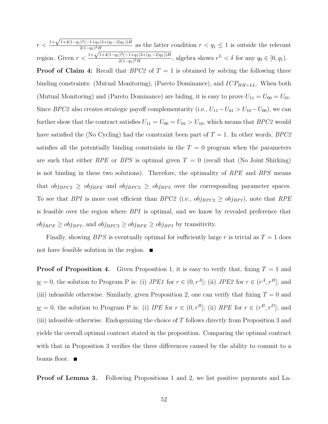$r <$  $1+\sqrt{1+4(1-q_1)^2(-1+q_1(3+(q_1-2)q_1))H}$  $\frac{2(1-q_1)^2H}{2(1-q_1)^2H}$  as the latter condition  $r < q_1 \leq 1$  is outside the relevant region. Given  $r <$  $\frac{(n-1)^2H}{1+\sqrt{1+4(1-q_1)^2(-1+q_1(3+(q_1-2)q_1))H}}$  $\frac{1}{2(1-q_1)^2H}$ , algebra shows  $r^L < \delta$  for any  $q_0 \in [0, q_1)$ . **Proof of Claim 4:** Recall that  $BPC2$  of  $T = 1$  is obtained by solving the following three binding constraints: (Mutual Monitoring), (Pareto Dominance), and  $ICP_{HH \succ LL}$ . When both (Mutual Monitoring) and (Pareto Dominance) are biding, it is easy to prove  $U_{11} = U_{00} = U_{01}$ . Since BPC2 also creates strategic payoff complementarity (i.e.,  $U_{11} - U_{01} > U_{10} - U_{00}$ ), we can further show that the contract satisfies  $U_{11} = U_{00} = U_{01} > U_{10}$ , which means that  $BPC2$  would have satisfied the (No Cycling) had the constraint been part of  $T = 1$ . In other words, BPC2 satisfies all the potentially binding constraints in the  $T = 0$  program when the parameters are such that either RPE or BPS is optimal given  $T = 0$  (recall that (No Joint Shirking) is not binding in these two solutions). Therefore, the optimality of RPE and BPS means that  $obj_{BPC2} \geq obj_{RPE}$  and  $obj_{BPC2} \geq obj_{BPS}$  over the corresponding parameter spaces. To see that BPI is more cost efficient than BPC2 (i.e.,  $obj_{BPC2} \geq obj_{BPI}$ ), note that RPE is feasible over the region where BPI is optimal, and we know by revealed preference that  $obj_{RPE} \geq obj_{BPI}$ , and  $obj_{BPC2} \geq obj_{RPE} \geq obj_{BPI}$  by transitivity.

Finally, showing  $BPS$  is eventually optimal for sufficiently large r is trivial as  $T = 1$  does not have feasible solution in the region.  $\blacksquare$ 

**Proof of Proposition 4.** Given Proposition 1, it is easy to verify that, fixing  $T = 1$  and  $\underline{w} = 0$ , the solution to Program P is: (i) *JPE1* for  $r \in (0, r^A]$ ; (ii) *JPE2* for  $r \in (r^A, r^B]$ ; and (iii) infeasible otherwise. Similarly, given Proposition 2, one can verify that fixing  $T = 0$  and  $\underline{w} = 0$ , the solution to Program P is: (i) IPE for  $r \in (0, r^B]$ ; (ii) RPE for  $r \in (r^B, r^D]$ ; and (iii) infeasible otherwise. Endogenizing the choice of  $T$  follows directly from Proposition 3 and yields the overall optimal contract stated in the proposition. Comparing the optimal contract with that in Proposition 3 verifies the three differences caused by the ability to commit to a bonus floor.  $\blacksquare$ 

Proof of Lemma 3. Following Propositions 1 and 2, we list positive payments and La-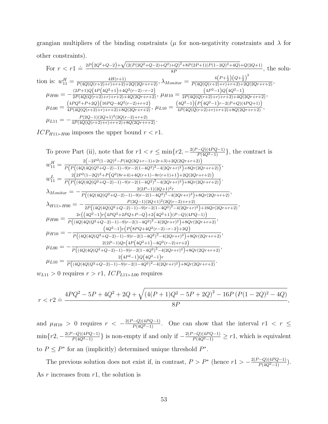grangian multipliers of the binding constraints ( $\mu$  for non-negativity constraints and  $\lambda$  for other constraints). √

For 
$$
r < r1 \doteq \frac{2P(2Q^2+Q-2)+\sqrt{(2(P(2Q^2+Q-2)+Q^2)+Q)^2+8P(2P+1)(P(1-2Q)^2+4Q)+Q(2Q+1)}}{8P}
$$
, the solution is:  $w_{11}^H = \frac{4H(r+1)}{P(4Q(Q(r+2)+r)+r+2)+2Q(2Qr+r+2)}, \lambda_{Monitor} = \frac{4(P+\frac{1}{2})(Q+\frac{1}{2})^2}{P(4Q(Q(r+2)+r)+r+2)+2Q(2Qr+r+2)},$   
\n $\mu_{H00} = -\frac{(2P+1)Q(4P(4Q^2+1)+4Q^2(r-2)-r-2)}{2P(4Q(Q(r+2)+r)+r+2)+4Q(2Qr+r+2)}, \mu_{H10} = \frac{(4P^2-1)Q(4Q^2-1)}{2P(4Q(Q(r+2)+r)+r+2)+4Q(2Qr+r+2)},$   
\n $\mu_{L00} = \frac{(4PQ^2+P+2Q)(16PQ-4Q^2(r-2)+r+2)}{4P(4Q(Q(r+2)+r)+r+2)+8Q(2Qr+r+2)}, \mu_{L10} = \frac{(4Q^2-1)(P(4Q^2-1)r-2(P+Q)(4PQ+1))}{4P(4Q(Q(r+2)+r)+r+2)+8Q(2Qr+r+2)},$   
\n $\mu_{L11} = -\frac{P(2Q-1)(2Q+1)^2(2Q(r-2)+r+2)}{4P(4Q(Q(r+2)+r)+r+2)+8Q(2Qr+r+2)}.$ 

 $ICP_{H11 \succ H00}$  imposes the upper bound  $r < r1$ .

To prove Part (ii), note that for 
$$
r1 < r \leq \min\{r2, -\frac{2(P-Q)(4PQ-1)}{P(4Q^2-1)}\}
$$
, the contract is  $w_{11}^H = \frac{2(-2P^2(1-2Q)^2 - P(4Q(3Q+r-1)+2r+3)+2Q(2Qr+r+2))}{P(P((4Q(4Q(Q^2+Q-2)-1)-9)r-2(1-4Q^2)^2-4(2Qr+r)^2)+8Qr(2Qr+r+2))},$   
\n $w_{11}^L = \frac{2(2P^2(1-2Q)^2 + P(Q^2(8r+4)+4Q(r+1)-8r(r+1)+1)+2Q(2Qr+r+2))}{P(P((4Q(4Q(Q^2+Q-2)-1)-9)r-2(1-4Q^2)^2-4(2Qr+r)^2)+8Qr(2Qr+r+2))}.$   
\n $\lambda_{Monitor} = -\frac{2(2P-1)(2Q+1)^2r}{P((4Q(4Q(Q^2+Q-2)-1)-9)r-2(1-4Q^2)^2-4(2Qr+r)^2)+8Qr(2Qr+r+2)},$   
\n $\lambda_{H11} \times H00 = -\frac{P(2Q-1)(2Q+1)^2(2Q(r-2)+r+2)}{2P((4Q(4Q(Q^2+Q-2)-1)-9)r-2(1-4Q^2)^2-4(2Qr+r)^2)+16Qr(2Qr+r+2)},$   
\n $\mu_{H00} = \frac{2r((4Q^2-1)r(4PQ^2+2PQ+P-Q)+2(4Q^2+1)(P-Q)(4PQ-1))}{P((4Q(4Q(Q^2+Q-2)-1)-9)r-2(1-4Q^2)^2-4(2Qr+r)^2)+8Qr(2Qr+r+2)},$   
\n $\mu_{H10} = -\frac{(4Q^2-1)r(P(8PQ+4Q^2(r-2)-r-2)+2Q)}{P((4Q(4Q(Q^2+Q-2)-1)-9)r-2(1-4Q^2)^2-4(2Qr+r)^2)+8Qr(2Qr+r+2)},$   
\n $\mu_{L00} = -\frac{2(2P-1)Qr(4P(4Q^2+1)-4Q^2(r-2)+r+2$ 

 $w_{L11} > 0$  requires  $r > r1$ ,  $ICP_{L11 \succ L00}$  requires

$$
r < r2 \doteq \frac{4PQ^2 - 5P + 4Q^2 + 2Q + \sqrt{\left(4(P+1)Q^2 - 5P + 2Q\right)^2 - 16P\left(P(1-2Q)^2 - 4Q\right)}}{8P},
$$

and  $\mu_{H10} > 0$  requires  $r < -\frac{2(P-Q)(4PQ-1)}{P(4Q^2-1)}$ . One can show that the interval  $r1 < r \leq$  $\min\{r2,-\frac{2(P-Q)(4PQ-1)}{P(4Q^2-1)}\}$  is non-empty if and only if  $-\frac{2(P-Q)(4PQ-1)}{P(4Q^2-1)} \geq r1$ , which is equivalent to  $P \leq P^*$  for an (implicitly) determined unique threshold  $P^*$ .

The previous solution does not exist if, in contrast,  $P > P^*$  (hence  $r1 > -\frac{2(P-Q)(4PQ-1)}{P(4Q^2-1)}$ ). As  $r$  increases from  $r1$ , the solution is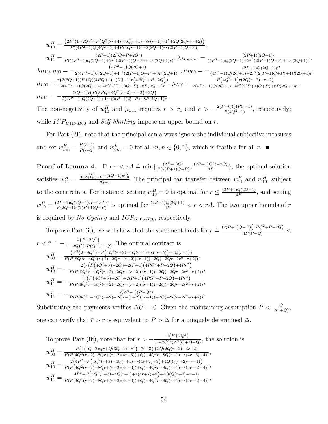$$
w_{10}^H = \frac{(2P^2(1-2Q)^2 + P\left(Q^2(8r+4) + 4Q(r+1) - 8r(r+1) + 1\right) + 2Q(2Qr+r+2)\right)}{P((4P^2-1)Q(4Q^2-1) + 4P(4Q^2-1)r + 2(2Q-1)r^2(2(P+1)Q+P))},
$$
\n
$$
w_{11}^H = \frac{(2P+1)(2PQ+P+2Qr)}{P((4P^2-1)Q(2Q+1) + 2r^2(2(P+1)Q+P) + 4P(2Q+1)r}; \lambda_{Monitor} = \frac{(2P+1)(2Q+1) + 4P(2Q+1)r}{(4P^2-1)Q(2Q+1) + 2r^2(2(P+1)Q+P) + 4P(2Q+1)r},
$$
\n
$$
\lambda_{H11 \succ H00} = -\frac{(4P^2-1)Q(2Q+1)}{2(4P^2-1)Q(2Q+1) + 4r^2(2(P+1)Q+P) + 8P(2Q+1)r}, \mu_{H00} = -\frac{(2P+1)Q(2Q-1)r^2}{(4P^2-1)Q(2Q+1) + 2r^2(2(P+1)Q+P) + 4P(2Q+1)r},
$$
\n
$$
\mu_{L00} = \frac{r(2(2Q+1)(P+Q)(4PQ+1) - (2Q-1)r(4PQ^2+P+2Q))}{2(4P^2-1)Q(2Q+1) + 4r^2(2(P+1)Q+P) + 8P(2Q+1)r}, \mu_{L10} = \frac{P(4Q^2-1)r(2Q(r-2) - r-2)}{2(4P^2-1)Q(2Q+1) + 4r^2(2(P+1)Q+P) + 8P(2Q+1)r},
$$
\n
$$
\mu_{L11} = -\frac{(2Q+1)r(P(8PQ+4Q^2(r-2) - r-2) + 2Q)}{2(4P^2-1)Q(2Q+1) + 4r^2(2(P+1)Q+P) + 8P(2Q+1)r}.
$$

,

The non-negativity of  $w_{10}^H$  and  $\mu_{L11}$  requires  $r > r_1$  and  $r > -\frac{2(P-Q)(4PQ-1)}{P(4Q^2-1)}$ , respectively; while  $ICP_{H11 \succ H00}$  and *Self-Shirking* impose an upper bound on r.

For Part (iii), note that the principal can always ignore the individual subjective measures and set  $w_{mn}^H = \frac{H(r+1)}{P(r+2)}$  and  $w_{mn}^L = 0$  for all  $m, n \in \{0, 1\}$ , which is feasible for all r.

**Proof of Lemma 4.** For  $r < rA \doteq \min\left\{\frac{(2P+1)Q^2}{P(2(P+1))Q}\right\}$  $\frac{(2P+1)Q^2}{P(2(P+1)Q-P)}$ ,  $\frac{(2P+1)Q(3-2Q)}{4P}$  $\frac{Q(3-2Q)}{4P}$ , the optimal solution satisfies  $w_{11}^H = \frac{\frac{4H}{2(P+1)Q+P} + (2Q-1)w_{10}^H}{2Q+1}$ . The principal can transfer between  $w_{11}^H$  and  $w_{10}^H$ , subject to the constraints. For instance, setting  $w_{10}^H = 0$  is optimal for  $r \leq \frac{(2P+1)Q(2Q+1)}{4P}$  $\frac{q(2Q+1)}{4P}$ , and setting  $w_{10}^H = \frac{(2P+1)Q(2Q+1)H-4PHr}{P(2Q-1)r(2(P+1)Q+P)}$  $\frac{2P+1)Q(2Q+1)H-4PHr}{P(2Q-1)r(2(P+1)Q+P)}$  is optimal for  $\frac{(2P+1)Q(2Q+1)}{4P} < r < rA$ . The two upper bounds of r is required by No Cycling and  $ICP_{H10 \succ H00}$ , respectively.

To prove Part (ii), we will show that the statement holds for  $\underline{r} \doteq \frac{(2(P+1)Q-P)(4PQ^2+P-2Q)}{4P(P-Q)}$  $r < \bar{r} \doteq -\frac{4(P+2Q^2)}{(1-2Q^2)(2P(Q+1))}$  $\frac{1}{(1-2Q)^2(2P(Q+1)-Q)}$ . The optimal contract is  $w_{00}^H = \frac{P^2(2-8Q^2) - P(4Q^2(r+2)-4Q(r+1)+r(4r+5))+4Q(r+1))}{P(P(8Q^3r-4Q^2(r+2)+2Qr-(r+2)(4r+1))+2Q(-2Qr-2r^2+r+5))}$  $\frac{(1 - (2 - 3\zeta - 1) - 1)(3\zeta + 2\zeta + 2)}{P(P(8Q^3r - 4Q^2(r+2) + 2Qr - (r+2)(4r+1)) + 2Q(-2Qr - 2r^2 + r + 2))},$  $w_{10}^H = -\frac{2\left(r\left(P\left(4Q^2+5\right)-2Q\right)+2\left(P+1\right)\left(4PQ^2+P-2Q\right)+4Pr^2\right)}{P\left(P\left(8Q^3r-4Q^2\left(r+2\right)+2Qr-\left(r+2\right)\left(4r+1\right)\right)+2Q\left(-2Qr-2r^2+1\right)}$  $\frac{2(Y(Y(\frac{1}{2}+3)-2\epsilon y)+2(Y+1))(\frac{1}{2}+Y-\frac{1}{2}\epsilon y)+4(Y+1))}{P(P(8Q^3r-4Q^2(r+2)+2Qr-(r+2)(4r+1))+2Q(-2Qr-2r^2+r+2))},$  $w_{11}^H = -\frac{(r(P(4Q^2+5)-2Q)+2(P+1)(4PQ^2+P-2Q)+4Pr^2)}{P(P(8Q^3r-4Q^2(r+2)+2Qr-(r+2)(4r+1))+2Q(-2Qr-2r^2+1)}$  $\frac{(1)^{(1+2\epsilon)+9-2\epsilon}+2(1+1)(4R\epsilon+1-2\epsilon)+4R\epsilon+1}{P(P(8Q^3r-4Q^2(r+2)+2Qr-(r+2)(4r+1))+2Q(-2Qr-2r^2+r+2))},$  $w_{11}^L = -\frac{2(2P+1)(P+Qr)}{P(P(8Q^3r-4Q^2(r+2)+2Qr-(r+2)(4r+1))}$  $\frac{2(2P+1)(P+Qr)}{P(P(8Q^3r-4Q^2(r+2)+2Qr-(r+2)(4r+1))+2Q(-2Qr-2r^2+r+2))}.$ 

Substituting the payments verifies  $\Delta U = 0$ . Given the maintaining assumption  $P < \frac{Q}{2(1+Q)}$ , one can verify that  $\bar{r} > r$  is equivalent to  $P > \Delta$  for a uniquely determined  $\Delta$ .

To prove Part (iii), note that for 
$$
r > -\frac{4(P+2Q^2)}{(1-2Q)^2(2P(Q+1)-Q)}
$$
, the solution is  
\n
$$
w_{00}^H = \frac{P(4((Q-2)Qr+Q(3Q-1)+r^2)+7r+3)+2Q(2Q(r+2)-3r-2)}{P(P(4Q^2(r+2)-8Qr+(r+2)(4r+3))+Q(-4Q^2r+8Q(r+1)+r(4r-3)-4))},
$$
\n
$$
w_{10}^H = \frac{2(4P^2+P(4Q^2(r+3)-4Q(r+1)+r(4r+7)+5)+4Q(Q(r+2)-r-1))}{P(P(4Q^2(r+2)-8Qr+(r+2)(4r+3))+Q(-4Q^2r+8Q(r+1)+r(4r-3)-4))},
$$
\n
$$
w_{11}^H = \frac{4P^2+P(4Q^2(r+3)-4Q(r+1)+r(4r+7)+5)+4Q(Q(r+2)-r-1)}{P(P(4Q^2(r+2)-8Qr+(r+2)(4r+3))+Q(-4Q^2r+8Q(r+1)+r(4r-3)-4))},
$$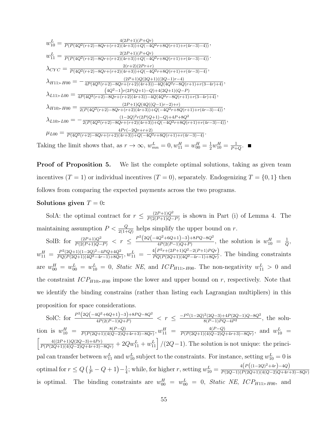$$
w_{10}^{L} = \frac{4(2P+1)(P+Qr)}{P(P(4Q^{2}(r+2)-8Qr+(r+2)(4r+3))+Q(-4Q^{2}r+8Q(r+1)+r(4r-3)-4))},
$$
  
\n
$$
w_{11}^{L} = \frac{2(2P+1)(P+Qr)}{P(P(4Q^{2}(r+2)-8Qr+(r+2)(4r+3))+Q(-4Q^{2}r+8Q(r+1)+r(4r-3)-4))}.
$$
  
\n
$$
\lambda_{CYC} = \frac{2(r+2)(2Pr+r)}{P(4Q^{2}(r+2)-8Qr+(r+2)(4r+3))+Q(-4Q^{2}r+8Q(r+1)+r(4r-3)-4)},
$$
  
\n
$$
\lambda_{H11>H}M_{12}M_{13} = -\frac{(2P+1)Q(2Q+1)((2Q-1)r-4)}{4P(4Q^{2}(r+2)-8Qr+(r+2)(4r+3))-4Q(4Q^{2}r-8Q(r+1)+r(3-4r)+4)},
$$
  
\n
$$
\lambda_{L11H}M_{22} = \frac{(4Q^{2}-1)r(2P(Q+1)-Q)+4(2Q+1)(Q-P)}{4P(4Q^{2}(r+2)-8Qr+(r+2)(4r+3))-4Q(4Q^{2}r-8Q(r+1)+r(3-4r)+4)},
$$
  
\n
$$
\lambda_{H10H}M_{23}M_{23} = \frac{(2P+1)Q(4Q((Q-1)r-2)+r)}{2(P(4Q^{2}(r+2)-8Qr+(r+2)(4r+3))+Q(-4Q^{2}r+8Q(r+1)+r(4r-3)-4))},
$$
  
\n
$$
\lambda_{L10H}M_{23} = -\frac{(1-2Q)^{2}r(2P(Q+1)-Q)+4P+8Q^{2}}{2(P(4Q^{2}(r+2)-8Qr+(r+2)(4r+3))+Q(-4Q^{2}r+8Q(r+1)+r(4r-3)-4)},
$$
  
\n
$$
\mu_{L00} = \frac{4Pr(-2Qr+r+2)}{P(4Q^{2}(r+2)-8Qr+(r+2)(4r+3))+Q(-4Q^{2}r+8Q(r+1)+r(4r-3)-4)}.
$$
  
\nTaking the limit shows that, as  $r \to \$ 

**Proof of Proposition 5.** We list the complete optimal solutions, taking as given team incentives  $(T = 1)$  or individual incentives  $(T = 0)$ , separately. Endogenizing  $T = \{0, 1\}$  then follows from comparing the expected payments across the two programs.

### Solutions given  $T = 0$ :

SolA: the optimal contract for  $r \n\t\leq \frac{(2P+1)Q^2}{P(2(P+1)Q)}$  $\frac{(2P+1)Q^2}{P(2(P+1)Q-P)}$  is shown in Part (i) of Lemma 4. The maintaining assumption  $P < \frac{Q}{2(1+Q)}$  helps simplify the upper bound on r.

SolB: for  $\frac{(2P+1)Q^2}{P(2(P+1)Q-P)} < r \leq \frac{P^2(2Q(-4Q^2+6Q+1)-3)+8PQ-8Q^2}{4P(2(P-1)Q+P)}$  $\frac{dQ^2 + 6Q + 1}{4P(2(P-1)Q+P)}$ , the solution is  $w_{10}^H = \frac{1}{Q}$  $\frac{1}{Q}$  ,  $w_{11}^H = \frac{P^2(2Q+1)(1-2Q)^2 - 4PQ + 4Q^2}{PQ(P(2Q+1)(4Q^2-4r-1)+8Qr)}$  $\frac{P^2(2Q+1)(1-2Q)^2-4PQ+4Q^2}{PQ(P(2Q+1)(4Q^2-4r-1)+8Qr)}$ ,  $w_{11}^L = -\frac{4(P^2r+(2P+1)Q^2-2(P+1)PQr)}{PQ(P(2Q+1)(4Q^2-4r-1)+8Qr)}$  $\frac{PQ(P(2Q+1)(4Q^2-4r-1)+8Qr)}{PQ(P(2Q+1)(4Q^2-4r-1)+8Qr)}$ . The binding constraints are  $w_{00}^H = w_{00}^L = w_{10}^L = 0$ , *Static NE*, and *ICP<sub>H11>H00</sub>*. The non-negativity  $w_{11}^L > 0$  and the constraint  $ICP_{H10 \succ H00}$  impose the lower and upper bound on r, respectively. Note that we identify the binding constrains (rather than listing each Lagrangian multipliers) in this proposition for space considerations.

SolC: for 
$$
\frac{P^2(2Q(-4Q^2+6Q+1)-3)+8PQ-8Q^2}{4P(2(P-1)Q+P)} < r \leq \frac{-P^2(1-2Q)^2(2Q-3)+4P(2Q-1)Q-8Q^2}{8(P-1)PQ-4P^2}
$$
, the solution is  $w_{10}^H = \frac{8(P-Q)}{P(P(2Q+1)(4(Q-2)Q+4r+3)-8Qr)}, w_{11}^H = \frac{4(P-Q)}{P(P(2Q+1)(4(Q-2)Q+4r+3)-8Qr)},$  and  $w_{10}^L = \left[\frac{4((2P+1)Q(2Q-3)+4Pr)}{P(P(2Q+1)(4(Q-2)Q+4r+3)-8Qr)} + 2Qw_{11}^L + w_{11}^L\right] / (2Q-1)$ . The solution is not unique: the principal can transfer between  $w_{11}^L$  and  $w_{10}^L$  subject to the constraints. For instance, setting  $w_{10}^L = 0$  is optimal for  $r \leq Q\left(\frac{1}{P} - Q + 1\right) - \frac{1}{4}$ ; while, for higher r, setting  $w_{10}^L = \frac{4\left(P\left((1-2Q)^2+4r\right)-4Q\right)}{P(2Q-1)(P(2Q+1)(4(Q-2)Q+4r+3)-8Qr)}$  is optimal. The binding constraints are  $w_{00}^H = w_{00}^L = 0$ , *Static NE*,  $ICP_{H11 \succ H00}$ , and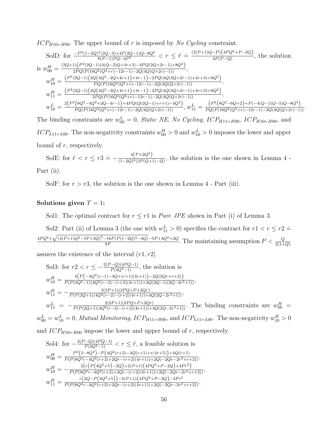$ICP_{H10 \succ H00}$ . The upper bound of r is imposed by No Cycling constraint.

SolD: for 
$$
\frac{-P^2(1-2Q)^2(2Q-3)+4P(2Q-1)Q-8Q^2}{8(P-1)PQ-4P^2} < r \leq \tilde{r} = \frac{(2(P+1)Q-P)(4PQ^2+P-2Q)}{4P(P-Q)},
$$
 the solution  
is 
$$
w_{00}^H = \frac{(2Q+1)(P^2(2Q-1)(4(Q-2)Q+4r+3)-4PQ(2Q+2r-1)+8Q^2)}{2PQ(P(16Q^2(Q^2+r)-12r-1)-2Q(4Q(Q+2r)-1))},
$$

$$
w_{10}^H = \frac{(P^2(2Q-1)(2Q(4Q^2-2Q+4r+1)+4r-1)-2PQ(4Q(3Q+2r-1)+4r+3)+8Q^2)}{PQ(P(16Q^2(Q^2+r)-12r-1)-2Q(4Q(Q+2r)-1))},
$$

$$
w_{11}^H = \frac{(P^2(2Q-1)(2Q(4Q^2-2Q+4r+1)+4r-1)-2PQ(4Q(3Q+2r-1)+4r+3)+8Q^2)}{2PQ(P(16Q^2(Q^2+r)-12r-1)-2Q(4Q(Q+2r)-1))},
$$

$$
w_{10}^L = \frac{2(P^2(8Q^3-4Q^2+2Q-4r-1)+4PQ(Q(2Q-1)+r+1)-4Q^2)}{PQ(P(16Q^2(Q^2+r)-12r-1)-2Q(4Q(Q+2r)-1))}, w_{11}^L = \frac{(P^2(8Q^3-6Q+2)+P(-4(Q-1)Q-5)Q-8Q^3)}{PQ(P(16Q^2(Q^2+r)-12r-1)-2Q(4Q(Q+2r)-1))}, w_{11}^L = \frac{(P^2(8Q^3-6Q+2)+P(-4(Q-1)Q-5)Q-8Q^3)}{PQ(P(16Q^2(Q^2+r)-12r-1)-2Q(4Q(Q+2r)-1))}.
$$

The binding constraints are  $w_{00}^L = 0$ , *Static NE*, *No Cycling*, *ICP<sub>H11</sub>* $\rightarrow$  *H*<sub>00</sub>, *ICP<sub>H10</sub>* $\rightarrow$  *<i>H*<sub>00</sub></sub>, and  $ICP_{L11 \succ L00}$ . The non-negativity constraints  $w_{00}^H > 0$  and  $w_{10}^L > 0$  imposes the lower and upper bound of  $r$ , respectively.

SolE: for  $\tilde{r} < r \leq r$   $\tilde{r} = -\frac{4(P+2Q^2)}{(1-2Q)(2P)(Q+1)}$  $\frac{4(1+2Q)}{(1-2Q)^2(2P(Q+1)-Q)}$ , the solution is the one shown in Lemma 4 -Part (ii).

SolF: for  $r > r3$ , the solution is the one shown in Lemma 4 - Part (iii).

### Solutions given  $T = 1$ :

Sol1: The optimal contract for  $r \leq r1$  is *Pure JPE* shown in Part (i) of Lemma 3.

Sol2: Part (ii) of Lemma 3 (the one with  $w_{11}^L > 0$ ) specifies the contract for  $r1 < r \leq r2 \doteq$  $4PQ^2 +$ √  $(4(P+1)Q^2-5P+2Q)^2-16P(P(1-2Q)^2-4Q)-5P+4Q^2+2Q$  $\frac{16P(P(1-2Q)^2-4Q)-5P+4Q^2+2Q}{8P}$ . The maintaining assumption  $P<\frac{Q}{2(1+Q)}$ 

assures the existence of the interval  $(r1, r2]$ .

Sol3: for 
$$
r2 < r \leq -\frac{2(P-Q)(4PQ-1)}{P(4Q^2-1)}
$$
, the solution is\n
$$
w_{10}^H = \frac{4\left(P\left(-4Q^2(r-1)-4Q+(r+1)(4r+1)\right)-2Q(2Qr+r+2)\right)}{P(P(4Q^2-1)(4Q^2(r-2)-(r+2)(4r+1))+4Q(2Q-1)(2Q-2r^2+1))},
$$
\n
$$
w_{11}^H = -\frac{2(2P+1)(2PQ+P+2Qr)}{P(P(2Q+1)(4Q^2(r-2)-(r+2)(4r+1))+4Q(2Q-2r^2+1))},
$$
\n
$$
w_{11}^L = -\frac{2(2P+1)(2PQ+P+2Qr)}{P(P(2Q+1)(4Q^2(r-2)-(r+2)(4r+1))+4Q(2Q-2r^2+1))}.
$$
\nThe binding constraints are  $w_{00}^H = w_{00}^L = 0$ , *Mutual Monitoring*,  $ICP_{H11 \succ H00}$ , and  $ICP_{L11 \succ L00}$ . The non-negativity  $w_{10}^H > 0$ 

and  $ICP_{H10 \succ H00}$  impose the lower and upper bound of r, respectively.

Sol4: for 
$$
-\frac{2(P-Q)(4PQ-1)}{P(4Q^2-1)} < r \leq \tilde{r}
$$
, a feasible solution is  
\n
$$
w_{00}^H = \frac{P^2(2-8Q^2)-P(4Q^2(r+2)-4Q(r+1)+r(4r+5))+4Q(r+1)}{P(P(8Q^3r-4Q^2(r+2)+2Qr-(r+2)(4r+1))+2Q(-2Qr-2r^2+r+2))},
$$
\n
$$
w_{10}^H = -\frac{2(r(P(4Q^2+5)-2Q)+2(P+1)(4PQ^2+P-2Q)+4Pr^2)}{P(P(8Q^3r-4Q^2(r+2)+2Qr-(r+2)(4r+1))+2Q(-2Qr-2r^2+r+2))},
$$
\n
$$
w_{11}^H = \frac{r(2Q-P(4Q^2+5))-2(P+1)(4PQ^2+P-2Q)-4Pr^2}{P(P(8Q^3r-4Q^2(r+2)+2Qr-(r+2)(4r+1))+2Q(-2Qr-2r^2+r+2))},
$$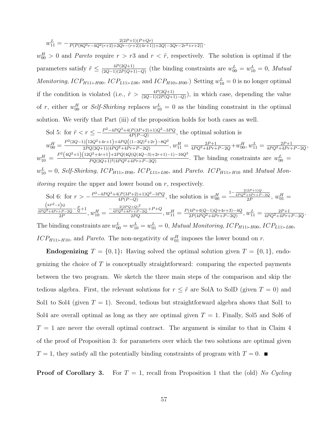$$
w_{11}^L = -\frac{2(2P+1)(P+Qr)}{P(P(8Q^3r-4Q^2(r+2)+2Qr-(r+2)(4r+1))+2Q(-2Qr-2r^2+r+2))}.
$$

 $w_{00}^H > 0$  and *Pareto* require  $r > r3$  and  $r < \tilde{r}$ , respectively. The solution is optimal if the parameters satisfy  $\tilde{r} \leq \frac{4P(2Q+1)}{(2Q-1)(2P(Q+1))}$  $\frac{4P(2Q+1)}{(2Q-1)(2P(Q+1)-Q)}$  (the binding constraints are  $w_{00}^L = w_{10}^L = 0$ , Mutual *Monitoring*,  $ICP_{H11 \succ H00}$ ,  $ICP_{L11 \succ L00}$ , and  $ICP_{H10 \succ H00}$ .) Setting  $w_{10}^L = 0$  is no longer optimal if the condition is violated (i.e.,  $\tilde{r} > \frac{4P(2Q+1)}{(2Q-1)(2P(Q+1)-Q)}$ ), in which case, depending the value of r, either  $w_{00}^H$  or Self-Shirking replaces  $w_{10}^L = 0$  as the binding constraint in the optimal solution. We verify that Part (iii) of the proposition holds for both cases as well.

Sol 5: for 
$$
\tilde{r} < r \leq -\frac{P^2 - 4PQ^3 + 4(P(3P+2) + 1)Q^2 - 3PQ}{4P(P-Q)}
$$
, the optimal solution is  
\n
$$
w_{00}^H = \frac{P^2(2Q-1)(12Q^2 + 4r + 1) + 4PQ((1-2Q)^2 + 2r) - 8Q^2}{2PQ(2Q+1)(4PQ^2 + 4Pr + P - 2Q)}, w_{11}^H = \frac{2P+1}{4PQ^2 + 4Pr + P - 2Q} + w_{00}^H, w_{11}^L = \frac{2P+1}{4PQ^2 + 4Pr + P - 2Q},
$$
\n
$$
w_{10}^H = \frac{P^2(4Q^2+1)(12Q^2+4r+1) + 2PQ(4Q(Q(4Q-3)+2r+1)-1) - 16Q^3}{PQ(2Q+1)^2(4PQ^2 + 4Pr + P - 2Q)}.
$$
\nThe binding constraints are  $w_{00}^L =$   
\n $w_{10}^L = 0$ , Self-Shirking, ICP<sub>H11</sub>~ $H_{00}$ , ICP<sub>L11</sub>~ $L_{00}$ , and Pareto. ICP<sub>H11</sub>~ $H_{10}$  and Mutual Mon-  
\nitoring require the upper and lower bound on r, respectively.

Sol 6: for 
$$
r > -\frac{P^2 - 4PQ^3 + 4(P(3P+2)+1)Q^2 - 3PQ}{4P(P-Q)}
$$
, the solution is  $w_{00}^H = \frac{1 - \frac{2(2P+1)Q}{4PQ^2 + 4P r + P - 2Q}}{2P}$ ,  $w_{01}^H = \frac{(sP^2-2)Q}{2P}$ ,  $w_{10}^H = \frac{2(2PQ+Q)^2}{4PQ^2 + 4P r + P - 2Q} \cdot \frac{P}{Q} + 1}{2PQ}$ ,  $w_{10}^H = \frac{-\frac{2(2PQ+Q)^2}{4PQ^2 + 4P r + P - 2Q} + P + Q}{2PQ}$ ,  $w_{11}^H = \frac{P(4P+4(Q-1)Q+4r+3)-4Q}{2P(4PQ^2+4P r + P - 2Q)}$ ,  $w_{11}^L = \frac{2P+1}{4PQ^2+4P r + P - 2Q}$ .  
The binding constraints are  $w_{00}^L = w_{10}^L = w_{01}^L = 0$ , *Mutual Monitoring*,  $ICP_{H11 \succ H00}$ ,  $ICP_{L11 \succ L00}$ ,  $ICP_{H11 \succ H10}$ , and *Pareto*. The non-negativity of  $w_{01}^H$  imposes the lower bound on *r*.

**Endogenizing**  $T = \{0, 1\}$ : Having solved the optimal solution given  $T = \{0, 1\}$ , endogenizing the choice of T is conceptually straightforward: comparing the expected payments between the two program. We sketch the three main steps of the comparison and skip the tedious algebra. First, the relevant solutions for  $r \leq \tilde{r}$  are SolA to SolD (given  $T = 0$ ) and Sol1 to Sol4 (given  $T = 1$ ). Second, tedious but straightforward algebra shows that Sol1 to Sol4 are overall optimal as long as they are optimal given  $T = 1$ . Finally, Sol5 and Sol6 of  $T = 1$  are never the overall optimal contract. The argument is similar to that in Claim 4 of the proof of Proposition 3: for parameters over which the two solutions are optimal given  $T = 1$ , they satisfy all the potentially binding constraints of program with  $T = 0$ .

**Proof of Corollary 3.** For  $T = 1$ , recall from Proposition 1 that the (old) No Cycling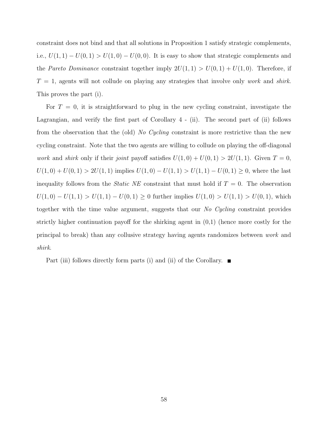constraint does not bind and that all solutions in Proposition 1 satisfy strategic complements, i.e.,  $U(1, 1) - U(0, 1) > U(1, 0) - U(0, 0)$ . It is easy to show that strategic complements and the *Pareto Dominance* constraint together imply  $2U(1, 1) > U(0, 1) + U(1, 0)$ . Therefore, if  $T = 1$ , agents will not collude on playing any strategies that involve only *work* and *shirk*. This proves the part (i).

For  $T = 0$ , it is straightforward to plug in the new cycling constraint, investigate the Lagrangian, and verify the first part of Corollary 4 - (ii). The second part of (ii) follows from the observation that the (old) No Cycling constraint is more restrictive than the new cycling constraint. Note that the two agents are willing to collude on playing the off-diagonal work and shirk only if their joint payoff satisfies  $U(1,0) + U(0,1) > 2U(1,1)$ . Given  $T = 0$ ,  $U(1,0) + U(0,1) > 2U(1,1)$  implies  $U(1,0) - U(1,1) > U(1,1) - U(0,1) \ge 0$ , where the last inequality follows from the *Static NE* constraint that must hold if  $T = 0$ . The observation  $U(1,0) - U(1,1) > U(1,1) - U(0,1) \ge 0$  further implies  $U(1,0) > U(1,1) > U(0,1)$ , which together with the time value argument, suggests that our No Cycling constraint provides strictly higher continuation payoff for the shirking agent in  $(0,1)$  (hence more costly for the principal to break) than any collusive strategy having agents randomizes between work and shirk.

Part (iii) follows directly form parts (i) and (ii) of the Corollary.  $\blacksquare$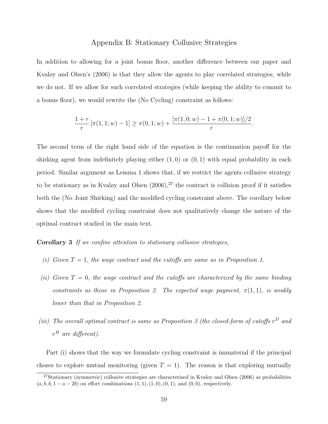### Appendix B: Stationary Collusive Strategies

In addition to allowing for a joint bonus floor, another difference between our paper and Kvaløy and Olsen's (2006) is that they allow the agents to play correlated strategies, while we do not. If we allow for such correlated strategies (while keeping the ability to commit to a bonus floor), we would rewrite the (No Cycling) constraint as follows:

$$
\frac{1+r}{r} \left[ \pi(1,1;w) - 1 \right] \ge \pi(0,1;w) + \frac{\left[ \pi(1,0;w) - 1 + \pi(0,1;w) \right] / 2}{r}.
$$

The second term of the right hand side of the equation is the continuation payoff for the shirking agent from indefinitely playing either  $(1, 0)$  or  $(0, 1)$  with equal probability in each period. Similar argument as Lemma 1 shows that, if we restrict the agents collusive strategy to be stationary as in Kvaløy and Olsen  $(2006)$ ,<sup>27</sup> the contract is collision proof if it satisfies both the (No Joint Shirking) and the modified cycling constraint above. The corollary below shows that the modified cycling constraint does not qualitatively change the nature of the optimal contract studied in the main text.

### Corollary 3 If we confine attention to stationary collusive strategies,

- (i) Given  $T = 1$ , the wage contract and the cutoffs are same as in Proposition 1.
- (ii) Given  $T = 0$ , the wage contract and the cutoffs are characterized by the same binding constraints as those in Proposition 2. The expected wage payment,  $\pi(1,1)$ , is weakly lower than that in Proposition 2.
- (iii) The overall optimal contract is same as Proposition 3 (the closed-form of cutoffs  $r^D$  and  $r<sup>H</sup>$  are different).

Part (i) shows that the way we formulate cycling constraint is immaterial if the principal choses to explore mutual monitoring (given  $T = 1$ ). The reason is that exploring mutually

 $27$ Stationary (symmetric) collusive strategies are characterized in Kvaløy and Olsen (2006) as probabilities  $(a, b, b, 1 - a - 2b)$  on effort combinations  $(1, 1), (1, 0), (0, 1),$  and  $(0, 0)$ , respectively.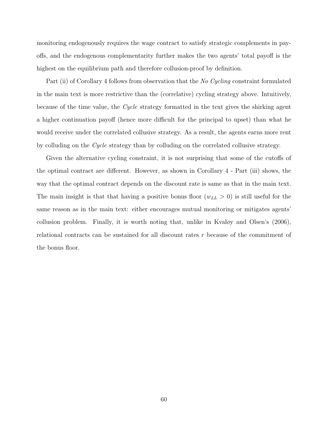monitoring endogenously requires the wage contract to satisfy strategic complements in payoffs, and the endogenous complementarity further makes the two agents' total payoff is the highest on the equilibrium path and therefore collusion-proof by definition.

Part (ii) of Corollary 4 follows from observation that the No Cycling constraint formulated in the main text is more restrictive than the (correlative) cycling strategy above. Intuitively, because of the time value, the Cycle strategy formatted in the text gives the shirking agent a higher continuation payoff (hence more difficult for the principal to upset) than what he would receive under the correlated collusive strategy. As a result, the agents earns more rent by colluding on the Cycle strategy than by colluding on the correlated collusive strategy.

Given the alternative cycling constraint, it is not surprising that some of the cutoffs of the optimal contract are different. However, as shown in Corollary 4 - Part (iii) shows, the way that the optimal contract depends on the discount rate is same as that in the main text. The main insight is that that having a positive bonus floor  $(w_{LL} > 0)$  is still useful for the same reason as in the main text: either encourages mutual monitoring or mitigates agents' collusion problem. Finally, it is worth noting that, unlike in Kvaløy and Olsen's (2006), relational contracts can be sustained for all discount rates r because of the commitment of the bonus floor.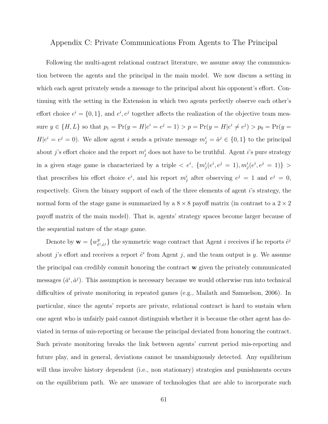### Appendix C: Private Communications From Agents to The Principal

Following the multi-agent relational contract literature, we assume away the communication between the agents and the principal in the main model. We now discuss a setting in which each agent privately sends a message to the principal about his opponent's effort. Continuing with the setting in the Extension in which two agents perfectly observe each other's effort choice  $e^i = \{0, 1\}$ , and  $e^i, e^j$  together affects the realization of the objective team measure  $y \in \{H, L\}$  so that  $p_1 = \Pr(y = H | e^i = e^j = 1) > p = \Pr(y = H | e^i \neq e^j) > p_0 = \Pr(y = H | e^j = 1)$  $H|e^{i}=e^{j}=0$ ). We allow agent i sends a private message  $m_j^i=\hat{a}^j \in \{0,1\}$  to the principal about j's effort choice and the report  $m_j^i$  does not have to be truthful. Agent i's pure strategy in a given stage game is characterized by a triple  $\langle e^i, \{m^i_j(e^i, e^j = 1), m^i_j(e^i, e^j = 1)\}\rangle$ that prescribes his effort choice  $e^i$ , and his report  $m_j^i$  after observing  $e^j = 1$  and  $e^j = 0$ , respectively. Given the binary support of each of the three elements of agent i's strategy, the normal form of the stage game is summarized by a  $8 \times 8$  payoff matrix (in contrast to a  $2 \times 2$ payoff matrix of the main model). That is, agents' strategy spaces become larger because of the sequential nature of the stage game.

Denote by  $\mathbf{w} = \{w^y_{\hat{e}}\}$  $e^{i}$ ,  $\hat{e}^{i}$ } the symmetric wage contract that Agent *i* receives if he reports  $\hat{e}^{j}$ about j's effort and receives a report  $\hat{e}^i$  from Agent j, and the team output is y. We assume the principal can credibly commit honoring the contract w given the privately communicated messages  $(\hat{a}^i, \hat{a}^j)$ . This assumption is necessary because we would otherwise run into technical difficulties of private monitoring in repeated games (e.g., Mailath and Samuelson, 2006). In particular, since the agents' reports are private, relational contract is hard to sustain when one agent who is unfairly paid cannot distinguish whether it is because the other agent has deviated in terms of mis-reporting or because the principal deviated from honoring the contract. Such private monitoring breaks the link between agents' current period mis-reporting and future play, and in general, deviations cannot be unambiguously detected. Any equilibrium will thus involve history dependent (i.e., non stationary) strategies and punishments occurs on the equilibrium path. We are unaware of technologies that are able to incorporate such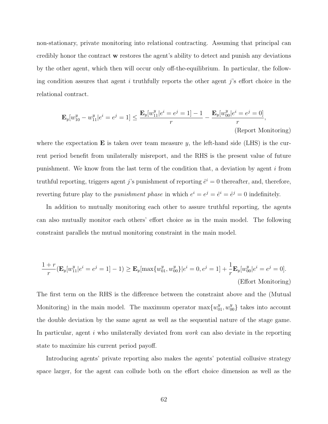non-stationary, private monitoring into relational contracting. Assuming that principal can credibly honor the contract w restores the agent's ability to detect and punish any deviations by the other agent, which then will occur only off-the-equilibrium. In particular, the following condition assures that agent i truthfully reports the other agent j's effort choice in the relational contract.

$$
\mathbf{E}_{y}[w_{10}^{y} - w_{11}^{y}|e^{i} = e^{j} = 1] \le \frac{\mathbf{E}_{y}[w_{11}^{y}|e^{i} = e^{j} = 1] - 1}{r} - \frac{\mathbf{E}_{y}[w_{00}^{y}|e^{i} = e^{j} = 0]}{r},
$$
\n(Report Monitoring)

where the expectation  $\bf{E}$  is taken over team measure y, the left-hand side (LHS) is the current period benefit from unilaterally misreport, and the RHS is the present value of future punishment. We know from the last term of the condition that, a deviation by agent  $i$  from truthful reporting, triggers agent j's punishment of reporting  $\hat{e}^i = 0$  thereafter, and, therefore, reverting future play to the *punishment phase* in which  $e^i = e^j = \hat{e}^i = \hat{e}^j = 0$  indefinitely.

In addition to mutually monitoring each other to assure truthful reporting, the agents can also mutually monitor each others' effort choice as in the main model. The following constraint parallels the mutual monitoring constraint in the main model.

$$
\frac{1+r}{r}(\mathbf{E}_y[w_{11}^y|e^i = e^j = 1] - 1) \ge \mathbf{E}_y[\max\{w_{01}^y, w_{00}^y\}|e^i = 0, e^j = 1] + \frac{1}{r}\mathbf{E}_y[w_{00}^y|e^i = e^j = 0].
$$
\n(Effort Monitoring)

The first term on the RHS is the difference between the constraint above and the (Mutual Monitoring) in the main model. The maximum operator  $\max\{w_{01}^y, w_{00}^y\}$  takes into account the double deviation by the same agent as well as the sequential nature of the stage game. In particular, agent i who unilaterally deviated from *work* can also deviate in the reporting state to maximize his current period payoff.

Introducing agents' private reporting also makes the agents' potential collusive strategy space larger, for the agent can collude both on the effort choice dimension as well as the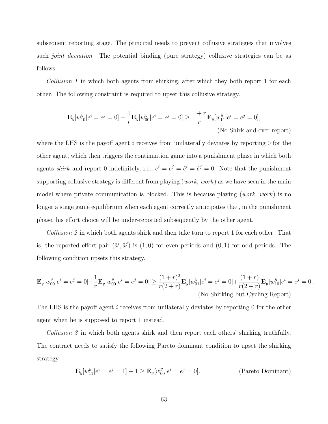subsequent reporting stage. The principal needs to prevent collusive strategies that involves such *joint deviation*. The potential binding (pure strategy) collusive strategies can be as follows.

Collusion 1 in which both agents from shirking, after which they both report 1 for each other. The following constraint is required to upset this collusive strategy.

$$
\mathbf{E}_{y}[w_{10}^{y}|e^{i}=e^{j}=0]+\frac{1}{r}\mathbf{E}_{y}[w_{00}^{y}|e^{i}=e^{j}=0] \ge \frac{1+r}{r}\mathbf{E}_{y}[w_{11}^{y}|e^{i}=e^{j}=0],
$$
\n(No Shift and over report)

where the LHS is the payoff agent  $i$  receives from unilaterally deviates by reporting 0 for the other agent, which then triggers the continuation game into a punishment phase in which both agents *shirk* and report 0 indefinitely, i.e.,  $e^i = e^j = \hat{e}^i = \hat{e}^j = 0$ . Note that the punishment supporting collusive strategy is different from playing (*work*, *work*) as we have seen in the main model where private communication is blocked. This is because playing (work, work) is no longer a stage game equilibrium when each agent correctly anticipates that, in the punishment phase, his effort choice will be under-reported subsequently by the other agent.

Collusion 2 in which both agents shirk and then take turn to report 1 for each other. That is, the reported effort pair  $(\hat{a}^i, \hat{a}^j)$  is  $(1,0)$  for even periods and  $(0,1)$  for odd periods. The following condition upsets this strategy.

$$
\mathbf{E}_{y}[w_{00}^{y}|e^{i}=e^{j}=0]+\frac{1}{r}\mathbf{E}_{y}[w_{00}^{y}|e^{i}=e^{j}=0] \geq \frac{(1+r)^{2}}{r(2+r)}\mathbf{E}_{y}[w_{01}^{y}|e^{i}=e^{j}=0]+\frac{(1+r)}{r(2+r)}\mathbf{E}_{y}[w_{10}^{y}|e^{i}=e^{j}=0].
$$
  
(No Shirking but Cycling Report)

The LHS is the payoff agent i receives from unilaterally deviates by reporting 0 for the other agent when he is supposed to report 1 instead.

Collusion 3 in which both agents shirk and then report each others' shirking truthfully. The contract needs to satisfy the following Pareto dominant condition to upset the shirking strategy.

$$
\mathbf{E}_{y}[w_{11}^{y}|e^{i}=e^{j}=1]-1\geq \mathbf{E}_{y}[w_{00}^{y}|e^{i}=e^{j}=0].
$$
 (Pareto Dominant)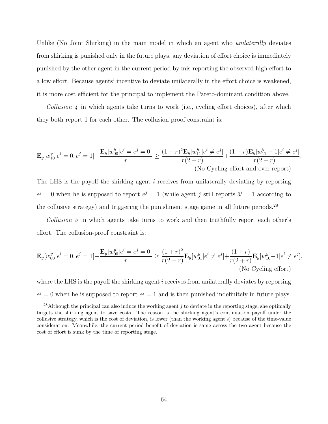Unlike (No Joint Shirking) in the main model in which an agent who *unilaterally* deviates from shirking is punished only in the future plays, any deviation of effort choice is immediately punished by the other agent in the current period by mis-reporting the observed high effort to a low effort. Because agents' incentive to deviate unilaterally in the effort choice is weakened, it is more cost efficient for the principal to implement the Pareto-dominant condition above.

Collusion  $\lambda$  in which agents take turns to work (i.e., cycling effort choices), after which they both report 1 for each other. The collusion proof constraint is:

$$
\mathbf{E}_{y}[w_{10}^{y}|e^{i}=0,e^{j}=1]+\frac{\mathbf{E}_{y}[w_{00}^{y}|e^{i}=e^{j}=0]}{r} \geq \frac{(1+r)^{2}\mathbf{E}_{y}[w_{11}^{y}|e^{i}\neq e^{j}]}{r(2+r)}+\frac{(1+r)\mathbf{E}_{y}[w_{11}^{y}-1|e^{i}\neq e^{j}]}{r(2+r)}.
$$
\n(No Cycling effort and over report)

The LHS is the payoff the shirking agent i receives from unilaterally deviating by reporting  $e^j = 0$  when he is supposed to report  $e^j = 1$  (while agent j still reports  $\hat{a}^i = 1$  according to the collusive strategy) and triggering the punishment stage game in all future periods.<sup>28</sup>

Collusion 5 in which agents take turns to work and then truthfully report each other's effort. The collusion-proof constraint is:

$$
\mathbf{E}_{y}[w_{00}^{y}|e^{i}=0,e^{j}=1]+\frac{\mathbf{E}_{y}[w_{00}^{y}|e^{i}=e^{j}=0]}{r} \geq \frac{(1+r)^{2}}{r(2+r)}\mathbf{E}_{y}[w_{01}^{y}|e^{i}\neq e^{j}]+\frac{(1+r)}{r(2+r)}\mathbf{E}_{y}[w_{10}^{y}-1|e^{i}\neq e^{j}],
$$
\n(Note. (No Cyclic) (No Cyclic) (No Cyclic)

where the LHS is the payoff the shirking agent  $i$  receives from unilaterally deviates by reporting  $e^j = 0$  when he is supposed to report  $e^j = 1$  and is then punished indefinitely in future plays.

<sup>&</sup>lt;sup>28</sup>Although the principal can also induce the working agent j to deviate in the reporting stage, she optimally targets the shirking agent to save costs. The reason is the shirking agent's continuation payoff under the collusive strategy, which is the cost of deviation, is lower (than the working agent's) because of the time-value consideration. Meanwhile, the current period benefit of deviation is same across the two agent because the cost of effort is sunk by the time of reporting stage.